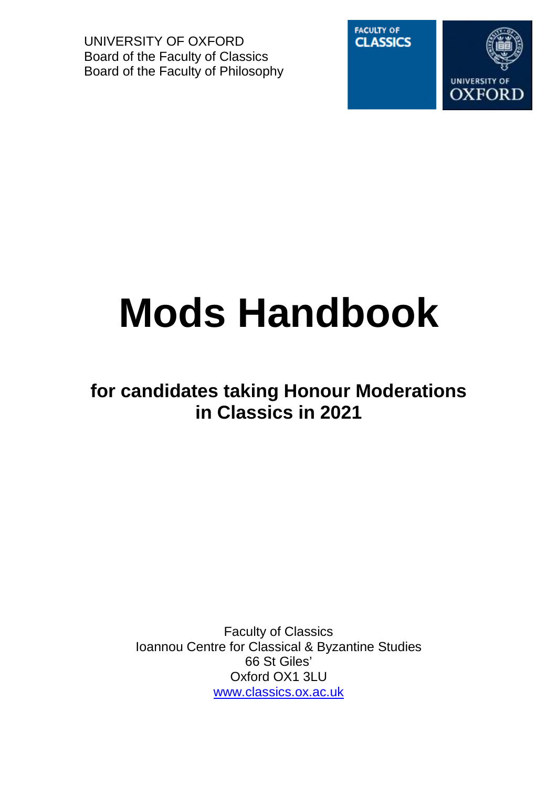UNIVERSITY OF OXFORD Board of the Faculty of Classics Board of the Faculty of Philosophy



# **Mods Handbook**

# **for candidates taking Honour Moderations in Classics in 2021**

Faculty of Classics Ioannou Centre for Classical & Byzantine Studies 66 St Giles' Oxford OX1 3LU www.classics.ox.ac.uk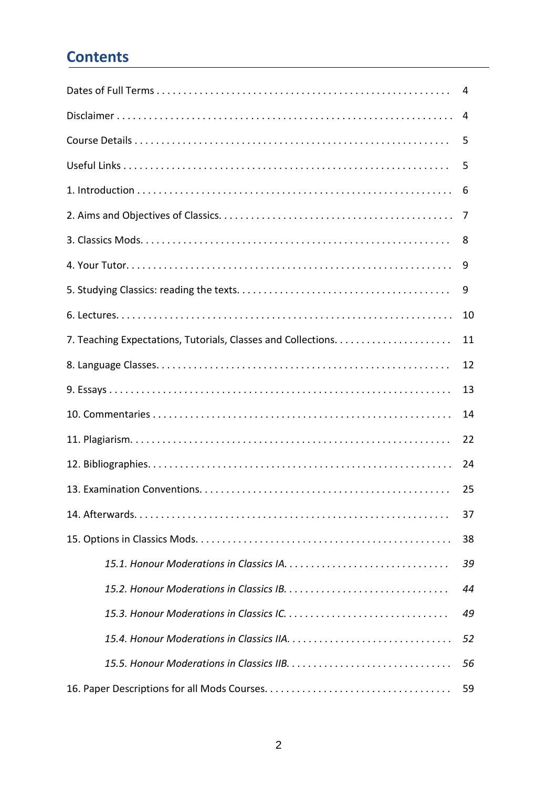# **Contents**

|    | 4  |  |  |  |  |
|----|----|--|--|--|--|
| 4  |    |  |  |  |  |
|    | 5  |  |  |  |  |
|    | 5  |  |  |  |  |
|    | 6  |  |  |  |  |
|    | 7  |  |  |  |  |
|    | 8  |  |  |  |  |
|    | 9  |  |  |  |  |
|    | 9  |  |  |  |  |
|    | 10 |  |  |  |  |
|    | 11 |  |  |  |  |
|    | 12 |  |  |  |  |
| 13 |    |  |  |  |  |
| 14 |    |  |  |  |  |
| 22 |    |  |  |  |  |
| 24 |    |  |  |  |  |
|    | 25 |  |  |  |  |
|    | 37 |  |  |  |  |
|    | 38 |  |  |  |  |
|    | 39 |  |  |  |  |
| 44 |    |  |  |  |  |
| 49 |    |  |  |  |  |
| 52 |    |  |  |  |  |
| 56 |    |  |  |  |  |
|    | 59 |  |  |  |  |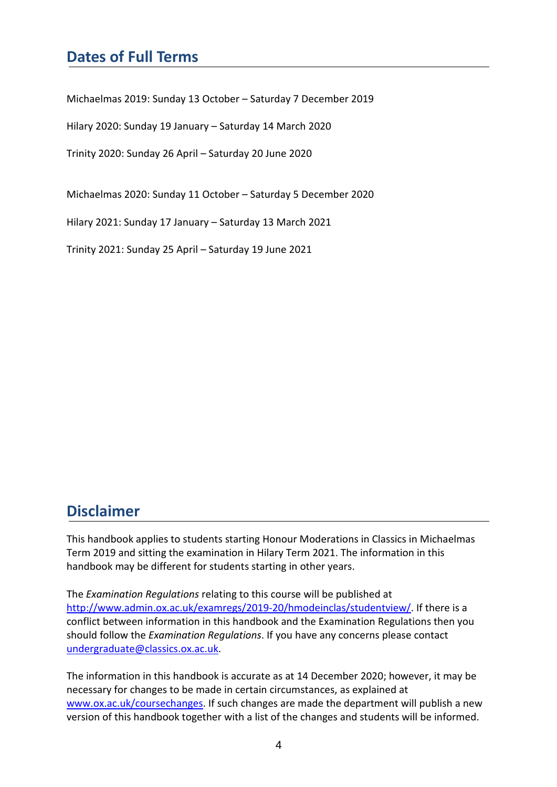# **Dates of Full Terms**

Michaelmas 2019: Sunday 13 October – Saturday 7 December 2019

Hilary 2020: Sunday 19 January – Saturday 14 March 2020

Trinity 2020: Sunday 26 April – Saturday 20 June 2020

Michaelmas 2020: Sunday 11 October – Saturday 5 December 2020

Hilary 2021: Sunday 17 January – Saturday 13 March 2021

Trinity 2021: Sunday 25 April – Saturday 19 June 2021

# **Disclaimer**

This handbook applies to students starting Honour Moderations in Classics in Michaelmas Term 2019 and sitting the examination in Hilary Term 2021. The information in this handbook may be different for students starting in other years.

The *Examination Regulations* relating to this course will be published at http://www.admin.ox.ac.uk/examregs/2019-20/hmodeinclas/studentview/. If there is a conflict between information in this handbook and the Examination Regulations then you should follow the *Examination Regulations*. If you have any concerns please contact undergraduate@classics.ox.ac.uk.

The information in this handbook is accurate as at 14 December 2020; however, it may be necessary for changes to be made in certain circumstances, as explained at www.ox.ac.uk/coursechanges. If such changes are made the department will publish a new version of this handbook together with a list of the changes and students will be informed.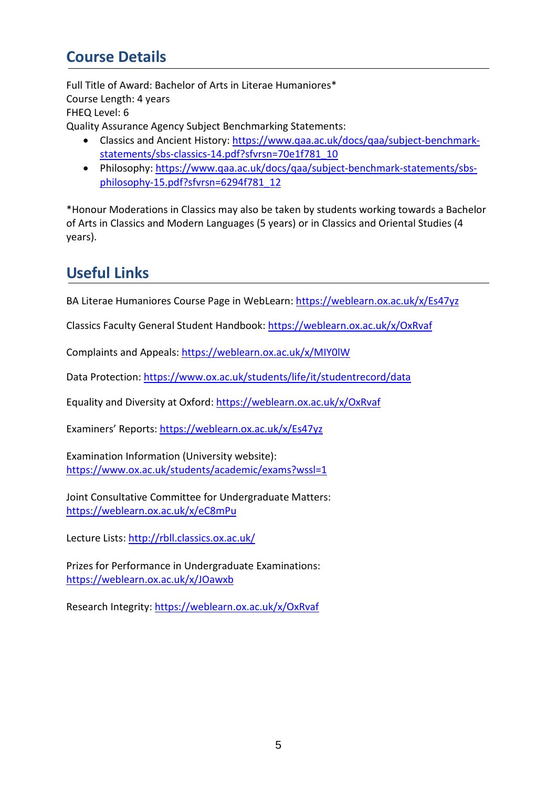# **Course Details**

Full Title of Award: Bachelor of Arts in Literae Humaniores\* Course Length: 4 years FHEQ Level: 6 Quality Assurance Agency Subject Benchmarking Statements:

- Classics and Ancient History: https://www.qaa.ac.uk/docs/qaa/subject-benchmarkstatements/sbs-classics-14.pdf?sfvrsn=70e1f781\_10
- Philosophy: https://www.qaa.ac.uk/docs/qaa/subject-benchmark-statements/sbsphilosophy-15.pdf?sfvrsn=6294f781\_12

\*Honour Moderations in Classics may also be taken by students working towards a Bachelor of Arts in Classics and Modern Languages (5 years) or in Classics and Oriental Studies (4 years).

# **Useful Links**

BA Literae Humaniores Course Page in WebLearn: https://weblearn.ox.ac.uk/x/Es47yz

Classics Faculty General Student Handbook: https://weblearn.ox.ac.uk/x/OxRvaf

Complaints and Appeals: https://weblearn.ox.ac.uk/x/MIY0lW

Data Protection: https://www.ox.ac.uk/students/life/it/studentrecord/data

Equality and Diversity at Oxford: https://weblearn.ox.ac.uk/x/OxRvaf

Examiners' Reports: https://weblearn.ox.ac.uk/x/Es47yz

Examination Information (University website): https://www.ox.ac.uk/students/academic/exams?wssl=1

Joint Consultative Committee for Undergraduate Matters: https://weblearn.ox.ac.uk/x/eC8mPu

Lecture Lists: http://rbll.classics.ox.ac.uk/

Prizes for Performance in Undergraduate Examinations: https://weblearn.ox.ac.uk/x/JOawxb

Research Integrity: https://weblearn.ox.ac.uk/x/OxRvaf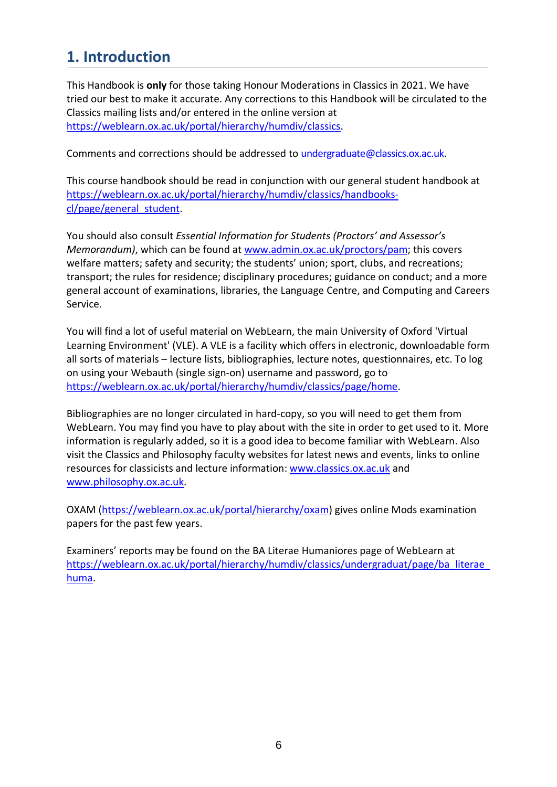# **1. Introduction**

This Handbook is **only** for those taking Honour Moderations in Classics in 2021. We have tried our best to make it accurate. Any corrections to this Handbook will be circulated to the Classics mailing lists and/or entered in the online version at https://weblearn.ox.ac.uk/portal/hierarchy/humdiv/classics.

Comments and corrections should be addressed to undergraduate@classics.ox.ac.uk.

This course handbook should be read in conjunction with our general student handbook at https://weblearn.ox.ac.uk/portal/hierarchy/humdiv/classics/handbookscl/page/general\_student.

You should also consult *Essential Information for Students (Proctors' and Assessor's Memorandum)*, which can be found at **www.admin.ox.ac.uk/proctors/pam**; this covers welfare matters; safety and security; the students' union; sport, clubs, and recreations; transport; the rules for residence; disciplinary procedures; guidance on conduct; and a more general account of examinations, libraries, the Language Centre, and Computing and Careers Service.

You will find a lot of useful material on WebLearn, the main University of Oxford 'Virtual Learning Environment' (VLE). A VLE is a facility which offers in electronic, downloadable form all sorts of materials – lecture lists, bibliographies, lecture notes, questionnaires, etc. To log on using your Webauth (single sign-on) username and password, go to https://weblearn.ox.ac.uk/portal/hierarchy/humdiv/classics/page/home.

Bibliographies are no longer circulated in hard-copy, so you will need to get them from WebLearn. You may find you have to play about with the site in order to get used to it. More information is regularly added, so it is a good idea to become familiar with WebLearn. Also visit the Classics and Philosophy faculty websites for latest news and events, links to online resources for classicists and lecture information: www.classics.ox.ac.uk and www.philosophy.ox.ac.uk.

OXAM (https://weblearn.ox.ac.uk/portal/hierarchy/oxam) gives online Mods examination papers for the past few years.

Examiners' reports may be found on the BA Literae Humaniores page of WebLearn at https://weblearn.ox.ac.uk/portal/hierarchy/humdiv/classics/undergraduat/page/ba\_literae huma.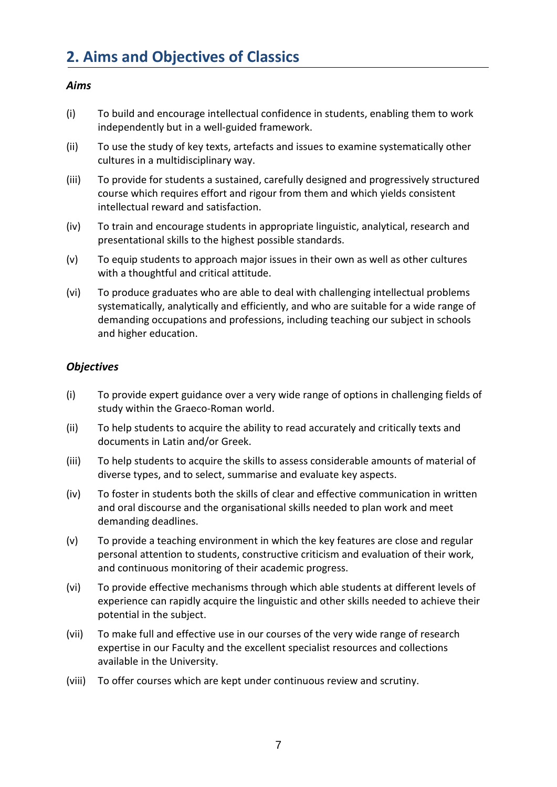#### *Aims*

- (i) To build and encourage intellectual confidence in students, enabling them to work independently but in a well-guided framework.
- (ii) To use the study of key texts, artefacts and issues to examine systematically other cultures in a multidisciplinary way.
- (iii) To provide for students a sustained, carefully designed and progressively structured course which requires effort and rigour from them and which yields consistent intellectual reward and satisfaction.
- (iv) To train and encourage students in appropriate linguistic, analytical, research and presentational skills to the highest possible standards.
- (v) To equip students to approach major issues in their own as well as other cultures with a thoughtful and critical attitude.
- (vi) To produce graduates who are able to deal with challenging intellectual problems systematically, analytically and efficiently, and who are suitable for a wide range of demanding occupations and professions, including teaching our subject in schools and higher education.

#### *Objectives*

- (i) To provide expert guidance over a very wide range of options in challenging fields of study within the Graeco-Roman world.
- (ii) To help students to acquire the ability to read accurately and critically texts and documents in Latin and/or Greek.
- (iii) To help students to acquire the skills to assess considerable amounts of material of diverse types, and to select, summarise and evaluate key aspects.
- (iv) To foster in students both the skills of clear and effective communication in written and oral discourse and the organisational skills needed to plan work and meet demanding deadlines.
- (v) To provide a teaching environment in which the key features are close and regular personal attention to students, constructive criticism and evaluation of their work, and continuous monitoring of their academic progress.
- (vi) To provide effective mechanisms through which able students at different levels of experience can rapidly acquire the linguistic and other skills needed to achieve their potential in the subject.
- (vii) To make full and effective use in our courses of the very wide range of research expertise in our Faculty and the excellent specialist resources and collections available in the University.
- (viii) To offer courses which are kept under continuous review and scrutiny.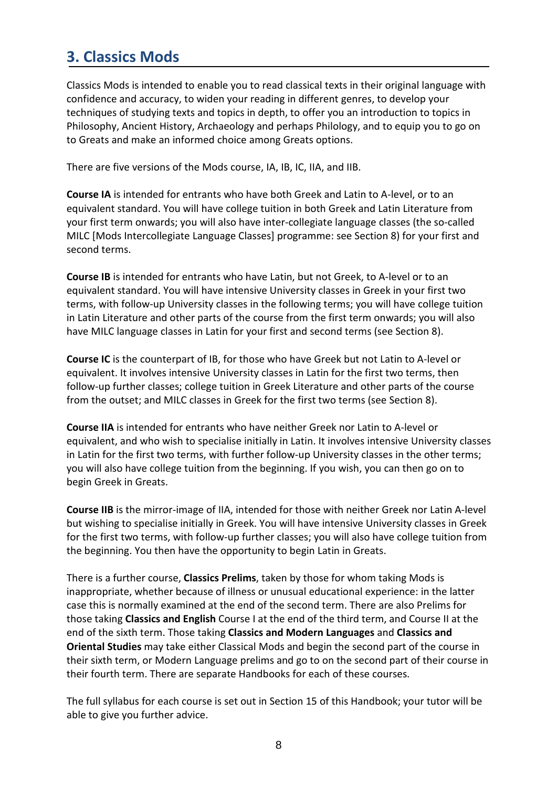# **3. Classics Mods**

Classics Mods is intended to enable you to read classical texts in their original language with confidence and accuracy, to widen your reading in different genres, to develop your techniques of studying texts and topics in depth, to offer you an introduction to topics in Philosophy, Ancient History, Archaeology and perhaps Philology, and to equip you to go on to Greats and make an informed choice among Greats options.

There are five versions of the Mods course, IA, IB, IC, IIA, and IIB.

**Course IA** is intended for entrants who have both Greek and Latin to A-level, or to an equivalent standard. You will have college tuition in both Greek and Latin Literature from your first term onwards; you will also have inter-collegiate language classes (the so-called MILC [Mods Intercollegiate Language Classes] programme: see Section 8) for your first and second terms.

**Course IB** is intended for entrants who have Latin, but not Greek, to A-level or to an equivalent standard. You will have intensive University classes in Greek in your first two terms, with follow-up University classes in the following terms; you will have college tuition in Latin Literature and other parts of the course from the first term onwards; you will also have MILC language classes in Latin for your first and second terms (see Section 8).

**Course IC** is the counterpart of IB, for those who have Greek but not Latin to A-level or equivalent. It involves intensive University classes in Latin for the first two terms, then follow-up further classes; college tuition in Greek Literature and other parts of the course from the outset; and MILC classes in Greek for the first two terms (see Section 8).

**Course IIA** is intended for entrants who have neither Greek nor Latin to A-level or equivalent, and who wish to specialise initially in Latin. It involves intensive University classes in Latin for the first two terms, with further follow-up University classes in the other terms; you will also have college tuition from the beginning. If you wish, you can then go on to begin Greek in Greats.

**Course IIB** is the mirror-image of IIA, intended for those with neither Greek nor Latin A-level but wishing to specialise initially in Greek. You will have intensive University classes in Greek for the first two terms, with follow-up further classes; you will also have college tuition from the beginning. You then have the opportunity to begin Latin in Greats.

There is a further course, **Classics Prelims**, taken by those for whom taking Mods is inappropriate, whether because of illness or unusual educational experience: in the latter case this is normally examined at the end of the second term. There are also Prelims for those taking **Classics and English** Course I at the end of the third term, and Course II at the end of the sixth term. Those taking **Classics and Modern Languages** and **Classics and Oriental Studies** may take either Classical Mods and begin the second part of the course in their sixth term, or Modern Language prelims and go to on the second part of their course in their fourth term. There are separate Handbooks for each of these courses.

The full syllabus for each course is set out in Section 15 of this Handbook; your tutor will be able to give you further advice.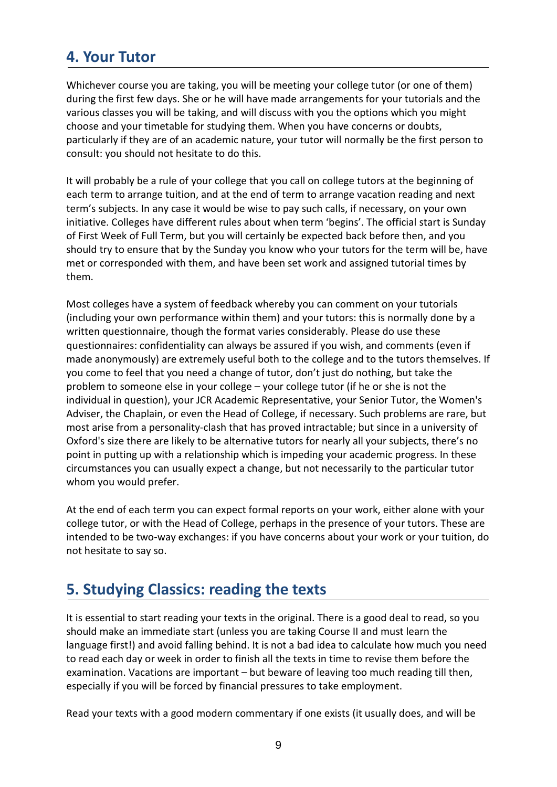# **4. Your Tutor**

Whichever course you are taking, you will be meeting your college tutor (or one of them) during the first few days. She or he will have made arrangements for your tutorials and the various classes you will be taking, and will discuss with you the options which you might choose and your timetable for studying them. When you have concerns or doubts, particularly if they are of an academic nature, your tutor will normally be the first person to consult: you should not hesitate to do this.

It will probably be a rule of your college that you call on college tutors at the beginning of each term to arrange tuition, and at the end of term to arrange vacation reading and next term's subjects. In any case it would be wise to pay such calls, if necessary, on your own initiative. Colleges have different rules about when term 'begins'. The official start is Sunday of First Week of Full Term, but you will certainly be expected back before then, and you should try to ensure that by the Sunday you know who your tutors for the term will be, have met or corresponded with them, and have been set work and assigned tutorial times by them.

Most colleges have a system of feedback whereby you can comment on your tutorials (including your own performance within them) and your tutors: this is normally done by a written questionnaire, though the format varies considerably. Please do use these questionnaires: confidentiality can always be assured if you wish, and comments (even if made anonymously) are extremely useful both to the college and to the tutors themselves. If you come to feel that you need a change of tutor, don't just do nothing, but take the problem to someone else in your college – your college tutor (if he or she is not the individual in question), your JCR Academic Representative, your Senior Tutor, the Women's Adviser, the Chaplain, or even the Head of College, if necessary. Such problems are rare, but most arise from a personality-clash that has proved intractable; but since in a university of Oxford's size there are likely to be alternative tutors for nearly all your subjects, there's no point in putting up with a relationship which is impeding your academic progress. In these circumstances you can usually expect a change, but not necessarily to the particular tutor whom you would prefer.

At the end of each term you can expect formal reports on your work, either alone with your college tutor, or with the Head of College, perhaps in the presence of your tutors. These are intended to be two-way exchanges: if you have concerns about your work or your tuition, do not hesitate to say so.

# **5. Studying Classics: reading the texts**

It is essential to start reading your texts in the original. There is a good deal to read, so you should make an immediate start (unless you are taking Course II and must learn the language first!) and avoid falling behind. It is not a bad idea to calculate how much you need to read each day or week in order to finish all the texts in time to revise them before the examination. Vacations are important – but beware of leaving too much reading till then, especially if you will be forced by financial pressures to take employment.

Read your texts with a good modern commentary if one exists (it usually does, and will be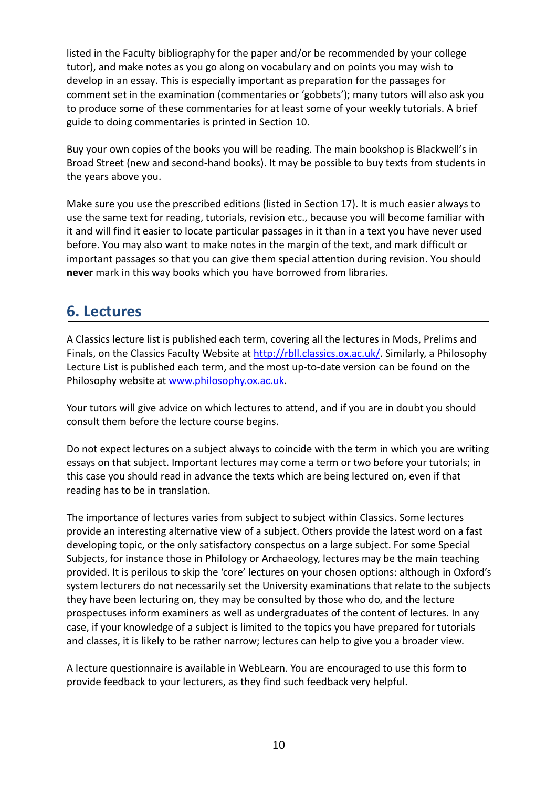listed in the Faculty bibliography for the paper and/or be recommended by your college tutor), and make notes as you go along on vocabulary and on points you may wish to develop in an essay. This is especially important as preparation for the passages for comment set in the examination (commentaries or 'gobbets'); many tutors will also ask you to produce some of these commentaries for at least some of your weekly tutorials. A brief guide to doing commentaries is printed in Section 10.

Buy your own copies of the books you will be reading. The main bookshop is Blackwell's in Broad Street (new and second-hand books). It may be possible to buy texts from students in the years above you.

Make sure you use the prescribed editions (listed in Section 17). It is much easier always to use the same text for reading, tutorials, revision etc., because you will become familiar with it and will find it easier to locate particular passages in it than in a text you have never used before. You may also want to make notes in the margin of the text, and mark difficult or important passages so that you can give them special attention during revision. You should **never** mark in this way books which you have borrowed from libraries.

# **6. Lectures**

A Classics lecture list is published each term, covering all the lectures in Mods, Prelims and Finals, on the Classics Faculty Website at http://rbll.classics.ox.ac.uk/. Similarly, a Philosophy Lecture List is published each term, and the most up-to-date version can be found on the Philosophy website at www.philosophy.ox.ac.uk.

Your tutors will give advice on which lectures to attend, and if you are in doubt you should consult them before the lecture course begins.

Do not expect lectures on a subject always to coincide with the term in which you are writing essays on that subject. Important lectures may come a term or two before your tutorials; in this case you should read in advance the texts which are being lectured on, even if that reading has to be in translation.

The importance of lectures varies from subject to subject within Classics. Some lectures provide an interesting alternative view of a subject. Others provide the latest word on a fast developing topic, or the only satisfactory conspectus on a large subject. For some Special Subjects, for instance those in Philology or Archaeology, lectures may be the main teaching provided. It is perilous to skip the 'core' lectures on your chosen options: although in Oxford's system lecturers do not necessarily set the University examinations that relate to the subjects they have been lecturing on, they may be consulted by those who do, and the lecture prospectuses inform examiners as well as undergraduates of the content of lectures. In any case, if your knowledge of a subject is limited to the topics you have prepared for tutorials and classes, it is likely to be rather narrow; lectures can help to give you a broader view.

A lecture questionnaire is available in WebLearn. You are encouraged to use this form to provide feedback to your lecturers, as they find such feedback very helpful.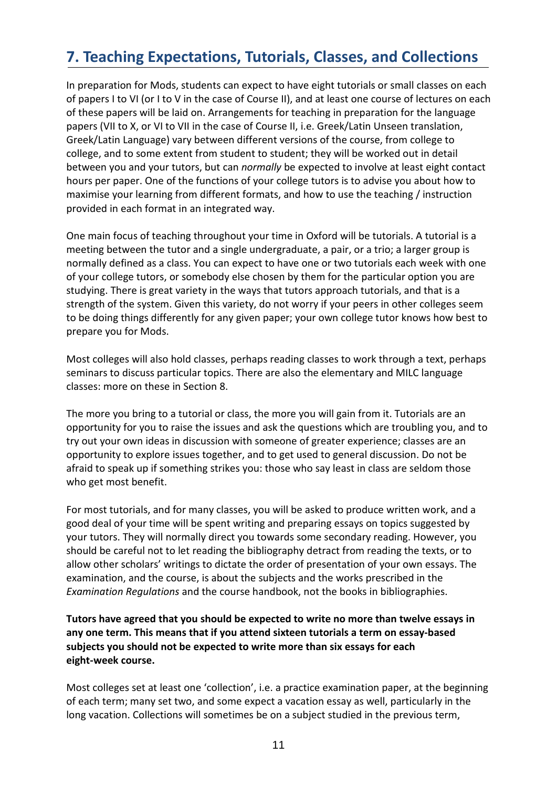# **7. Teaching Expectations, Tutorials, Classes, and Collections**

In preparation for Mods, students can expect to have eight tutorials or small classes on each of papers I to VI (or I to V in the case of Course II), and at least one course of lectures on each of these papers will be laid on. Arrangements for teaching in preparation for the language papers (VII to X, or VI to VII in the case of Course II, i.e. Greek/Latin Unseen translation, Greek/Latin Language) vary between different versions of the course, from college to college, and to some extent from student to student; they will be worked out in detail between you and your tutors, but can *normally* be expected to involve at least eight contact hours per paper. One of the functions of your college tutors is to advise you about how to maximise your learning from different formats, and how to use the teaching / instruction provided in each format in an integrated way.

One main focus of teaching throughout your time in Oxford will be tutorials. A tutorial is a meeting between the tutor and a single undergraduate, a pair, or a trio; a larger group is normally defined as a class. You can expect to have one or two tutorials each week with one of your college tutors, or somebody else chosen by them for the particular option you are studying. There is great variety in the ways that tutors approach tutorials, and that is a strength of the system. Given this variety, do not worry if your peers in other colleges seem to be doing things differently for any given paper; your own college tutor knows how best to prepare you for Mods.

Most colleges will also hold classes, perhaps reading classes to work through a text, perhaps seminars to discuss particular topics. There are also the elementary and MILC language classes: more on these in Section 8.

The more you bring to a tutorial or class, the more you will gain from it. Tutorials are an opportunity for you to raise the issues and ask the questions which are troubling you, and to try out your own ideas in discussion with someone of greater experience; classes are an opportunity to explore issues together, and to get used to general discussion. Do not be afraid to speak up if something strikes you: those who say least in class are seldom those who get most benefit.

For most tutorials, and for many classes, you will be asked to produce written work, and a good deal of your time will be spent writing and preparing essays on topics suggested by your tutors. They will normally direct you towards some secondary reading. However, you should be careful not to let reading the bibliography detract from reading the texts, or to allow other scholars' writings to dictate the order of presentation of your own essays. The examination, and the course, is about the subjects and the works prescribed in the *Examination Regulations* and the course handbook, not the books in bibliographies.

**Tutors have agreed that you should be expected to write no more than twelve essays in any one term. This means that if you attend sixteen tutorials a term on essay-based subjects you should not be expected to write more than six essays for each eight-week course.** 

Most colleges set at least one 'collection', i.e. a practice examination paper, at the beginning of each term; many set two, and some expect a vacation essay as well, particularly in the long vacation. Collections will sometimes be on a subject studied in the previous term,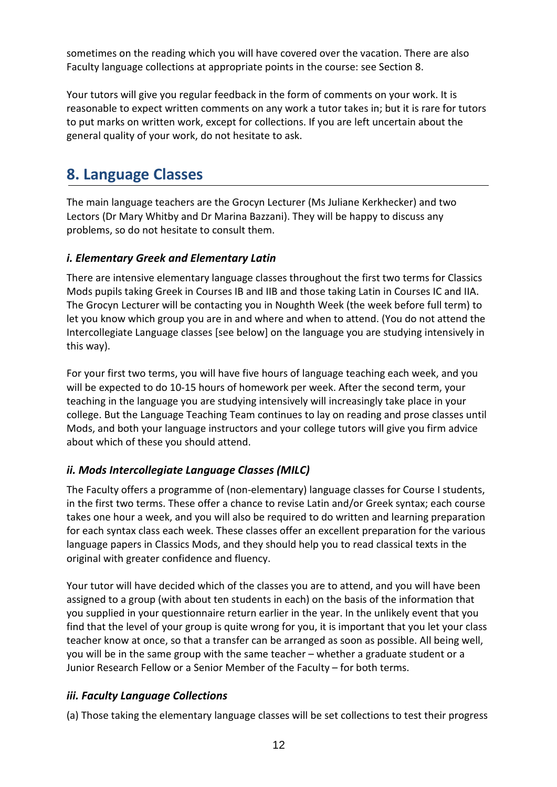sometimes on the reading which you will have covered over the vacation. There are also Faculty language collections at appropriate points in the course: see Section 8.

Your tutors will give you regular feedback in the form of comments on your work. It is reasonable to expect written comments on any work a tutor takes in; but it is rare for tutors to put marks on written work, except for collections. If you are left uncertain about the general quality of your work, do not hesitate to ask.

# **8. Language Classes**

The main language teachers are the Grocyn Lecturer (Ms Juliane Kerkhecker) and two Lectors (Dr Mary Whitby and Dr Marina Bazzani). They will be happy to discuss any problems, so do not hesitate to consult them.

### *i. Elementary Greek and Elementary Latin*

There are intensive elementary language classes throughout the first two terms for Classics Mods pupils taking Greek in Courses IB and IIB and those taking Latin in Courses IC and IIA. The Grocyn Lecturer will be contacting you in Noughth Week (the week before full term) to let you know which group you are in and where and when to attend. (You do not attend the Intercollegiate Language classes [see below] on the language you are studying intensively in this way).

For your first two terms, you will have five hours of language teaching each week, and you will be expected to do 10-15 hours of homework per week. After the second term, your teaching in the language you are studying intensively will increasingly take place in your college. But the Language Teaching Team continues to lay on reading and prose classes until Mods, and both your language instructors and your college tutors will give you firm advice about which of these you should attend.

### *ii. Mods Intercollegiate Language Classes (MILC)*

The Faculty offers a programme of (non-elementary) language classes for Course I students, in the first two terms. These offer a chance to revise Latin and/or Greek syntax; each course takes one hour a week, and you will also be required to do written and learning preparation for each syntax class each week. These classes offer an excellent preparation for the various language papers in Classics Mods, and they should help you to read classical texts in the original with greater confidence and fluency.

Your tutor will have decided which of the classes you are to attend, and you will have been assigned to a group (with about ten students in each) on the basis of the information that you supplied in your questionnaire return earlier in the year. In the unlikely event that you find that the level of your group is quite wrong for you, it is important that you let your class teacher know at once, so that a transfer can be arranged as soon as possible. All being well, you will be in the same group with the same teacher – whether a graduate student or a Junior Research Fellow or a Senior Member of the Faculty – for both terms.

### *iii. Faculty Language Collections*

(a) Those taking the elementary language classes will be set collections to test their progress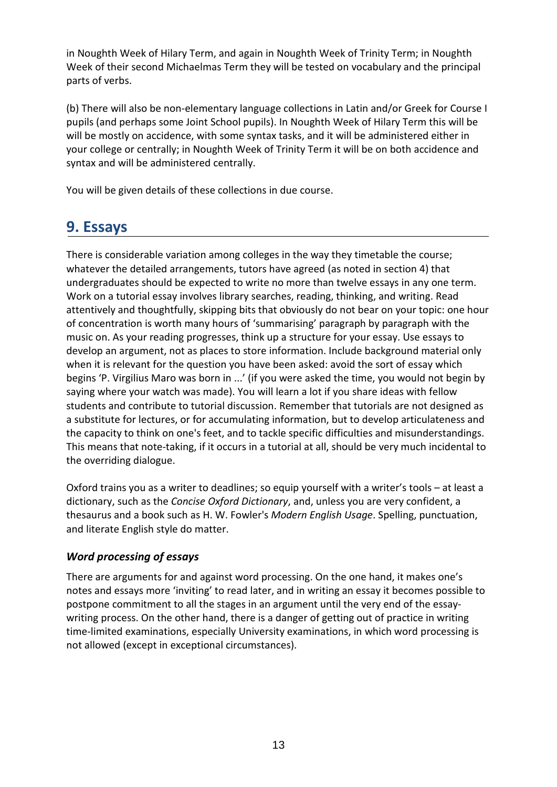in Noughth Week of Hilary Term, and again in Noughth Week of Trinity Term; in Noughth Week of their second Michaelmas Term they will be tested on vocabulary and the principal parts of verbs.

(b) There will also be non-elementary language collections in Latin and/or Greek for Course I pupils (and perhaps some Joint School pupils). In Noughth Week of Hilary Term this will be will be mostly on accidence, with some syntax tasks, and it will be administered either in your college or centrally; in Noughth Week of Trinity Term it will be on both accidence and syntax and will be administered centrally.

You will be given details of these collections in due course.

# **9. Essays**

There is considerable variation among colleges in the way they timetable the course; whatever the detailed arrangements, tutors have agreed (as noted in section 4) that undergraduates should be expected to write no more than twelve essays in any one term. Work on a tutorial essay involves library searches, reading, thinking, and writing. Read attentively and thoughtfully, skipping bits that obviously do not bear on your topic: one hour of concentration is worth many hours of 'summarising' paragraph by paragraph with the music on. As your reading progresses, think up a structure for your essay. Use essays to develop an argument, not as places to store information. Include background material only when it is relevant for the question you have been asked: avoid the sort of essay which begins 'P. Virgilius Maro was born in ...' (if you were asked the time, you would not begin by saying where your watch was made). You will learn a lot if you share ideas with fellow students and contribute to tutorial discussion. Remember that tutorials are not designed as a substitute for lectures, or for accumulating information, but to develop articulateness and the capacity to think on one's feet, and to tackle specific difficulties and misunderstandings. This means that note-taking, if it occurs in a tutorial at all, should be very much incidental to the overriding dialogue.

Oxford trains you as a writer to deadlines; so equip yourself with a writer's tools – at least a dictionary, such as the *Concise Oxford Dictionary*, and, unless you are very confident, a thesaurus and a book such as H. W. Fowler's *Modern English Usage*. Spelling, punctuation, and literate English style do matter.

### *Word processing of essays*

There are arguments for and against word processing. On the one hand, it makes one's notes and essays more 'inviting' to read later, and in writing an essay it becomes possible to postpone commitment to all the stages in an argument until the very end of the essaywriting process. On the other hand, there is a danger of getting out of practice in writing time-limited examinations, especially University examinations, in which word processing is not allowed (except in exceptional circumstances).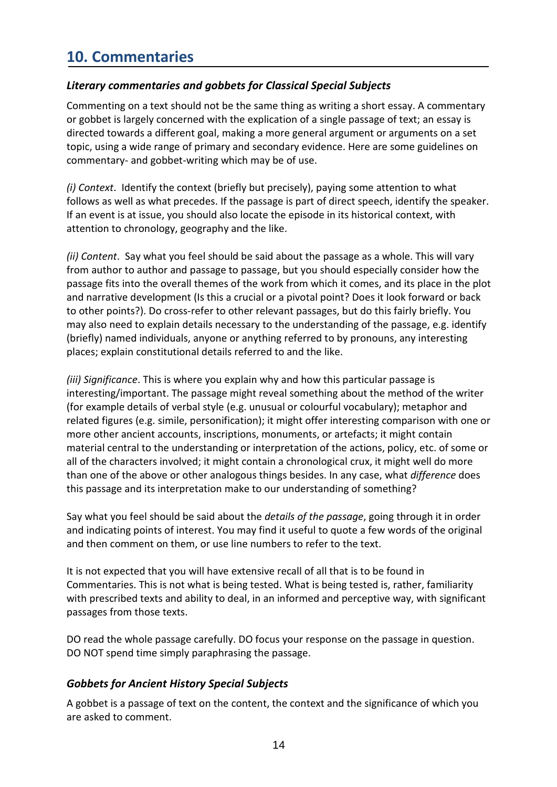# **10. Commentaries**

#### *Literary commentaries and gobbets for Classical Special Subjects*

Commenting on a text should not be the same thing as writing a short essay. A commentary or gobbet is largely concerned with the explication of a single passage of text; an essay is directed towards a different goal, making a more general argument or arguments on a set topic, using a wide range of primary and secondary evidence. Here are some guidelines on commentary- and gobbet-writing which may be of use.

*(i) Context*. Identify the context (briefly but precisely), paying some attention to what follows as well as what precedes. If the passage is part of direct speech, identify the speaker. If an event is at issue, you should also locate the episode in its historical context, with attention to chronology, geography and the like.

*(ii) Content*. Say what you feel should be said about the passage as a whole. This will vary from author to author and passage to passage, but you should especially consider how the passage fits into the overall themes of the work from which it comes, and its place in the plot and narrative development (Is this a crucial or a pivotal point? Does it look forward or back to other points?). Do cross-refer to other relevant passages, but do this fairly briefly. You may also need to explain details necessary to the understanding of the passage, e.g. identify (briefly) named individuals, anyone or anything referred to by pronouns, any interesting places; explain constitutional details referred to and the like.

*(iii) Significance*. This is where you explain why and how this particular passage is interesting/important. The passage might reveal something about the method of the writer (for example details of verbal style (e.g. unusual or colourful vocabulary); metaphor and related figures (e.g. simile, personification); it might offer interesting comparison with one or more other ancient accounts, inscriptions, monuments, or artefacts; it might contain material central to the understanding or interpretation of the actions, policy, etc. of some or all of the characters involved; it might contain a chronological crux, it might well do more than one of the above or other analogous things besides. In any case, what *difference* does this passage and its interpretation make to our understanding of something?

Say what you feel should be said about the *details of the passage*, going through it in order and indicating points of interest. You may find it useful to quote a few words of the original and then comment on them, or use line numbers to refer to the text.

It is not expected that you will have extensive recall of all that is to be found in Commentaries. This is not what is being tested. What is being tested is, rather, familiarity with prescribed texts and ability to deal, in an informed and perceptive way, with significant passages from those texts.

DO read the whole passage carefully. DO focus your response on the passage in question. DO NOT spend time simply paraphrasing the passage.

#### *Gobbets for Ancient History Special Subjects*

A gobbet is a passage of text on the content, the context and the significance of which you are asked to comment.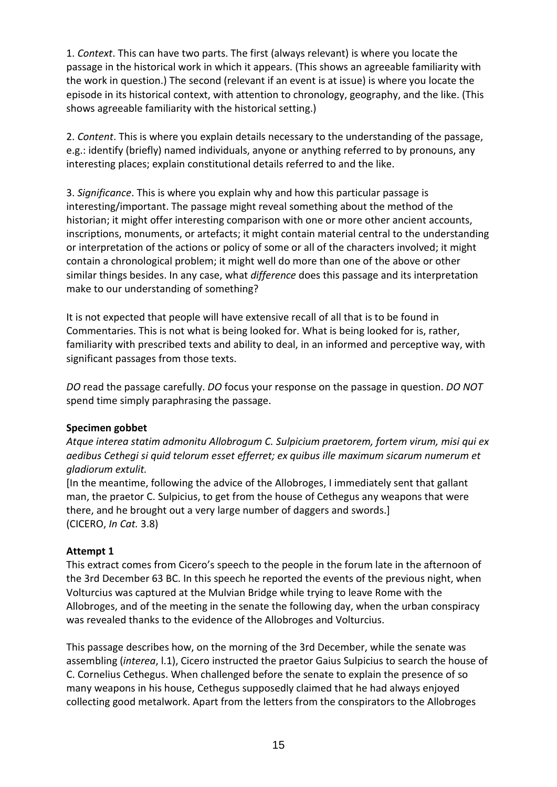1. *Context*. This can have two parts. The first (always relevant) is where you locate the passage in the historical work in which it appears. (This shows an agreeable familiarity with the work in question.) The second (relevant if an event is at issue) is where you locate the episode in its historical context, with attention to chronology, geography, and the like. (This shows agreeable familiarity with the historical setting.)

2. *Content*. This is where you explain details necessary to the understanding of the passage, e.g.: identify (briefly) named individuals, anyone or anything referred to by pronouns, any interesting places; explain constitutional details referred to and the like.

3. *Significance*. This is where you explain why and how this particular passage is interesting/important. The passage might reveal something about the method of the historian; it might offer interesting comparison with one or more other ancient accounts, inscriptions, monuments, or artefacts; it might contain material central to the understanding or interpretation of the actions or policy of some or all of the characters involved; it might contain a chronological problem; it might well do more than one of the above or other similar things besides. In any case, what *difference* does this passage and its interpretation make to our understanding of something?

It is not expected that people will have extensive recall of all that is to be found in Commentaries. This is not what is being looked for. What is being looked for is, rather, familiarity with prescribed texts and ability to deal, in an informed and perceptive way, with significant passages from those texts.

*DO* read the passage carefully. *DO* focus your response on the passage in question. *DO NOT* spend time simply paraphrasing the passage.

#### **Specimen gobbet**

*Atque interea statim admonitu Allobrogum C. Sulpicium praetorem, fortem virum, misi qui ex aedibus Cethegi si quid telorum esset efferret; ex quibus ille maximum sicarum numerum et gladiorum extulit.* 

[In the meantime, following the advice of the Allobroges, I immediately sent that gallant man, the praetor C. Sulpicius, to get from the house of Cethegus any weapons that were there, and he brought out a very large number of daggers and swords.] (CICERO, *In Cat.* 3.8)

#### **Attempt 1**

This extract comes from Cicero's speech to the people in the forum late in the afternoon of the 3rd December 63 BC. In this speech he reported the events of the previous night, when Volturcius was captured at the Mulvian Bridge while trying to leave Rome with the Allobroges, and of the meeting in the senate the following day, when the urban conspiracy was revealed thanks to the evidence of the Allobroges and Volturcius.

This passage describes how, on the morning of the 3rd December, while the senate was assembling (*interea*, l.1), Cicero instructed the praetor Gaius Sulpicius to search the house of C. Cornelius Cethegus. When challenged before the senate to explain the presence of so many weapons in his house, Cethegus supposedly claimed that he had always enjoyed collecting good metalwork. Apart from the letters from the conspirators to the Allobroges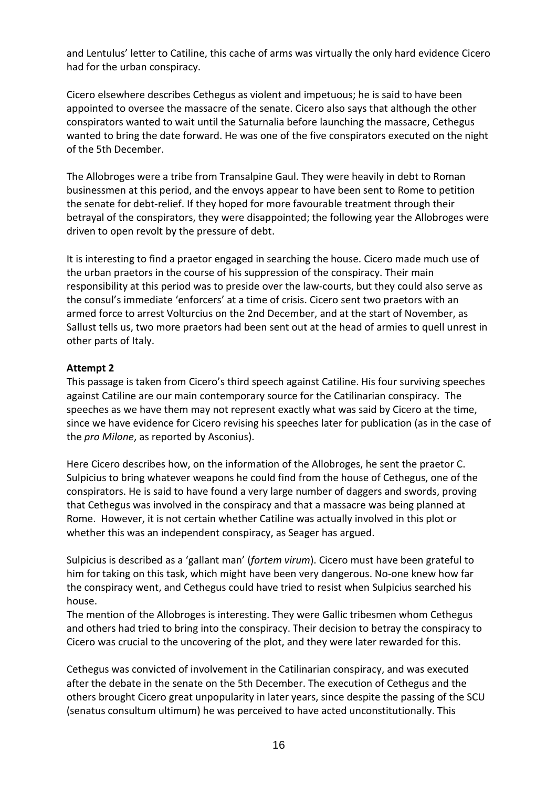and Lentulus' letter to Catiline, this cache of arms was virtually the only hard evidence Cicero had for the urban conspiracy.

Cicero elsewhere describes Cethegus as violent and impetuous; he is said to have been appointed to oversee the massacre of the senate. Cicero also says that although the other conspirators wanted to wait until the Saturnalia before launching the massacre, Cethegus wanted to bring the date forward. He was one of the five conspirators executed on the night of the 5th December.

The Allobroges were a tribe from Transalpine Gaul. They were heavily in debt to Roman businessmen at this period, and the envoys appear to have been sent to Rome to petition the senate for debt-relief. If they hoped for more favourable treatment through their betrayal of the conspirators, they were disappointed; the following year the Allobroges were driven to open revolt by the pressure of debt.

It is interesting to find a praetor engaged in searching the house. Cicero made much use of the urban praetors in the course of his suppression of the conspiracy. Their main responsibility at this period was to preside over the law-courts, but they could also serve as the consul's immediate 'enforcers' at a time of crisis. Cicero sent two praetors with an armed force to arrest Volturcius on the 2nd December, and at the start of November, as Sallust tells us, two more praetors had been sent out at the head of armies to quell unrest in other parts of Italy.

#### **Attempt 2**

This passage is taken from Cicero's third speech against Catiline. His four surviving speeches against Catiline are our main contemporary source for the Catilinarian conspiracy. The speeches as we have them may not represent exactly what was said by Cicero at the time, since we have evidence for Cicero revising his speeches later for publication (as in the case of the *pro Milone*, as reported by Asconius).

Here Cicero describes how, on the information of the Allobroges, he sent the praetor C. Sulpicius to bring whatever weapons he could find from the house of Cethegus, one of the conspirators. He is said to have found a very large number of daggers and swords, proving that Cethegus was involved in the conspiracy and that a massacre was being planned at Rome. However, it is not certain whether Catiline was actually involved in this plot or whether this was an independent conspiracy, as Seager has argued.

Sulpicius is described as a 'gallant man' (*fortem virum*). Cicero must have been grateful to him for taking on this task, which might have been very dangerous. No-one knew how far the conspiracy went, and Cethegus could have tried to resist when Sulpicius searched his house.

The mention of the Allobroges is interesting. They were Gallic tribesmen whom Cethegus and others had tried to bring into the conspiracy. Their decision to betray the conspiracy to Cicero was crucial to the uncovering of the plot, and they were later rewarded for this.

Cethegus was convicted of involvement in the Catilinarian conspiracy, and was executed after the debate in the senate on the 5th December. The execution of Cethegus and the others brought Cicero great unpopularity in later years, since despite the passing of the SCU (senatus consultum ultimum) he was perceived to have acted unconstitutionally. This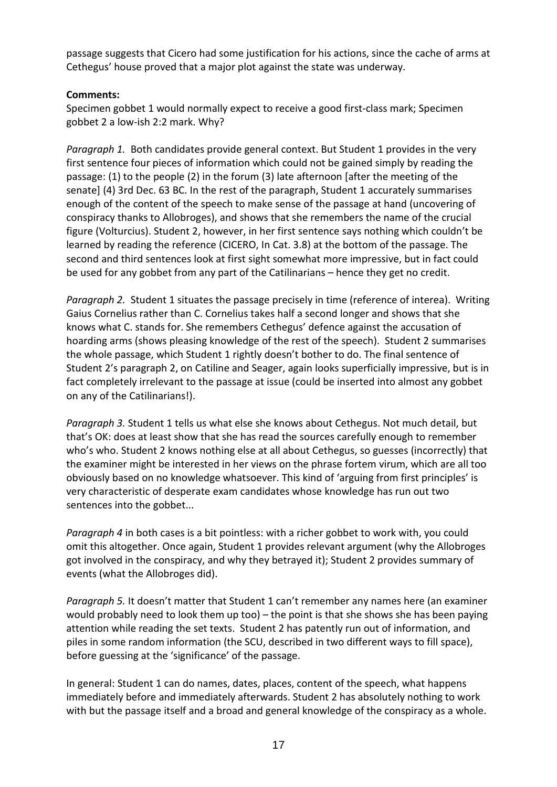passage suggests that Cicero had some justification for his actions, since the cache of arms at Cethegus' house proved that a major plot against the state was underway.

#### **Comments:**

Specimen gobbet 1 would normally expect to receive a good first-class mark; Specimen gobbet 2 a low-ish 2:2 mark. Why?

*Paragraph 1.* Both candidates provide general context. But Student 1 provides in the very first sentence four pieces of information which could not be gained simply by reading the passage: (1) to the people (2) in the forum (3) late afternoon [after the meeting of the senate] (4) 3rd Dec. 63 BC. In the rest of the paragraph, Student 1 accurately summarises enough of the content of the speech to make sense of the passage at hand (uncovering of conspiracy thanks to Allobroges), and shows that she remembers the name of the crucial figure (Volturcius). Student 2, however, in her first sentence says nothing which couldn't be learned by reading the reference (CICERO, In Cat. 3.8) at the bottom of the passage. The second and third sentences look at first sight somewhat more impressive, but in fact could be used for any gobbet from any part of the Catilinarians – hence they get no credit.

*Paragraph 2.* Student 1 situates the passage precisely in time (reference of interea). Writing Gaius Cornelius rather than C. Cornelius takes half a second longer and shows that she knows what C. stands for. She remembers Cethegus' defence against the accusation of hoarding arms (shows pleasing knowledge of the rest of the speech). Student 2 summarises the whole passage, which Student 1 rightly doesn't bother to do. The final sentence of Student 2's paragraph 2, on Catiline and Seager, again looks superficially impressive, but is in fact completely irrelevant to the passage at issue (could be inserted into almost any gobbet on any of the Catilinarians!).

*Paragraph 3.* Student 1 tells us what else she knows about Cethegus. Not much detail, but that's OK: does at least show that she has read the sources carefully enough to remember who's who. Student 2 knows nothing else at all about Cethegus, so guesses (incorrectly) that the examiner might be interested in her views on the phrase fortem virum, which are all too obviously based on no knowledge whatsoever. This kind of 'arguing from first principles' is very characteristic of desperate exam candidates whose knowledge has run out two sentences into the gobbet...

*Paragraph 4* in both cases is a bit pointless: with a richer gobbet to work with, you could omit this altogether. Once again, Student 1 provides relevant argument (why the Allobroges got involved in the conspiracy, and why they betrayed it); Student 2 provides summary of events (what the Allobroges did).

*Paragraph 5.* It doesn't matter that Student 1 can't remember any names here (an examiner would probably need to look them up too) – the point is that she shows she has been paying attention while reading the set texts. Student 2 has patently run out of information, and piles in some random information (the SCU, described in two different ways to fill space), before guessing at the 'significance' of the passage.

In general: Student 1 can do names, dates, places, content of the speech, what happens immediately before and immediately afterwards. Student 2 has absolutely nothing to work with but the passage itself and a broad and general knowledge of the conspiracy as a whole.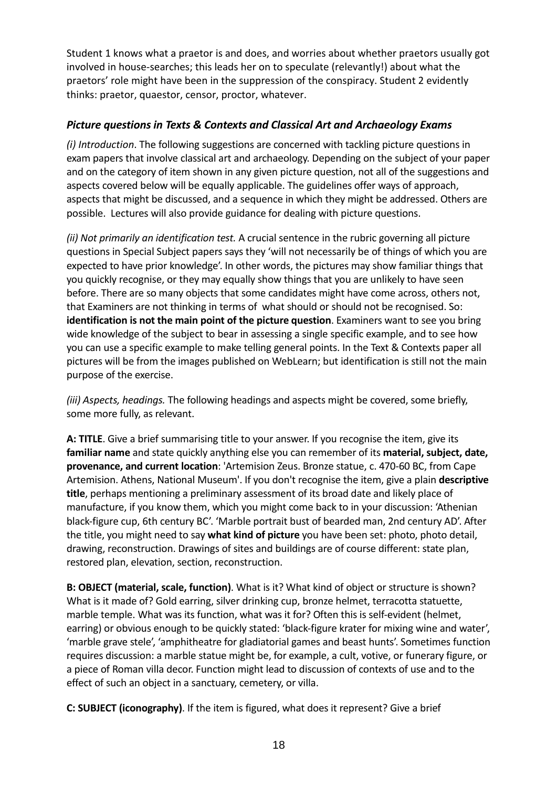Student 1 knows what a praetor is and does, and worries about whether praetors usually got involved in house-searches; this leads her on to speculate (relevantly!) about what the praetors' role might have been in the suppression of the conspiracy. Student 2 evidently thinks: praetor, quaestor, censor, proctor, whatever.

### *Picture questions in Texts & Contexts and Classical Art and Archaeology Exams*

*(i) Introduction*. The following suggestions are concerned with tackling picture questions in exam papers that involve classical art and archaeology. Depending on the subject of your paper and on the category of item shown in any given picture question, not all of the suggestions and aspects covered below will be equally applicable. The guidelines offer ways of approach, aspects that might be discussed, and a sequence in which they might be addressed. Others are possible. Lectures will also provide guidance for dealing with picture questions.

*(ii) Not primarily an identification test.* A crucial sentence in the rubric governing all picture questions in Special Subject papers says they 'will not necessarily be of things of which you are expected to have prior knowledge'. In other words, the pictures may show familiar things that you quickly recognise, or they may equally show things that you are unlikely to have seen before. There are so many objects that some candidates might have come across, others not, that Examiners are not thinking in terms of what should or should not be recognised. So: **identification is not the main point of the picture question**. Examiners want to see you bring wide knowledge of the subject to bear in assessing a single specific example, and to see how you can use a specific example to make telling general points. In the Text & Contexts paper all pictures will be from the images published on WebLearn; but identification is still not the main purpose of the exercise.

*(iii) Aspects, headings.* The following headings and aspects might be covered, some briefly, some more fully, as relevant.

**A: TITLE**. Give a brief summarising title to your answer. If you recognise the item, give its **familiar name** and state quickly anything else you can remember of its **material, subject, date, provenance, and current location**: 'Artemision Zeus. Bronze statue, c. 470-60 BC, from Cape Artemision. Athens, National Museum'. If you don't recognise the item, give a plain **descriptive title**, perhaps mentioning a preliminary assessment of its broad date and likely place of manufacture, if you know them, which you might come back to in your discussion: 'Athenian black-figure cup, 6th century BC'. 'Marble portrait bust of bearded man, 2nd century AD'. After the title, you might need to say **what kind of picture** you have been set: photo, photo detail, drawing, reconstruction. Drawings of sites and buildings are of course different: state plan, restored plan, elevation, section, reconstruction.

**B: OBJECT (material, scale, function)**. What is it? What kind of object or structure is shown? What is it made of? Gold earring, silver drinking cup, bronze helmet, terracotta statuette, marble temple. What was its function, what was it for? Often this is self-evident (helmet, earring) or obvious enough to be quickly stated: 'black-figure krater for mixing wine and water', 'marble grave stele', 'amphitheatre for gladiatorial games and beast hunts'. Sometimes function requires discussion: a marble statue might be, for example, a cult, votive, or funerary figure, or a piece of Roman villa decor. Function might lead to discussion of contexts of use and to the effect of such an object in a sanctuary, cemetery, or villa.

**C: SUBJECT (iconography)**. If the item is figured, what does it represent? Give a brief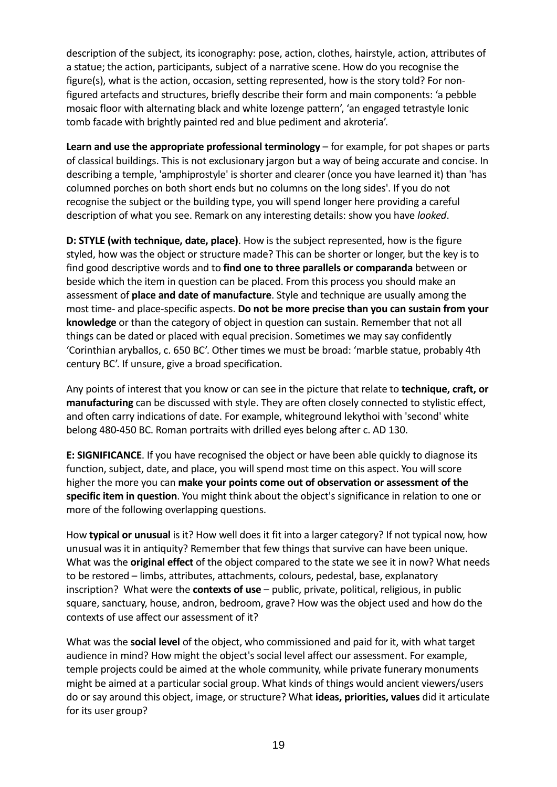description of the subject, its iconography: pose, action, clothes, hairstyle, action, attributes of a statue; the action, participants, subject of a narrative scene. How do you recognise the figure(s), what is the action, occasion, setting represented, how is the story told? For nonfigured artefacts and structures, briefly describe their form and main components: 'a pebble mosaic floor with alternating black and white lozenge pattern', 'an engaged tetrastyle Ionic tomb facade with brightly painted red and blue pediment and akroteria'.

**Learn and use the appropriate professional terminology** – for example, for pot shapes or parts of classical buildings. This is not exclusionary jargon but a way of being accurate and concise. In describing a temple, 'amphiprostyle' is shorter and clearer (once you have learned it) than 'has columned porches on both short ends but no columns on the long sides'. If you do not recognise the subject or the building type, you will spend longer here providing a careful description of what you see. Remark on any interesting details: show you have *looked*.

**D: STYLE (with technique, date, place)**. How is the subject represented, how is the figure styled, how was the object or structure made? This can be shorter or longer, but the key is to find good descriptive words and to **find one to three parallels or comparanda** between or beside which the item in question can be placed. From this process you should make an assessment of **place and date of manufacture**. Style and technique are usually among the most time- and place-specific aspects. **Do not be more precise than you can sustain from your knowledge** or than the category of object in question can sustain. Remember that not all things can be dated or placed with equal precision. Sometimes we may say confidently 'Corinthian aryballos, c. 650 BC'. Other times we must be broad: 'marble statue, probably 4th century BC'. If unsure, give a broad specification.

Any points of interest that you know or can see in the picture that relate to **technique, craft, or manufacturing** can be discussed with style. They are often closely connected to stylistic effect, and often carry indications of date. For example, whiteground lekythoi with 'second' white belong 480-450 BC. Roman portraits with drilled eyes belong after c. AD 130.

**E: SIGNIFICANCE**. If you have recognised the object or have been able quickly to diagnose its function, subject, date, and place, you will spend most time on this aspect. You will score higher the more you can **make your points come out of observation or assessment of the specific item in question**. You might think about the object's significance in relation to one or more of the following overlapping questions.

How **typical or unusual** is it? How well does it fit into a larger category? If not typical now, how unusual was it in antiquity? Remember that few things that survive can have been unique. What was the **original effect** of the object compared to the state we see it in now? What needs to be restored – limbs, attributes, attachments, colours, pedestal, base, explanatory inscription? What were the **contexts of use** – public, private, political, religious, in public square, sanctuary, house, andron, bedroom, grave? How was the object used and how do the contexts of use affect our assessment of it?

What was the **social level** of the object, who commissioned and paid for it, with what target audience in mind? How might the object's social level affect our assessment. For example, temple projects could be aimed at the whole community, while private funerary monuments might be aimed at a particular social group. What kinds of things would ancient viewers/users do or say around this object, image, or structure? What **ideas, priorities, values** did it articulate for its user group?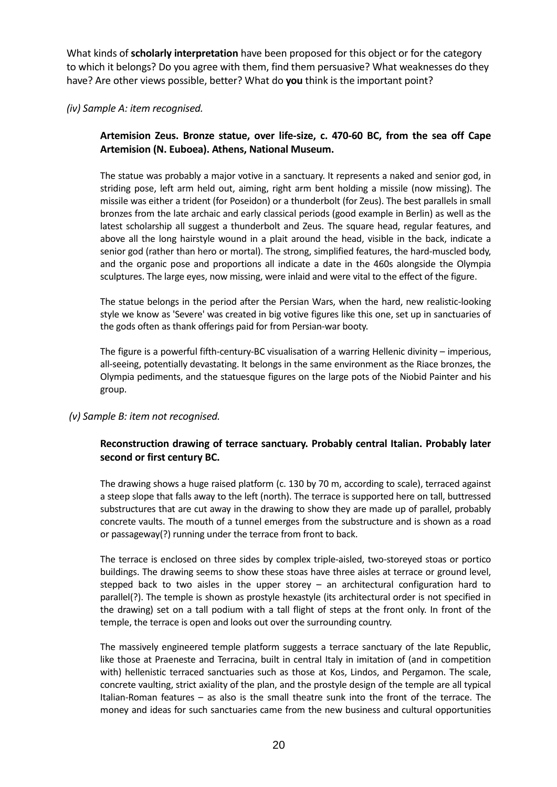What kinds of **scholarly interpretation** have been proposed for this object or for the category to which it belongs? Do you agree with them, find them persuasive? What weaknesses do they have? Are other views possible, better? What do **you** think is the important point?

#### *(iv) Sample A: item recognised.*

#### **Artemision Zeus. Bronze statue, over life-size, c. 470-60 BC, from the sea off Cape Artemision (N. Euboea). Athens, National Museum.**

The statue was probably a major votive in a sanctuary. It represents a naked and senior god, in striding pose, left arm held out, aiming, right arm bent holding a missile (now missing). The missile was either a trident (for Poseidon) or a thunderbolt (for Zeus). The best parallels in small bronzes from the late archaic and early classical periods (good example in Berlin) as well as the latest scholarship all suggest a thunderbolt and Zeus. The square head, regular features, and above all the long hairstyle wound in a plait around the head, visible in the back, indicate a senior god (rather than hero or mortal). The strong, simplified features, the hard-muscled body, and the organic pose and proportions all indicate a date in the 460s alongside the Olympia sculptures. The large eyes, now missing, were inlaid and were vital to the effect of the figure.

The statue belongs in the period after the Persian Wars, when the hard, new realistic-looking style we know as 'Severe' was created in big votive figures like this one, set up in sanctuaries of the gods often as thank offerings paid for from Persian-war booty.

The figure is a powerful fifth-century-BC visualisation of a warring Hellenic divinity – imperious, all-seeing, potentially devastating. It belongs in the same environment as the Riace bronzes, the Olympia pediments, and the statuesque figures on the large pots of the Niobid Painter and his group.

#### *(v) Sample B: item not recognised.*

#### **Reconstruction drawing of terrace sanctuary. Probably central Italian. Probably later second or first century BC.**

The drawing shows a huge raised platform (c. 130 by 70 m, according to scale), terraced against a steep slope that falls away to the left (north). The terrace is supported here on tall, buttressed substructures that are cut away in the drawing to show they are made up of parallel, probably concrete vaults. The mouth of a tunnel emerges from the substructure and is shown as a road or passageway(?) running under the terrace from front to back.

The terrace is enclosed on three sides by complex triple-aisled, two-storeyed stoas or portico buildings. The drawing seems to show these stoas have three aisles at terrace or ground level, stepped back to two aisles in the upper storey – an architectural configuration hard to parallel(?). The temple is shown as prostyle hexastyle (its architectural order is not specified in the drawing) set on a tall podium with a tall flight of steps at the front only. In front of the temple, the terrace is open and looks out over the surrounding country.

The massively engineered temple platform suggests a terrace sanctuary of the late Republic, like those at Praeneste and Terracina, built in central Italy in imitation of (and in competition with) hellenistic terraced sanctuaries such as those at Kos, Lindos, and Pergamon. The scale, concrete vaulting, strict axiality of the plan, and the prostyle design of the temple are all typical Italian-Roman features – as also is the small theatre sunk into the front of the terrace. The money and ideas for such sanctuaries came from the new business and cultural opportunities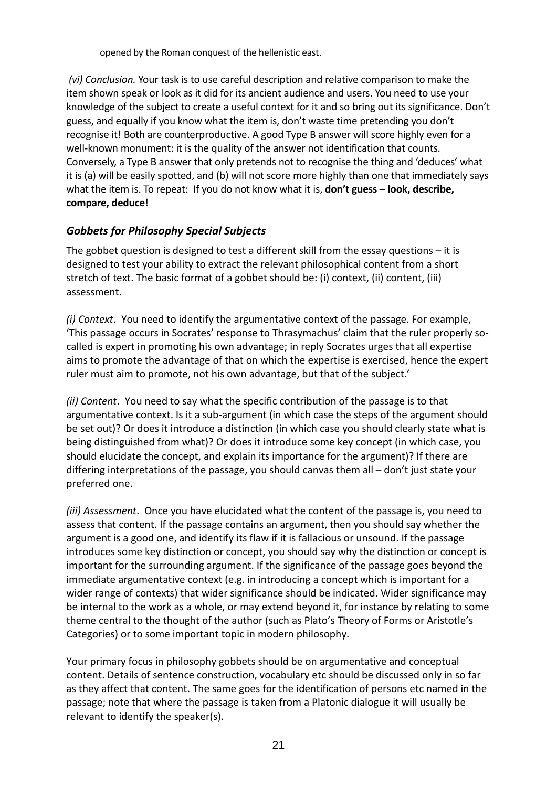opened by the Roman conquest of the hellenistic east.

 *(vi) Conclusion.* Your task is to use careful description and relative comparison to make the item shown speak or look as it did for its ancient audience and users. You need to use your knowledge of the subject to create a useful context for it and so bring out its significance. Don't guess, and equally if you know what the item is, don't waste time pretending you don't recognise it! Both are counterproductive. A good Type B answer will score highly even for a well-known monument: it is the quality of the answer not identification that counts. Conversely, a Type B answer that only pretends not to recognise the thing and 'deduces' what it is (a) will be easily spotted, and (b) will not score more highly than one that immediately says what the item is. To repeat: If you do not know what it is, **don't guess – look, describe, compare, deduce**!

#### *Gobbets for Philosophy Special Subjects*

The gobbet question is designed to test a different skill from the essay questions  $-$  it is designed to test your ability to extract the relevant philosophical content from a short stretch of text. The basic format of a gobbet should be: (i) context, (ii) content, (iii) assessment.

*(i) Context*. You need to identify the argumentative context of the passage. For example, 'This passage occurs in Socrates' response to Thrasymachus' claim that the ruler properly socalled is expert in promoting his own advantage; in reply Socrates urges that all expertise aims to promote the advantage of that on which the expertise is exercised, hence the expert ruler must aim to promote, not his own advantage, but that of the subject.'

*(ii) Content*. You need to say what the specific contribution of the passage is to that argumentative context. Is it a sub-argument (in which case the steps of the argument should be set out)? Or does it introduce a distinction (in which case you should clearly state what is being distinguished from what)? Or does it introduce some key concept (in which case, you should elucidate the concept, and explain its importance for the argument)? If there are differing interpretations of the passage, you should canvas them all – don't just state your preferred one.

*(iii) Assessment*. Once you have elucidated what the content of the passage is, you need to assess that content. If the passage contains an argument, then you should say whether the argument is a good one, and identify its flaw if it is fallacious or unsound. If the passage introduces some key distinction or concept, you should say why the distinction or concept is important for the surrounding argument. If the significance of the passage goes beyond the immediate argumentative context (e.g. in introducing a concept which is important for a wider range of contexts) that wider significance should be indicated. Wider significance may be internal to the work as a whole, or may extend beyond it, for instance by relating to some theme central to the thought of the author (such as Plato's Theory of Forms or Aristotle's Categories) or to some important topic in modern philosophy.

Your primary focus in philosophy gobbets should be on argumentative and conceptual content. Details of sentence construction, vocabulary etc should be discussed only in so far as they affect that content. The same goes for the identification of persons etc named in the passage; note that where the passage is taken from a Platonic dialogue it will usually be relevant to identify the speaker(s).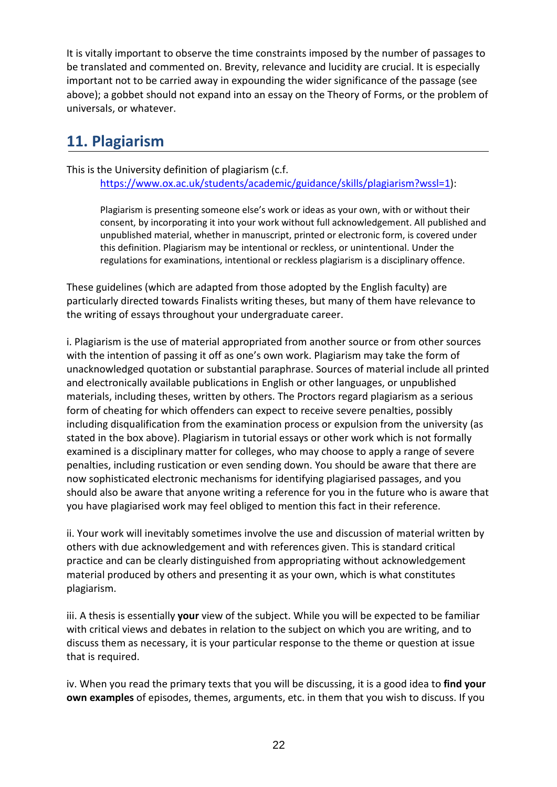It is vitally important to observe the time constraints imposed by the number of passages to be translated and commented on. Brevity, relevance and lucidity are crucial. It is especially important not to be carried away in expounding the wider significance of the passage (see above); a gobbet should not expand into an essay on the Theory of Forms, or the problem of universals, or whatever.

# **11. Plagiarism**

This is the University definition of plagiarism (c.f.

https://www.ox.ac.uk/students/academic/guidance/skills/plagiarism?wssl=1):

Plagiarism is presenting someone else's work or ideas as your own, with or without their consent, by incorporating it into your work without full acknowledgement. All published and unpublished material, whether in manuscript, printed or electronic form, is covered under this definition. Plagiarism may be intentional or reckless, or unintentional. Under the regulations for examinations, intentional or reckless plagiarism is a disciplinary offence.

These guidelines (which are adapted from those adopted by the English faculty) are particularly directed towards Finalists writing theses, but many of them have relevance to the writing of essays throughout your undergraduate career.

i. Plagiarism is the use of material appropriated from another source or from other sources with the intention of passing it off as one's own work. Plagiarism may take the form of unacknowledged quotation or substantial paraphrase. Sources of material include all printed and electronically available publications in English or other languages, or unpublished materials, including theses, written by others. The Proctors regard plagiarism as a serious form of cheating for which offenders can expect to receive severe penalties, possibly including disqualification from the examination process or expulsion from the university (as stated in the box above). Plagiarism in tutorial essays or other work which is not formally examined is a disciplinary matter for colleges, who may choose to apply a range of severe penalties, including rustication or even sending down. You should be aware that there are now sophisticated electronic mechanisms for identifying plagiarised passages, and you should also be aware that anyone writing a reference for you in the future who is aware that you have plagiarised work may feel obliged to mention this fact in their reference.

ii. Your work will inevitably sometimes involve the use and discussion of material written by others with due acknowledgement and with references given. This is standard critical practice and can be clearly distinguished from appropriating without acknowledgement material produced by others and presenting it as your own, which is what constitutes plagiarism.

iii. A thesis is essentially **your** view of the subject. While you will be expected to be familiar with critical views and debates in relation to the subject on which you are writing, and to discuss them as necessary, it is your particular response to the theme or question at issue that is required.

iv. When you read the primary texts that you will be discussing, it is a good idea to **find your own examples** of episodes, themes, arguments, etc. in them that you wish to discuss. If you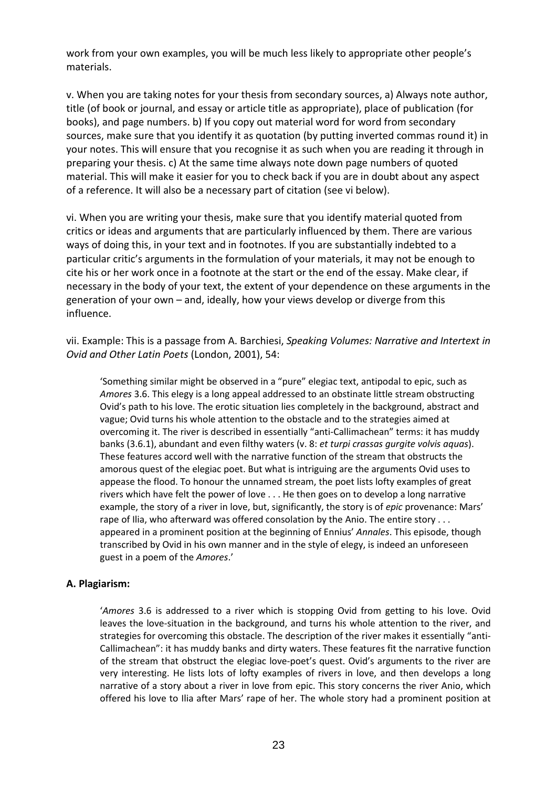work from your own examples, you will be much less likely to appropriate other people's materials.

v. When you are taking notes for your thesis from secondary sources, a) Always note author, title (of book or journal, and essay or article title as appropriate), place of publication (for books), and page numbers. b) If you copy out material word for word from secondary sources, make sure that you identify it as quotation (by putting inverted commas round it) in your notes. This will ensure that you recognise it as such when you are reading it through in preparing your thesis. c) At the same time always note down page numbers of quoted material. This will make it easier for you to check back if you are in doubt about any aspect of a reference. It will also be a necessary part of citation (see vi below).

vi. When you are writing your thesis, make sure that you identify material quoted from critics or ideas and arguments that are particularly influenced by them. There are various ways of doing this, in your text and in footnotes. If you are substantially indebted to a particular critic's arguments in the formulation of your materials, it may not be enough to cite his or her work once in a footnote at the start or the end of the essay. Make clear, if necessary in the body of your text, the extent of your dependence on these arguments in the generation of your own – and, ideally, how your views develop or diverge from this influence.

vii. Example: This is a passage from A. Barchiesi, *Speaking Volumes: Narrative and Intertext in Ovid and Other Latin Poets* (London, 2001), 54:

'Something similar might be observed in a "pure" elegiac text, antipodal to epic, such as *Amores* 3.6. This elegy is a long appeal addressed to an obstinate little stream obstructing Ovid's path to his love. The erotic situation lies completely in the background, abstract and vague; Ovid turns his whole attention to the obstacle and to the strategies aimed at overcoming it. The river is described in essentially "anti-Callimachean" terms: it has muddy banks (3.6.1), abundant and even filthy waters (v. 8: *et turpi crassas gurgite volvis aquas*). These features accord well with the narrative function of the stream that obstructs the amorous quest of the elegiac poet. But what is intriguing are the arguments Ovid uses to appease the flood. To honour the unnamed stream, the poet lists lofty examples of great rivers which have felt the power of love . . . He then goes on to develop a long narrative example, the story of a river in love, but, significantly, the story is of *epic* provenance: Mars' rape of Ilia, who afterward was offered consolation by the Anio. The entire story . . . appeared in a prominent position at the beginning of Ennius' *Annales*. This episode, though transcribed by Ovid in his own manner and in the style of elegy, is indeed an unforeseen guest in a poem of the *Amores*.'

#### **A. Plagiarism:**

'*Amores* 3.6 is addressed to a river which is stopping Ovid from getting to his love. Ovid leaves the love-situation in the background, and turns his whole attention to the river, and strategies for overcoming this obstacle. The description of the river makes it essentially "anti-Callimachean": it has muddy banks and dirty waters. These features fit the narrative function of the stream that obstruct the elegiac love-poet's quest. Ovid's arguments to the river are very interesting. He lists lots of lofty examples of rivers in love, and then develops a long narrative of a story about a river in love from epic. This story concerns the river Anio, which offered his love to Ilia after Mars' rape of her. The whole story had a prominent position at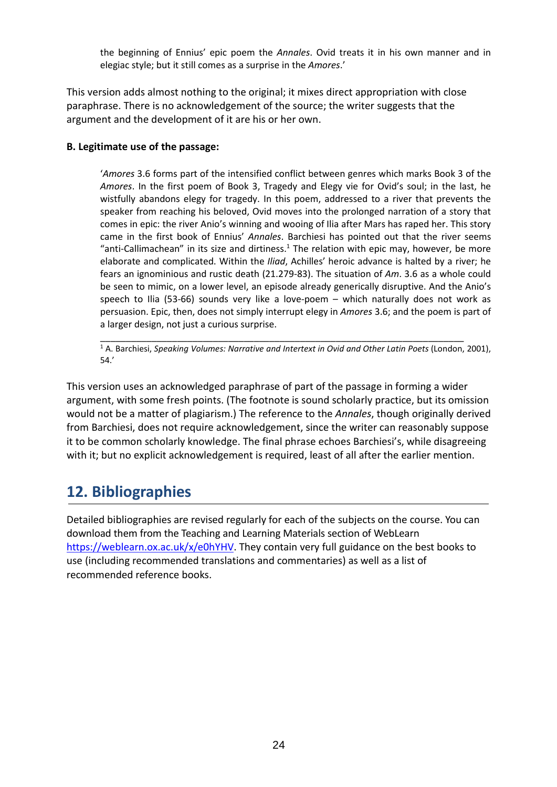the beginning of Ennius' epic poem the *Annales*. Ovid treats it in his own manner and in elegiac style; but it still comes as a surprise in the *Amores*.'

This version adds almost nothing to the original; it mixes direct appropriation with close paraphrase. There is no acknowledgement of the source; the writer suggests that the argument and the development of it are his or her own.

#### **B. Legitimate use of the passage:**

'*Amores* 3.6 forms part of the intensified conflict between genres which marks Book 3 of the *Amores*. In the first poem of Book 3, Tragedy and Elegy vie for Ovid's soul; in the last, he wistfully abandons elegy for tragedy. In this poem, addressed to a river that prevents the speaker from reaching his beloved, Ovid moves into the prolonged narration of a story that comes in epic: the river Anio's winning and wooing of Ilia after Mars has raped her. This story came in the first book of Ennius' *Annales*. Barchiesi has pointed out that the river seems "anti-Callimachean" in its size and dirtiness.<sup>1</sup> The relation with epic may, however, be more elaborate and complicated. Within the *Iliad*, Achilles' heroic advance is halted by a river; he fears an ignominious and rustic death (21.279-83). The situation of *Am*. 3.6 as a whole could be seen to mimic, on a lower level, an episode already generically disruptive. And the Anio's speech to Ilia (53-66) sounds very like a love-poem – which naturally does not work as persuasion. Epic, then, does not simply interrupt elegy in *Amores* 3.6; and the poem is part of a larger design, not just a curious surprise.

\_\_\_\_\_\_\_\_\_\_\_\_\_\_\_\_\_\_\_\_\_\_\_\_\_\_\_\_\_\_\_\_\_\_\_\_\_\_\_\_\_\_\_\_\_\_\_\_\_\_\_\_\_\_\_\_\_\_\_\_\_\_\_\_\_\_\_\_\_\_\_ <sup>1</sup> A. Barchiesi, *Speaking Volumes: Narrative and Intertext in Ovid and Other Latin Poets* (London, 2001), 54.'

This version uses an acknowledged paraphrase of part of the passage in forming a wider argument, with some fresh points. (The footnote is sound scholarly practice, but its omission would not be a matter of plagiarism.) The reference to the *Annales*, though originally derived from Barchiesi, does not require acknowledgement, since the writer can reasonably suppose it to be common scholarly knowledge. The final phrase echoes Barchiesi's, while disagreeing with it; but no explicit acknowledgement is required, least of all after the earlier mention.

# **12. Bibliographies**

Detailed bibliographies are revised regularly for each of the subjects on the course. You can download them from the Teaching and Learning Materials section of WebLearn https://weblearn.ox.ac.uk/x/e0hYHV. They contain very full guidance on the best books to use (including recommended translations and commentaries) as well as a list of recommended reference books.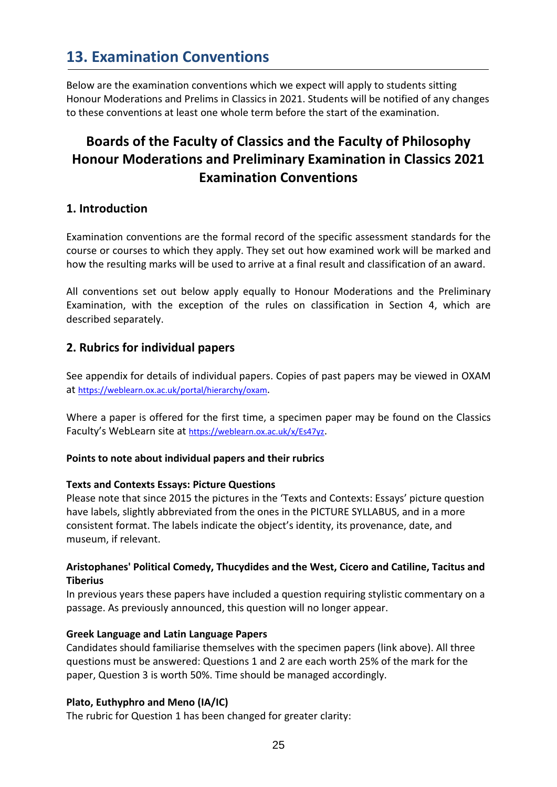# **13. Examination Conventions**

Below are the examination conventions which we expect will apply to students sitting Honour Moderations and Prelims in Classics in 2021. Students will be notified of any changes to these conventions at least one whole term before the start of the examination.

# **Boards of the Faculty of Classics and the Faculty of Philosophy Honour Moderations and Preliminary Examination in Classics 2021 Examination Conventions**

#### **1. Introduction**

Examination conventions are the formal record of the specific assessment standards for the course or courses to which they apply. They set out how examined work will be marked and how the resulting marks will be used to arrive at a final result and classification of an award.

All conventions set out below apply equally to Honour Moderations and the Preliminary Examination, with the exception of the rules on classification in Section 4, which are described separately.

#### **2. Rubrics for individual papers**

See appendix for details of individual papers. Copies of past papers may be viewed in OXAM at https://weblearn.ox.ac.uk/portal/hierarchy/oxam.

Where a paper is offered for the first time, a specimen paper may be found on the Classics Faculty's WebLearn site at https://weblearn.ox.ac.uk/x/Es47yz.

#### **Points to note about individual papers and their rubrics**

#### **Texts and Contexts Essays: Picture Questions**

Please note that since 2015 the pictures in the 'Texts and Contexts: Essays' picture question have labels, slightly abbreviated from the ones in the PICTURE SYLLABUS, and in a more consistent format. The labels indicate the object's identity, its provenance, date, and museum, if relevant.

#### **Aristophanes' Political Comedy, Thucydides and the West, Cicero and Catiline, Tacitus and Tiberius**

In previous years these papers have included a question requiring stylistic commentary on a passage. As previously announced, this question will no longer appear.

#### **Greek Language and Latin Language Papers**

Candidates should familiarise themselves with the specimen papers (link above). All three questions must be answered: Questions 1 and 2 are each worth 25% of the mark for the paper, Question 3 is worth 50%. Time should be managed accordingly.

#### **Plato, Euthyphro and Meno (IA/IC)**

The rubric for Question 1 has been changed for greater clarity: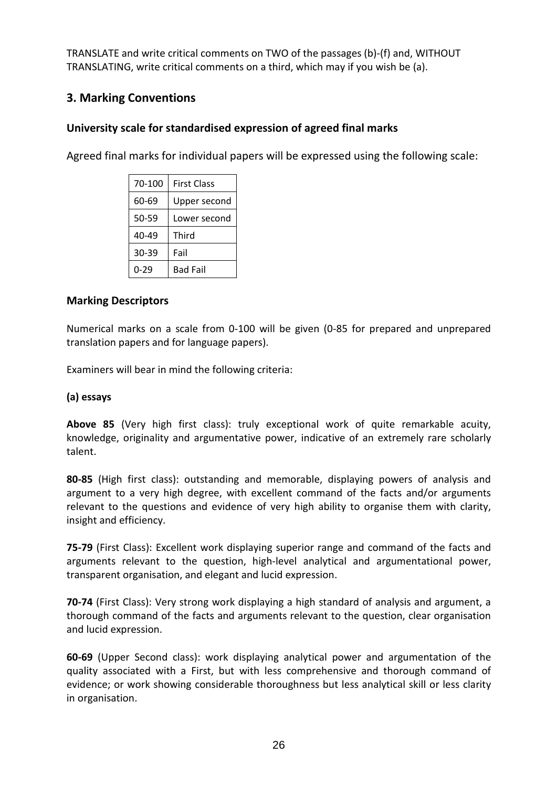TRANSLATE and write critical comments on TWO of the passages (b)-(f) and, WITHOUT TRANSLATING, write critical comments on a third, which may if you wish be (a).

### **3. Marking Conventions**

### **University scale for standardised expression of agreed final marks**

Agreed final marks for individual papers will be expressed using the following scale:

| 70-100 | <b>First Class</b> |
|--------|--------------------|
| 60-69  | Upper second       |
| 50-59  | Lower second       |
| 40-49  | Third              |
| 30-39  | Fail               |
| 0-29   | <b>Bad Fail</b>    |

#### **Marking Descriptors**

Numerical marks on a scale from 0-100 will be given (0-85 for prepared and unprepared translation papers and for language papers).

Examiners will bear in mind the following criteria:

#### **(a) essays**

**Above 85** (Very high first class): truly exceptional work of quite remarkable acuity, knowledge, originality and argumentative power, indicative of an extremely rare scholarly talent.

**80-85** (High first class): outstanding and memorable, displaying powers of analysis and argument to a very high degree, with excellent command of the facts and/or arguments relevant to the questions and evidence of very high ability to organise them with clarity, insight and efficiency.

**75‐79** (First Class): Excellent work displaying superior range and command of the facts and arguments relevant to the question, high-level analytical and argumentational power, transparent organisation, and elegant and lucid expression.

**70‐74** (First Class): Very strong work displaying a high standard of analysis and argument, a thorough command of the facts and arguments relevant to the question, clear organisation and lucid expression.

**60-69** (Upper Second class): work displaying analytical power and argumentation of the quality associated with a First, but with less comprehensive and thorough command of evidence; or work showing considerable thoroughness but less analytical skill or less clarity in organisation.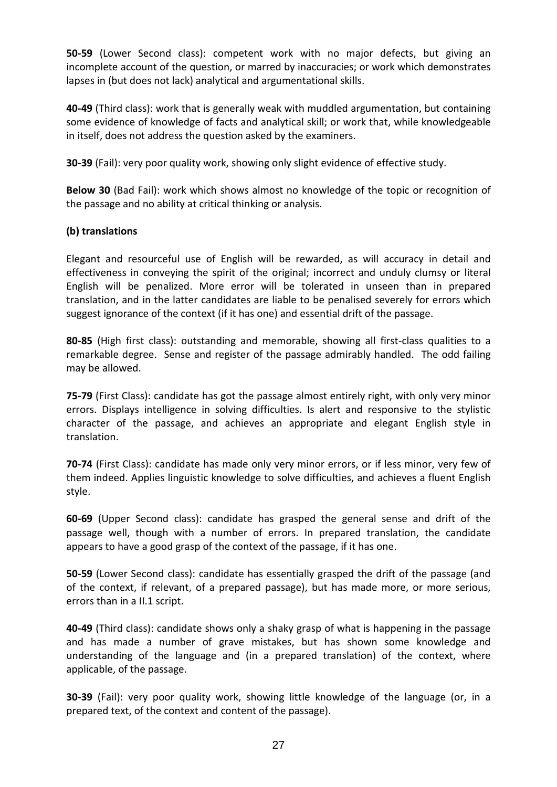**50-59** (Lower Second class): competent work with no major defects, but giving an incomplete account of the question, or marred by inaccuracies; or work which demonstrates lapses in (but does not lack) analytical and argumentational skills.

**40-49** (Third class): work that is generally weak with muddled argumentation, but containing some evidence of knowledge of facts and analytical skill; or work that, while knowledgeable in itself, does not address the question asked by the examiners.

**30-39** (Fail): very poor quality work, showing only slight evidence of effective study.

**Below 30** (Bad Fail): work which shows almost no knowledge of the topic or recognition of the passage and no ability at critical thinking or analysis.

#### **(b) translations**

Elegant and resourceful use of English will be rewarded, as will accuracy in detail and effectiveness in conveying the spirit of the original; incorrect and unduly clumsy or literal English will be penalized. More error will be tolerated in unseen than in prepared translation, and in the latter candidates are liable to be penalised severely for errors which suggest ignorance of the context (if it has one) and essential drift of the passage.

**80-85** (High first class): outstanding and memorable, showing all first-class qualities to a remarkable degree. Sense and register of the passage admirably handled. The odd failing may be allowed.

**75‐79** (First Class): candidate has got the passage almost entirely right, with only very minor errors. Displays intelligence in solving difficulties. Is alert and responsive to the stylistic character of the passage, and achieves an appropriate and elegant English style in translation.

**70‐74** (First Class): candidate has made only very minor errors, or if less minor, very few of them indeed. Applies linguistic knowledge to solve difficulties, and achieves a fluent English style.

**60-69** (Upper Second class): candidate has grasped the general sense and drift of the passage well, though with a number of errors. In prepared translation, the candidate appears to have a good grasp of the context of the passage, if it has one.

**50-59** (Lower Second class): candidate has essentially grasped the drift of the passage (and of the context, if relevant, of a prepared passage), but has made more, or more serious, errors than in a II.1 script.

**40-49** (Third class): candidate shows only a shaky grasp of what is happening in the passage and has made a number of grave mistakes, but has shown some knowledge and understanding of the language and (in a prepared translation) of the context, where applicable, of the passage.

**30-39** (Fail): very poor quality work, showing little knowledge of the language (or, in a prepared text, of the context and content of the passage).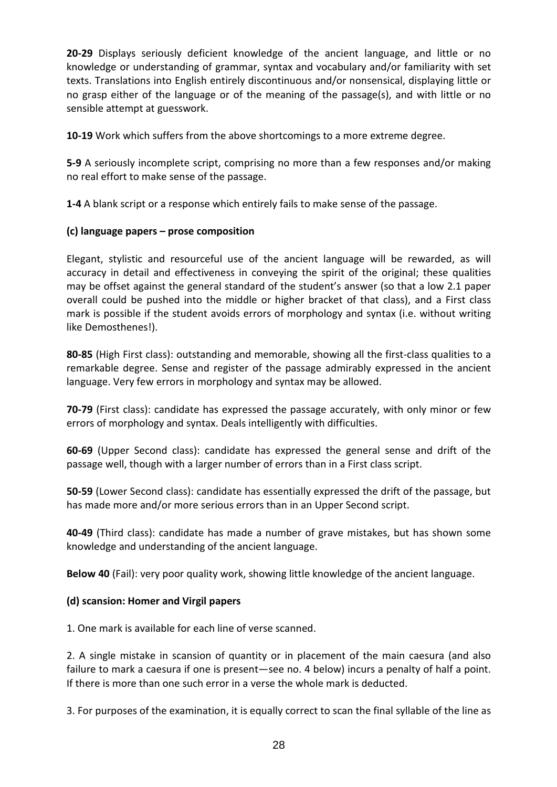**20-29** Displays seriously deficient knowledge of the ancient language, and little or no knowledge or understanding of grammar, syntax and vocabulary and/or familiarity with set texts. Translations into English entirely discontinuous and/or nonsensical, displaying little or no grasp either of the language or of the meaning of the passage(s), and with little or no sensible attempt at guesswork.

**10-19** Work which suffers from the above shortcomings to a more extreme degree.

**5-9** A seriously incomplete script, comprising no more than a few responses and/or making no real effort to make sense of the passage.

**1-4** A blank script or a response which entirely fails to make sense of the passage.

#### **(c) language papers – prose composition**

Elegant, stylistic and resourceful use of the ancient language will be rewarded, as will accuracy in detail and effectiveness in conveying the spirit of the original; these qualities may be offset against the general standard of the student's answer (so that a low 2.1 paper overall could be pushed into the middle or higher bracket of that class), and a First class mark is possible if the student avoids errors of morphology and syntax (i.e. without writing like Demosthenes!).

**80-85** (High First class): outstanding and memorable, showing all the first-class qualities to a remarkable degree. Sense and register of the passage admirably expressed in the ancient language. Very few errors in morphology and syntax may be allowed.

**70-79** (First class): candidate has expressed the passage accurately, with only minor or few errors of morphology and syntax. Deals intelligently with difficulties.

**60-69** (Upper Second class): candidate has expressed the general sense and drift of the passage well, though with a larger number of errors than in a First class script.

**50-59** (Lower Second class): candidate has essentially expressed the drift of the passage, but has made more and/or more serious errors than in an Upper Second script.

**40-49** (Third class): candidate has made a number of grave mistakes, but has shown some knowledge and understanding of the ancient language.

**Below 40** (Fail): very poor quality work, showing little knowledge of the ancient language.

#### **(d) scansion: Homer and Virgil papers**

1. One mark is available for each line of verse scanned.

2. A single mistake in scansion of quantity or in placement of the main caesura (and also failure to mark a caesura if one is present—see no. 4 below) incurs a penalty of half a point. If there is more than one such error in a verse the whole mark is deducted.

3. For purposes of the examination, it is equally correct to scan the final syllable of the line as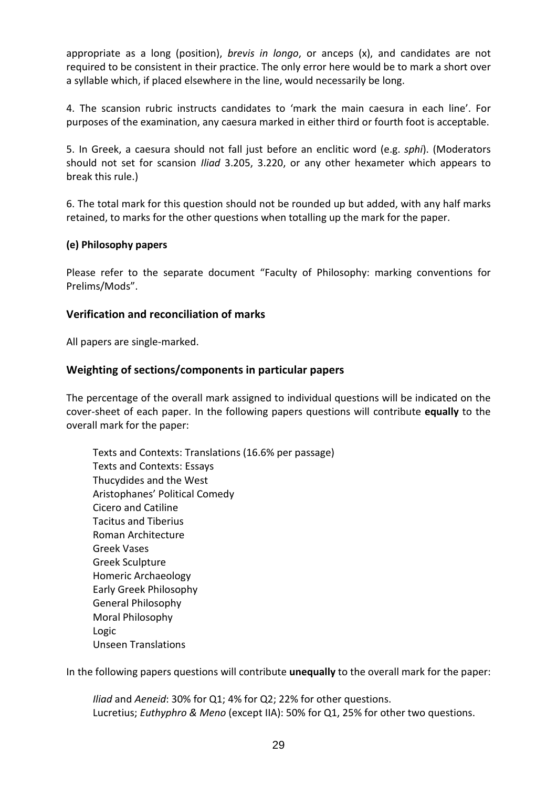appropriate as a long (position), *brevis in longo*, or anceps (x), and candidates are not required to be consistent in their practice. The only error here would be to mark a short over a syllable which, if placed elsewhere in the line, would necessarily be long.

4. The scansion rubric instructs candidates to 'mark the main caesura in each line'. For purposes of the examination, any caesura marked in either third or fourth foot is acceptable.

5. In Greek, a caesura should not fall just before an enclitic word (e.g. *sphi*). (Moderators should not set for scansion *Iliad* 3.205, 3.220, or any other hexameter which appears to break this rule.)

6. The total mark for this question should not be rounded up but added, with any half marks retained, to marks for the other questions when totalling up the mark for the paper.

#### **(e) Philosophy papers**

Please refer to the separate document "Faculty of Philosophy: marking conventions for Prelims/Mods".

#### **Verification and reconciliation of marks**

All papers are single-marked.

#### **Weighting of sections/components in particular papers**

The percentage of the overall mark assigned to individual questions will be indicated on the cover-sheet of each paper. In the following papers questions will contribute **equally** to the overall mark for the paper:

Texts and Contexts: Translations (16.6% per passage) Texts and Contexts: Essays Thucydides and the West Aristophanes' Political Comedy Cicero and Catiline Tacitus and Tiberius Roman Architecture Greek Vases Greek Sculpture Homeric Archaeology Early Greek Philosophy General Philosophy Moral Philosophy Logic Unseen Translations

In the following papers questions will contribute **unequally** to the overall mark for the paper:

*Iliad* and *Aeneid*: 30% for Q1; 4% for Q2; 22% for other questions. Lucretius; *Euthyphro & Meno* (except IIA): 50% for Q1, 25% for other two questions.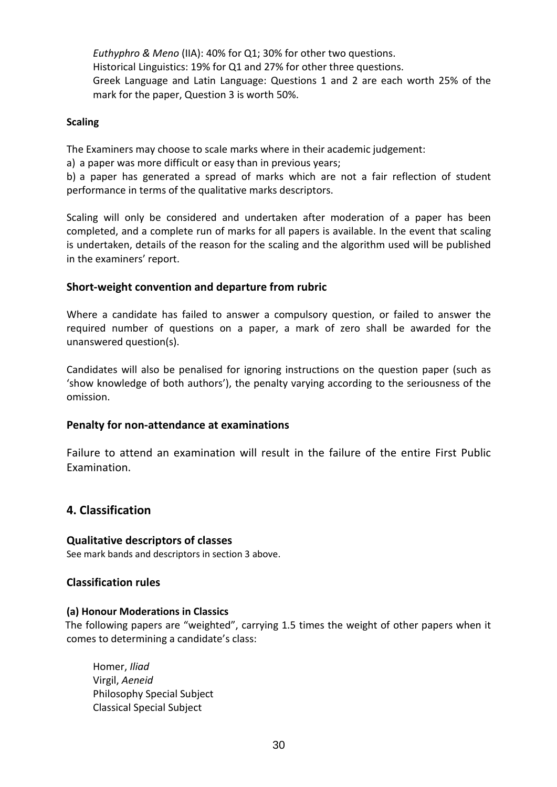*Euthyphro & Meno* (IIA): 40% for Q1; 30% for other two questions. Historical Linguistics: 19% for Q1 and 27% for other three questions. Greek Language and Latin Language: Questions 1 and 2 are each worth 25% of the mark for the paper, Question 3 is worth 50%.

#### **Scaling**

The Examiners may choose to scale marks where in their academic judgement:

a) a paper was more difficult or easy than in previous years;

b) a paper has generated a spread of marks which are not a fair reflection of student performance in terms of the qualitative marks descriptors.

Scaling will only be considered and undertaken after moderation of a paper has been completed, and a complete run of marks for all papers is available. In the event that scaling is undertaken, details of the reason for the scaling and the algorithm used will be published in the examiners' report.

#### **Short-weight convention and departure from rubric**

Where a candidate has failed to answer a compulsory question, or failed to answer the required number of questions on a paper, a mark of zero shall be awarded for the unanswered question(s).

Candidates will also be penalised for ignoring instructions on the question paper (such as 'show knowledge of both authors'), the penalty varying according to the seriousness of the omission.

#### **Penalty for non-attendance at examinations**

 Failure to attend an examination will result in the failure of the entire First Public Examination.

#### **4. Classification**

 **Qualitative descriptors of classes**  See mark bands and descriptors in section 3 above.

#### **Classification rules**

#### **(a) Honour Moderations in Classics**

The following papers are "weighted", carrying 1.5 times the weight of other papers when it comes to determining a candidate's class:

 Homer, *Iliad*  Virgil, *Aeneid* Philosophy Special Subject Classical Special Subject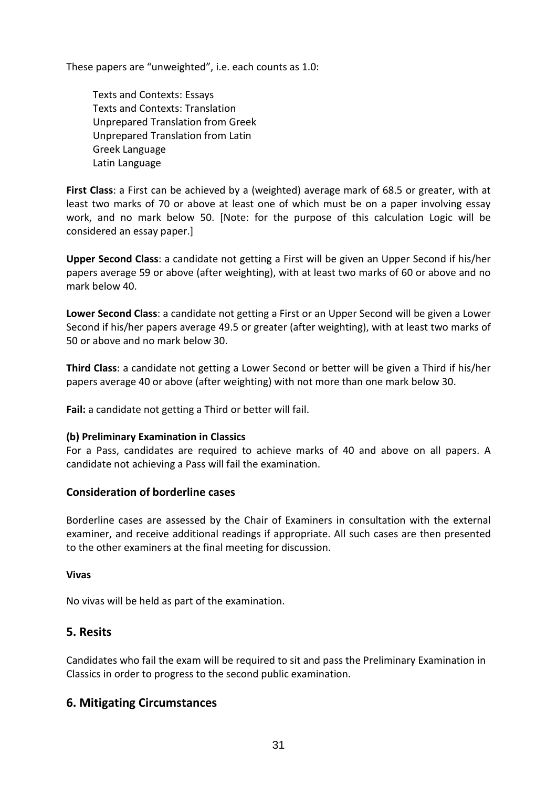These papers are "unweighted", i.e. each counts as 1.0:

 Texts and Contexts: Essays Texts and Contexts: Translation Unprepared Translation from Greek Unprepared Translation from Latin Greek Language Latin Language

**First Class**: a First can be achieved by a (weighted) average mark of 68.5 or greater, with at least two marks of 70 or above at least one of which must be on a paper involving essay work, and no mark below 50. [Note: for the purpose of this calculation Logic will be considered an essay paper.]

**Upper Second Class**: a candidate not getting a First will be given an Upper Second if his/her papers average 59 or above (after weighting), with at least two marks of 60 or above and no mark below 40.

**Lower Second Class**: a candidate not getting a First or an Upper Second will be given a Lower Second if his/her papers average 49.5 or greater (after weighting), with at least two marks of 50 or above and no mark below 30.

**Third Class**: a candidate not getting a Lower Second or better will be given a Third if his/her papers average 40 or above (after weighting) with not more than one mark below 30.

**Fail:** a candidate not getting a Third or better will fail.

#### **(b) Preliminary Examination in Classics**

For a Pass, candidates are required to achieve marks of 40 and above on all papers. A candidate not achieving a Pass will fail the examination.

#### **Consideration of borderline cases**

Borderline cases are assessed by the Chair of Examiners in consultation with the external examiner, and receive additional readings if appropriate. All such cases are then presented to the other examiners at the final meeting for discussion.

#### **Vivas**

No vivas will be held as part of the examination.

#### **5. Resits**

Candidates who fail the exam will be required to sit and pass the Preliminary Examination in Classics in order to progress to the second public examination.

#### **6. Mitigating Circumstances**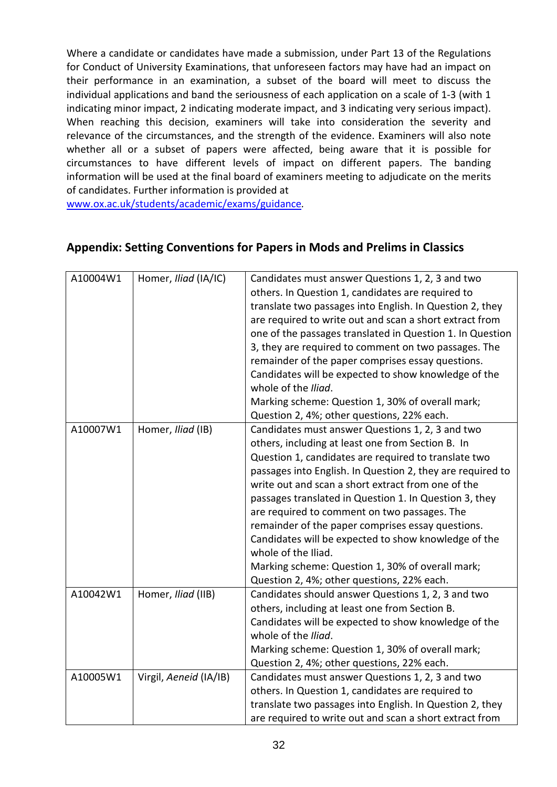Where a candidate or candidates have made a submission, under Part 13 of the Regulations for Conduct of University Examinations, that unforeseen factors may have had an impact on their performance in an examination, a subset of the board will meet to discuss the individual applications and band the seriousness of each application on a scale of 1-3 (with 1 indicating minor impact, 2 indicating moderate impact, and 3 indicating very serious impact). When reaching this decision, examiners will take into consideration the severity and relevance of the circumstances, and the strength of the evidence. Examiners will also note whether all or a subset of papers were affected, being aware that it is possible for circumstances to have different levels of impact on different papers. The banding information will be used at the final board of examiners meeting to adjudicate on the merits of candidates. Further information is provided at

www.ox.ac.uk/students/academic/exams/guidance*.*

| A10004W1 | Homer, Iliad (IA/IC)   | Candidates must answer Questions 1, 2, 3 and two<br>others. In Question 1, candidates are required to<br>translate two passages into English. In Question 2, they<br>are required to write out and scan a short extract from<br>one of the passages translated in Question 1. In Question<br>3, they are required to comment on two passages. The<br>remainder of the paper comprises essay questions.<br>Candidates will be expected to show knowledge of the<br>whole of the Iliad.                                                                                                                                             |
|----------|------------------------|-----------------------------------------------------------------------------------------------------------------------------------------------------------------------------------------------------------------------------------------------------------------------------------------------------------------------------------------------------------------------------------------------------------------------------------------------------------------------------------------------------------------------------------------------------------------------------------------------------------------------------------|
|          |                        | Marking scheme: Question 1, 30% of overall mark;<br>Question 2, 4%; other questions, 22% each.                                                                                                                                                                                                                                                                                                                                                                                                                                                                                                                                    |
| A10007W1 | Homer, Iliad (IB)      | Candidates must answer Questions 1, 2, 3 and two<br>others, including at least one from Section B. In<br>Question 1, candidates are required to translate two<br>passages into English. In Question 2, they are required to<br>write out and scan a short extract from one of the<br>passages translated in Question 1. In Question 3, they<br>are required to comment on two passages. The<br>remainder of the paper comprises essay questions.<br>Candidates will be expected to show knowledge of the<br>whole of the Iliad.<br>Marking scheme: Question 1, 30% of overall mark;<br>Question 2, 4%; other questions, 22% each. |
| A10042W1 | Homer, Iliad (IIB)     | Candidates should answer Questions 1, 2, 3 and two<br>others, including at least one from Section B.<br>Candidates will be expected to show knowledge of the<br>whole of the Iliad.<br>Marking scheme: Question 1, 30% of overall mark;<br>Question 2, 4%; other questions, 22% each.                                                                                                                                                                                                                                                                                                                                             |
| A10005W1 | Virgil, Aeneid (IA/IB) | Candidates must answer Questions 1, 2, 3 and two<br>others. In Question 1, candidates are required to<br>translate two passages into English. In Question 2, they<br>are required to write out and scan a short extract from                                                                                                                                                                                                                                                                                                                                                                                                      |

### **Appendix: Setting Conventions for Papers in Mods and Prelims in Classics**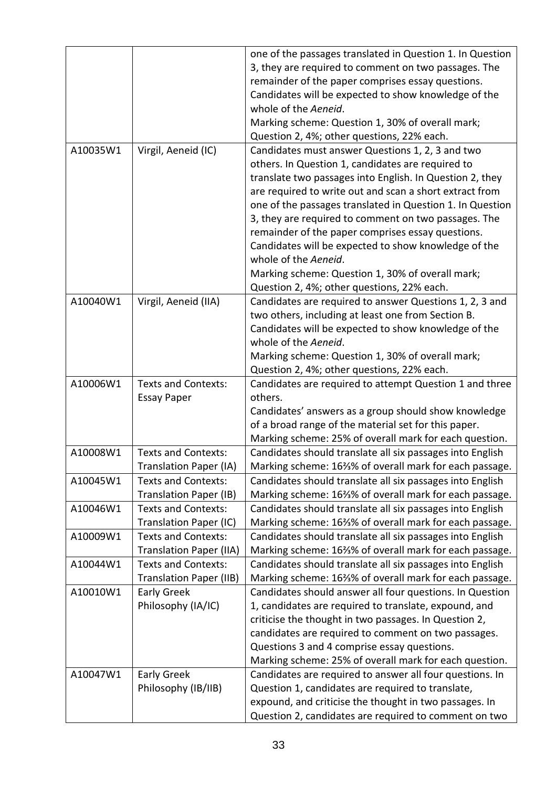|          |                                | one of the passages translated in Question 1. In Question |
|----------|--------------------------------|-----------------------------------------------------------|
|          |                                | 3, they are required to comment on two passages. The      |
|          |                                | remainder of the paper comprises essay questions.         |
|          |                                | Candidates will be expected to show knowledge of the      |
|          |                                | whole of the Aeneid.                                      |
|          |                                |                                                           |
|          |                                | Marking scheme: Question 1, 30% of overall mark;          |
|          |                                | Question 2, 4%; other questions, 22% each.                |
| A10035W1 | Virgil, Aeneid (IC)            | Candidates must answer Questions 1, 2, 3 and two          |
|          |                                | others. In Question 1, candidates are required to         |
|          |                                | translate two passages into English. In Question 2, they  |
|          |                                | are required to write out and scan a short extract from   |
|          |                                | one of the passages translated in Question 1. In Question |
|          |                                | 3, they are required to comment on two passages. The      |
|          |                                | remainder of the paper comprises essay questions.         |
|          |                                | Candidates will be expected to show knowledge of the      |
|          |                                | whole of the Aeneid.                                      |
|          |                                | Marking scheme: Question 1, 30% of overall mark;          |
|          |                                | Question 2, 4%; other questions, 22% each.                |
| A10040W1 | Virgil, Aeneid (IIA)           | Candidates are required to answer Questions 1, 2, 3 and   |
|          |                                | two others, including at least one from Section B.        |
|          |                                | Candidates will be expected to show knowledge of the      |
|          |                                | whole of the Aeneid.                                      |
|          |                                | Marking scheme: Question 1, 30% of overall mark;          |
|          |                                | Question 2, 4%; other questions, 22% each.                |
| A10006W1 | <b>Texts and Contexts:</b>     | Candidates are required to attempt Question 1 and three   |
|          | <b>Essay Paper</b>             | others.                                                   |
|          |                                | Candidates' answers as a group should show knowledge      |
|          |                                | of a broad range of the material set for this paper.      |
|          |                                | Marking scheme: 25% of overall mark for each question.    |
| A10008W1 | <b>Texts and Contexts:</b>     | Candidates should translate all six passages into English |
|          | <b>Translation Paper (IA)</b>  | Marking scheme: 16%% of overall mark for each passage.    |
| A10045W1 | <b>Texts and Contexts:</b>     | Candidates should translate all six passages into English |
|          | <b>Translation Paper (IB)</b>  | Marking scheme: 163% of overall mark for each passage.    |
| A10046W1 | <b>Texts and Contexts:</b>     | Candidates should translate all six passages into English |
|          | Translation Paper (IC)         | Marking scheme: 16%% of overall mark for each passage.    |
| A10009W1 | <b>Texts and Contexts:</b>     | Candidates should translate all six passages into English |
|          | <b>Translation Paper (IIA)</b> | Marking scheme: 163% of overall mark for each passage.    |
| A10044W1 | <b>Texts and Contexts:</b>     | Candidates should translate all six passages into English |
|          | <b>Translation Paper (IIB)</b> | Marking scheme: 16%% of overall mark for each passage.    |
| A10010W1 | <b>Early Greek</b>             | Candidates should answer all four questions. In Question  |
|          | Philosophy (IA/IC)             | 1, candidates are required to translate, expound, and     |
|          |                                | criticise the thought in two passages. In Question 2,     |
|          |                                | candidates are required to comment on two passages.       |
|          |                                | Questions 3 and 4 comprise essay questions.               |
|          |                                | Marking scheme: 25% of overall mark for each question.    |
| A10047W1 | <b>Early Greek</b>             | Candidates are required to answer all four questions. In  |
|          | Philosophy (IB/IIB)            | Question 1, candidates are required to translate,         |
|          |                                | expound, and criticise the thought in two passages. In    |
|          |                                | Question 2, candidates are required to comment on two     |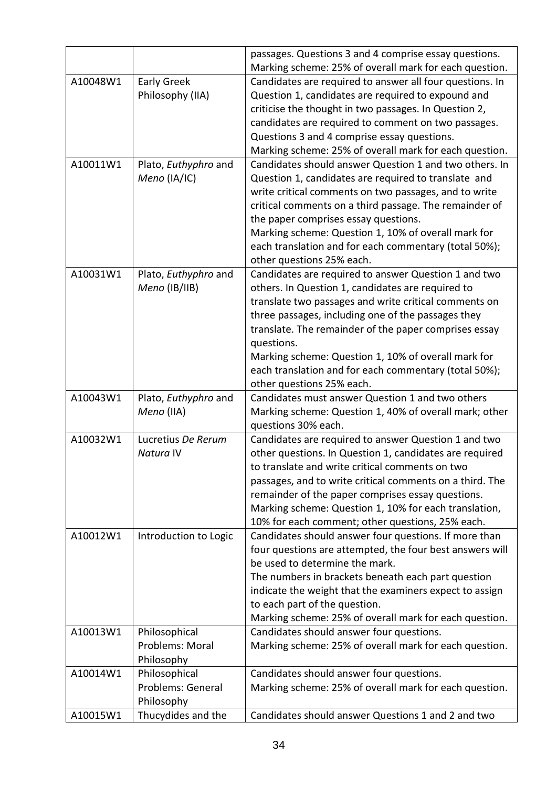|          |                       | passages. Questions 3 and 4 comprise essay questions.    |
|----------|-----------------------|----------------------------------------------------------|
|          |                       | Marking scheme: 25% of overall mark for each question.   |
| A10048W1 | <b>Early Greek</b>    | Candidates are required to answer all four questions. In |
|          | Philosophy (IIA)      | Question 1, candidates are required to expound and       |
|          |                       | criticise the thought in two passages. In Question 2,    |
|          |                       | candidates are required to comment on two passages.      |
|          |                       | Questions 3 and 4 comprise essay questions.              |
|          |                       | Marking scheme: 25% of overall mark for each question.   |
| A10011W1 | Plato, Euthyphro and  | Candidates should answer Question 1 and two others. In   |
|          | Meno (IA/IC)          | Question 1, candidates are required to translate and     |
|          |                       | write critical comments on two passages, and to write    |
|          |                       | critical comments on a third passage. The remainder of   |
|          |                       | the paper comprises essay questions.                     |
|          |                       | Marking scheme: Question 1, 10% of overall mark for      |
|          |                       | each translation and for each commentary (total 50%);    |
|          |                       | other questions 25% each.                                |
| A10031W1 | Plato, Euthyphro and  | Candidates are required to answer Question 1 and two     |
|          | Meno (IB/IIB)         | others. In Question 1, candidates are required to        |
|          |                       | translate two passages and write critical comments on    |
|          |                       | three passages, including one of the passages they       |
|          |                       | translate. The remainder of the paper comprises essay    |
|          |                       | questions.                                               |
|          |                       | Marking scheme: Question 1, 10% of overall mark for      |
|          |                       | each translation and for each commentary (total 50%);    |
|          |                       | other questions 25% each.                                |
| A10043W1 | Plato, Euthyphro and  | Candidates must answer Question 1 and two others         |
|          | Meno (IIA)            | Marking scheme: Question 1, 40% of overall mark; other   |
|          |                       | questions 30% each.                                      |
| A10032W1 | Lucretius De Rerum    | Candidates are required to answer Question 1 and two     |
|          | Natura IV             | other questions. In Question 1, candidates are required  |
|          |                       | to translate and write critical comments on two          |
|          |                       | passages, and to write critical comments on a third. The |
|          |                       | remainder of the paper comprises essay questions.        |
|          |                       | Marking scheme: Question 1, 10% for each translation,    |
|          |                       | 10% for each comment; other questions, 25% each.         |
| A10012W1 | Introduction to Logic | Candidates should answer four questions. If more than    |
|          |                       | four questions are attempted, the four best answers will |
|          |                       | be used to determine the mark.                           |
|          |                       | The numbers in brackets beneath each part question       |
|          |                       | indicate the weight that the examiners expect to assign  |
|          |                       | to each part of the question.                            |
|          |                       | Marking scheme: 25% of overall mark for each question.   |
| A10013W1 | Philosophical         | Candidates should answer four questions.                 |
|          | Problems: Moral       | Marking scheme: 25% of overall mark for each question.   |
|          | Philosophy            |                                                          |
| A10014W1 | Philosophical         | Candidates should answer four questions.                 |
|          | Problems: General     | Marking scheme: 25% of overall mark for each question.   |
|          | Philosophy            |                                                          |
| A10015W1 | Thucydides and the    | Candidates should answer Questions 1 and 2 and two       |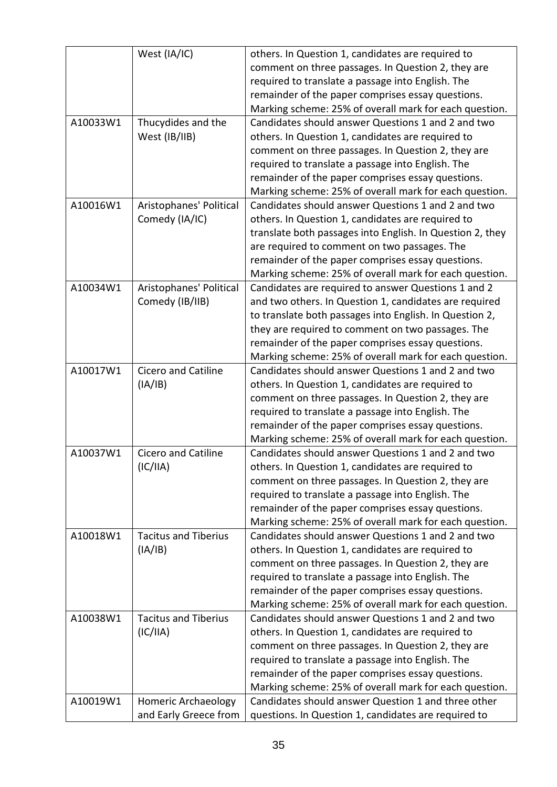|          | West (IA/IC)                | others. In Question 1, candidates are required to         |
|----------|-----------------------------|-----------------------------------------------------------|
|          |                             | comment on three passages. In Question 2, they are        |
|          |                             | required to translate a passage into English. The         |
|          |                             | remainder of the paper comprises essay questions.         |
|          |                             | Marking scheme: 25% of overall mark for each question.    |
| A10033W1 | Thucydides and the          | Candidates should answer Questions 1 and 2 and two        |
|          | West (IB/IIB)               | others. In Question 1, candidates are required to         |
|          |                             | comment on three passages. In Question 2, they are        |
|          |                             | required to translate a passage into English. The         |
|          |                             | remainder of the paper comprises essay questions.         |
|          |                             | Marking scheme: 25% of overall mark for each question.    |
| A10016W1 | Aristophanes' Political     | Candidates should answer Questions 1 and 2 and two        |
|          | Comedy (IA/IC)              | others. In Question 1, candidates are required to         |
|          |                             | translate both passages into English. In Question 2, they |
|          |                             | are required to comment on two passages. The              |
|          |                             | remainder of the paper comprises essay questions.         |
|          |                             | Marking scheme: 25% of overall mark for each question.    |
| A10034W1 | Aristophanes' Political     | Candidates are required to answer Questions 1 and 2       |
|          | Comedy (IB/IIB)             | and two others. In Question 1, candidates are required    |
|          |                             | to translate both passages into English. In Question 2,   |
|          |                             | they are required to comment on two passages. The         |
|          |                             | remainder of the paper comprises essay questions.         |
|          |                             | Marking scheme: 25% of overall mark for each question.    |
| A10017W1 | <b>Cicero and Catiline</b>  | Candidates should answer Questions 1 and 2 and two        |
|          | (IA/IB)                     | others. In Question 1, candidates are required to         |
|          |                             | comment on three passages. In Question 2, they are        |
|          |                             | required to translate a passage into English. The         |
|          |                             | remainder of the paper comprises essay questions.         |
|          |                             | Marking scheme: 25% of overall mark for each question.    |
| A10037W1 | Cicero and Catiline         | Candidates should answer Questions 1 and 2 and two        |
|          |                             |                                                           |
|          | (IC/IIA)                    | others. In Question 1, candidates are required to         |
|          |                             | comment on three passages. In Question 2, they are        |
|          |                             | required to translate a passage into English. The         |
|          |                             | remainder of the paper comprises essay questions.         |
|          |                             | Marking scheme: 25% of overall mark for each question.    |
| A10018W1 | <b>Tacitus and Tiberius</b> | Candidates should answer Questions 1 and 2 and two        |
|          | (IA/IB)                     | others. In Question 1, candidates are required to         |
|          |                             | comment on three passages. In Question 2, they are        |
|          |                             | required to translate a passage into English. The         |
|          |                             | remainder of the paper comprises essay questions.         |
|          |                             | Marking scheme: 25% of overall mark for each question.    |
| A10038W1 | <b>Tacitus and Tiberius</b> | Candidates should answer Questions 1 and 2 and two        |
|          | (IC/IIA)                    | others. In Question 1, candidates are required to         |
|          |                             | comment on three passages. In Question 2, they are        |
|          |                             | required to translate a passage into English. The         |
|          |                             | remainder of the paper comprises essay questions.         |
|          |                             | Marking scheme: 25% of overall mark for each question.    |
| A10019W1 | Homeric Archaeology         | Candidates should answer Question 1 and three other       |
|          | and Early Greece from       | questions. In Question 1, candidates are required to      |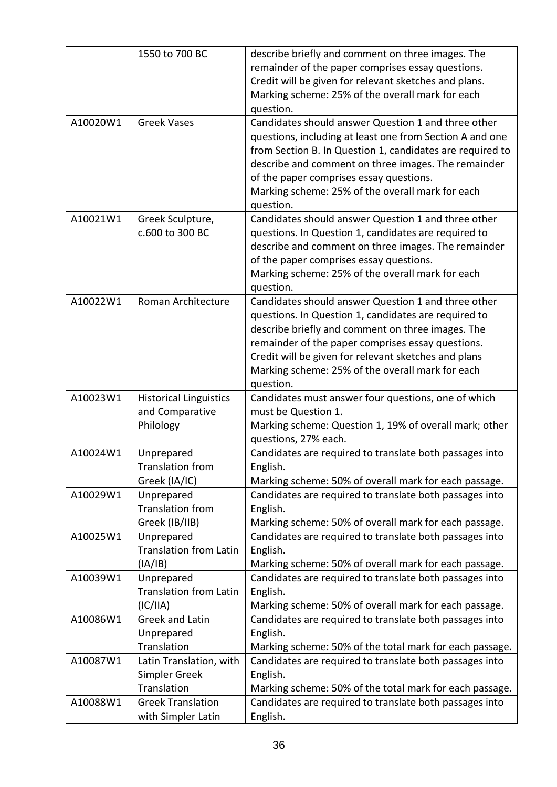|          | 1550 to 700 BC                        | describe briefly and comment on three images. The                                                                |
|----------|---------------------------------------|------------------------------------------------------------------------------------------------------------------|
|          |                                       | remainder of the paper comprises essay questions.                                                                |
|          |                                       | Credit will be given for relevant sketches and plans.                                                            |
|          |                                       | Marking scheme: 25% of the overall mark for each                                                                 |
|          |                                       | question.                                                                                                        |
| A10020W1 | <b>Greek Vases</b>                    | Candidates should answer Question 1 and three other                                                              |
|          |                                       | questions, including at least one from Section A and one                                                         |
|          |                                       | from Section B. In Question 1, candidates are required to                                                        |
|          |                                       | describe and comment on three images. The remainder                                                              |
|          |                                       | of the paper comprises essay questions.                                                                          |
|          |                                       | Marking scheme: 25% of the overall mark for each                                                                 |
|          |                                       | question.                                                                                                        |
| A10021W1 | Greek Sculpture,                      | Candidates should answer Question 1 and three other                                                              |
|          | c.600 to 300 BC                       | questions. In Question 1, candidates are required to                                                             |
|          |                                       | describe and comment on three images. The remainder                                                              |
|          |                                       | of the paper comprises essay questions.                                                                          |
|          |                                       | Marking scheme: 25% of the overall mark for each                                                                 |
|          |                                       | question.                                                                                                        |
| A10022W1 | Roman Architecture                    | Candidates should answer Question 1 and three other                                                              |
|          |                                       | questions. In Question 1, candidates are required to                                                             |
|          |                                       | describe briefly and comment on three images. The                                                                |
|          |                                       | remainder of the paper comprises essay questions.                                                                |
|          |                                       | Credit will be given for relevant sketches and plans                                                             |
|          |                                       | Marking scheme: 25% of the overall mark for each                                                                 |
|          |                                       | question.                                                                                                        |
| A10023W1 | <b>Historical Linguistics</b>         | Candidates must answer four questions, one of which                                                              |
|          | and Comparative                       | must be Question 1.                                                                                              |
|          | Philology                             | Marking scheme: Question 1, 19% of overall mark; other                                                           |
|          |                                       | questions, 27% each.                                                                                             |
| A10024W1 | Unprepared<br><b>Translation from</b> | Candidates are required to translate both passages into                                                          |
|          | Greek (IA/IC)                         | English.                                                                                                         |
| A10029W1 | Unprepared                            | Marking scheme: 50% of overall mark for each passage.<br>Candidates are required to translate both passages into |
|          | <b>Translation from</b>               | English.                                                                                                         |
|          | Greek (IB/IIB)                        | Marking scheme: 50% of overall mark for each passage.                                                            |
| A10025W1 | Unprepared                            | Candidates are required to translate both passages into                                                          |
|          | <b>Translation from Latin</b>         | English.                                                                                                         |
|          | (IA/IB)                               | Marking scheme: 50% of overall mark for each passage.                                                            |
| A10039W1 | Unprepared                            | Candidates are required to translate both passages into                                                          |
|          | <b>Translation from Latin</b>         | English.                                                                                                         |
|          | (IC/IIA)                              | Marking scheme: 50% of overall mark for each passage.                                                            |
| A10086W1 | <b>Greek and Latin</b>                | Candidates are required to translate both passages into                                                          |
|          | Unprepared                            | English.                                                                                                         |
|          | Translation                           | Marking scheme: 50% of the total mark for each passage.                                                          |
| A10087W1 | Latin Translation, with               | Candidates are required to translate both passages into                                                          |
|          | Simpler Greek                         | English.                                                                                                         |
|          | Translation                           | Marking scheme: 50% of the total mark for each passage.                                                          |
| A10088W1 | <b>Greek Translation</b>              | Candidates are required to translate both passages into                                                          |
|          | with Simpler Latin                    | English.                                                                                                         |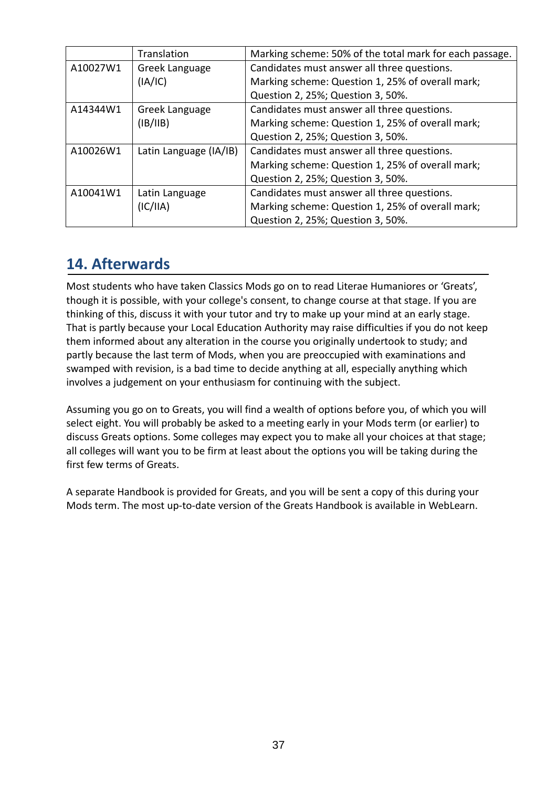|          | Translation            | Marking scheme: 50% of the total mark for each passage. |
|----------|------------------------|---------------------------------------------------------|
| A10027W1 | Greek Language         | Candidates must answer all three questions.             |
|          | (IA/IC)                | Marking scheme: Question 1, 25% of overall mark;        |
|          |                        | Question 2, 25%; Question 3, 50%.                       |
| A14344W1 | Greek Language         | Candidates must answer all three questions.             |
|          | (IB/IB)                | Marking scheme: Question 1, 25% of overall mark;        |
|          |                        | Question 2, 25%; Question 3, 50%.                       |
| A10026W1 | Latin Language (IA/IB) | Candidates must answer all three questions.             |
|          |                        | Marking scheme: Question 1, 25% of overall mark;        |
|          |                        | Question 2, 25%; Question 3, 50%.                       |
| A10041W1 | Latin Language         | Candidates must answer all three questions.             |
|          | (IC/IIA)               | Marking scheme: Question 1, 25% of overall mark;        |
|          |                        | Question 2, 25%; Question 3, 50%.                       |

# **14. Afterwards**

Most students who have taken Classics Mods go on to read Literae Humaniores or 'Greats', though it is possible, with your college's consent, to change course at that stage. If you are thinking of this, discuss it with your tutor and try to make up your mind at an early stage. That is partly because your Local Education Authority may raise difficulties if you do not keep them informed about any alteration in the course you originally undertook to study; and partly because the last term of Mods, when you are preoccupied with examinations and swamped with revision, is a bad time to decide anything at all, especially anything which involves a judgement on your enthusiasm for continuing with the subject.

Assuming you go on to Greats, you will find a wealth of options before you, of which you will select eight. You will probably be asked to a meeting early in your Mods term (or earlier) to discuss Greats options. Some colleges may expect you to make all your choices at that stage; all colleges will want you to be firm at least about the options you will be taking during the first few terms of Greats.

A separate Handbook is provided for Greats, and you will be sent a copy of this during your Mods term. The most up-to-date version of the Greats Handbook is available in WebLearn.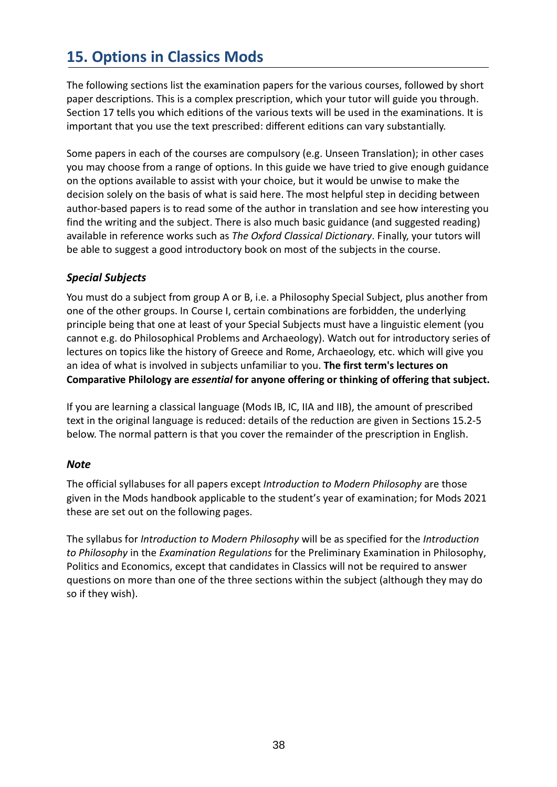# **15. Options in Classics Mods**

The following sections list the examination papers for the various courses, followed by short paper descriptions. This is a complex prescription, which your tutor will guide you through. Section 17 tells you which editions of the various texts will be used in the examinations. It is important that you use the text prescribed: different editions can vary substantially.

Some papers in each of the courses are compulsory (e.g. Unseen Translation); in other cases you may choose from a range of options. In this guide we have tried to give enough guidance on the options available to assist with your choice, but it would be unwise to make the decision solely on the basis of what is said here. The most helpful step in deciding between author-based papers is to read some of the author in translation and see how interesting you find the writing and the subject. There is also much basic guidance (and suggested reading) available in reference works such as *The Oxford Classical Dictionary*. Finally, your tutors will be able to suggest a good introductory book on most of the subjects in the course.

#### *Special Subjects*

You must do a subject from group A or B, i.e. a Philosophy Special Subject, plus another from one of the other groups. In Course I, certain combinations are forbidden, the underlying principle being that one at least of your Special Subjects must have a linguistic element (you cannot e.g. do Philosophical Problems and Archaeology). Watch out for introductory series of lectures on topics like the history of Greece and Rome, Archaeology, etc. which will give you an idea of what is involved in subjects unfamiliar to you. **The first term's lectures on Comparative Philology are** *essential* **for anyone offering or thinking of offering that subject.** 

If you are learning a classical language (Mods IB, IC, IIA and IIB), the amount of prescribed text in the original language is reduced: details of the reduction are given in Sections 15.2-5 below. The normal pattern is that you cover the remainder of the prescription in English.

#### *Note*

The official syllabuses for all papers except *Introduction to Modern Philosophy* are those given in the Mods handbook applicable to the student's year of examination; for Mods 2021 these are set out on the following pages.

The syllabus for *Introduction to Modern Philosophy* will be as specified for the *Introduction to Philosophy* in the *Examination Regulations* for the Preliminary Examination in Philosophy, Politics and Economics, except that candidates in Classics will not be required to answer questions on more than one of the three sections within the subject (although they may do so if they wish).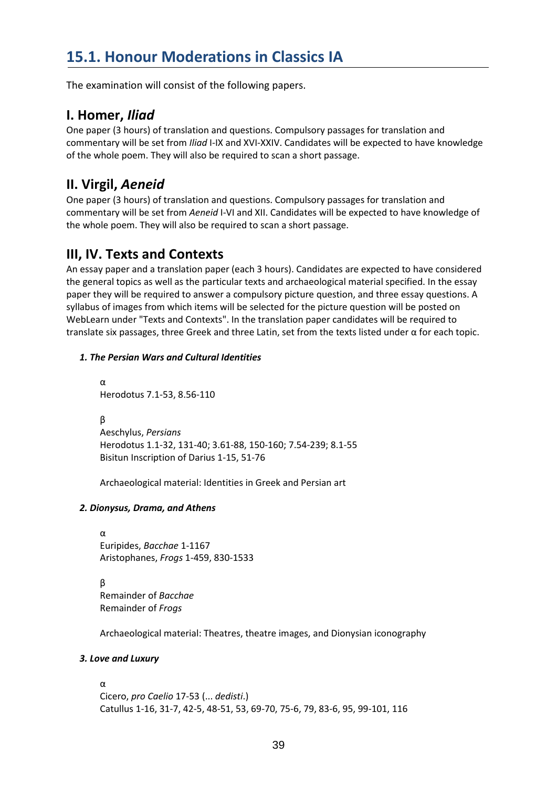# **15.1. Honour Moderations in Classics IA**

The examination will consist of the following papers.

### **I. Homer,** *Iliad*

One paper (3 hours) of translation and questions. Compulsory passages for translation and commentary will be set from *Iliad* I-IX and XVI-XXIV. Candidates will be expected to have knowledge of the whole poem. They will also be required to scan a short passage.

# **II. Virgil,** *Aeneid*

One paper (3 hours) of translation and questions. Compulsory passages for translation and commentary will be set from *Aeneid* I-VI and XII. Candidates will be expected to have knowledge of the whole poem. They will also be required to scan a short passage.

# **III, IV. Texts and Contexts**

An essay paper and a translation paper (each 3 hours). Candidates are expected to have considered the general topics as well as the particular texts and archaeological material specified. In the essay paper they will be required to answer a compulsory picture question, and three essay questions. A syllabus of images from which items will be selected for the picture question will be posted on WebLearn under "Texts and Contexts". In the translation paper candidates will be required to translate six passages, three Greek and three Latin, set from the texts listed under α for each topic.

#### *1. The Persian Wars and Cultural Identities*

α Herodotus 7.1-53, 8.56-110

β Aeschylus, *Persians* Herodotus 1.1-32, 131-40; 3.61-88, 150-160; 7.54-239; 8.1-55 Bisitun Inscription of Darius 1-15, 51-76

Archaeological material: Identities in Greek and Persian art

#### *2. Dionysus, Drama, and Athens*

α Euripides, *Bacchae* 1-1167 Aristophanes, *Frogs* 1-459, 830-1533

β Remainder of *Bacchae*  Remainder of *Frogs*

Archaeological material: Theatres, theatre images, and Dionysian iconography

#### *3. Love and Luxury*

#### α

Cicero, *pro Caelio* 17-53 (... *dedisti*.) Catullus 1-16, 31-7, 42-5, 48-51, 53, 69-70, 75-6, 79, 83-6, 95, 99-101, 116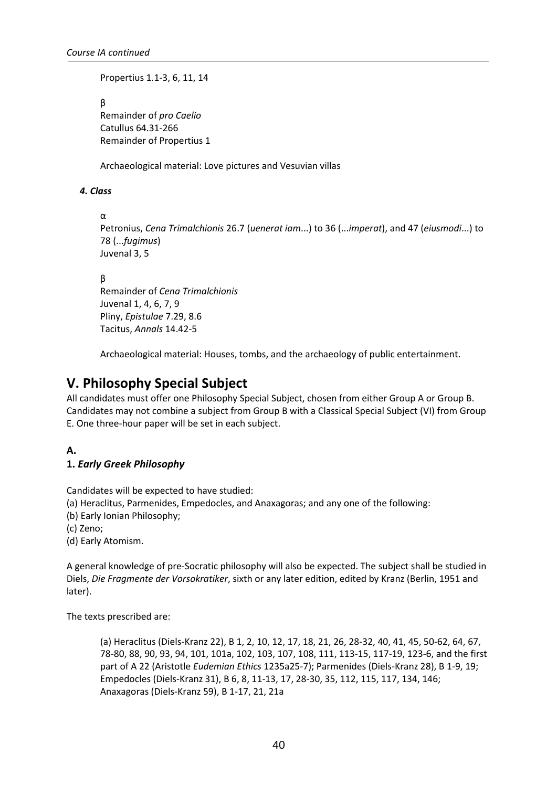Propertius 1.1-3, 6, 11, 14

β Remainder of *pro Caelio* Catullus 64.31-266 Remainder of Propertius 1

Archaeological material: Love pictures and Vesuvian villas

#### *4. Class*

α

Petronius, *Cena Trimalchionis* 26.7 (*uenerat iam*...) to 36 (...*imperat*), and 47 (*eiusmodi*...) to 78 (...*fugimus*) Juvenal 3, 5

β

Remainder of *Cena Trimalchionis* Juvenal 1, 4, 6, 7, 9 Pliny, *Epistulae* 7.29, 8.6 Tacitus, *Annals* 14.42-5

Archaeological material: Houses, tombs, and the archaeology of public entertainment.

# **V. Philosophy Special Subject**

All candidates must offer one Philosophy Special Subject, chosen from either Group A or Group B. Candidates may not combine a subject from Group B with a Classical Special Subject (VI) from Group E. One three-hour paper will be set in each subject.

#### **A.**

#### **1.** *Early Greek Philosophy*

Candidates will be expected to have studied:

- (a) Heraclitus, Parmenides, Empedocles, and Anaxagoras; and any one of the following:
- (b) Early Ionian Philosophy;
- (c) Zeno;

(d) Early Atomism.

A general knowledge of pre-Socratic philosophy will also be expected. The subject shall be studied in Diels, *Die Fragmente der Vorsokratiker*, sixth or any later edition, edited by Kranz (Berlin, 1951 and later).

The texts prescribed are:

(a) Heraclitus (Diels-Kranz 22), B 1, 2, 10, 12, 17, 18, 21, 26, 28-32, 40, 41, 45, 50-62, 64, 67, 78-80, 88, 90, 93, 94, 101, 101a, 102, 103, 107, 108, 111, 113-15, 117-19, 123-6, and the first part of A 22 (Aristotle *Eudemian Ethics* 1235a25-7); Parmenides (Diels-Kranz 28), B 1-9, 19; Empedocles (Diels-Kranz 31), B 6, 8, 11-13, 17, 28-30, 35, 112, 115, 117, 134, 146; Anaxagoras (Diels-Kranz 59), B 1-17, 21, 21a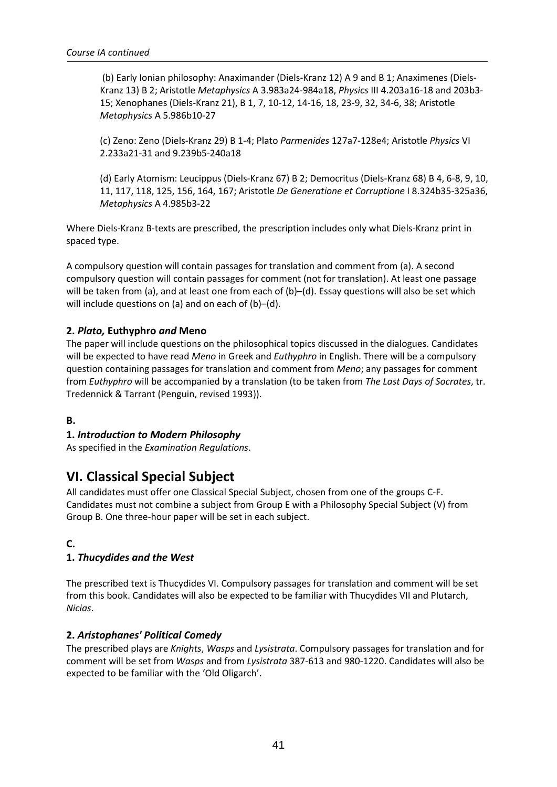(b) Early Ionian philosophy: Anaximander (Diels-Kranz 12) A 9 and B 1; Anaximenes (Diels-Kranz 13) B 2; Aristotle *Metaphysics* A 3.983a24-984a18, *Physics* III 4.203a16-18 and 203b3- 15; Xenophanes (Diels-Kranz 21), B 1, 7, 10-12, 14-16, 18, 23-9, 32, 34-6, 38; Aristotle *Metaphysics* A 5.986b10-27

(c) Zeno: Zeno (Diels-Kranz 29) B 1-4; Plato *Parmenides* 127a7-128e4; Aristotle *Physics* VI 2.233a21-31 and 9.239b5-240a18

(d) Early Atomism: Leucippus (Diels-Kranz 67) B 2; Democritus (Diels-Kranz 68) B 4, 6-8, 9, 10, 11, 117, 118, 125, 156, 164, 167; Aristotle *De Generatione et Corruptione* I 8.324b35-325a36, *Metaphysics* A 4.985b3-22

Where Diels-Kranz B-texts are prescribed, the prescription includes only what Diels-Kranz print in spaced type.

A compulsory question will contain passages for translation and comment from (a). A second compulsory question will contain passages for comment (not for translation). At least one passage will be taken from (a), and at least one from each of (b)–(d). Essay questions will also be set which will include questions on (a) and on each of (b)–(d).

#### **2.** *Plato,* **Euthyphro** *and* **Meno**

The paper will include questions on the philosophical topics discussed in the dialogues. Candidates will be expected to have read *Meno* in Greek and *Euthyphro* in English. There will be a compulsory question containing passages for translation and comment from *Meno*; any passages for comment from *Euthyphro* will be accompanied by a translation (to be taken from *The Last Days of Socrates*, tr. Tredennick & Tarrant (Penguin, revised 1993)).

#### **B.**

#### **1.** *Introduction to Modern Philosophy*

As specified in the *Examination Regulations*.

#### **VI. Classical Special Subject**

All candidates must offer one Classical Special Subject, chosen from one of the groups C-F. Candidates must not combine a subject from Group E with a Philosophy Special Subject (V) from Group B. One three-hour paper will be set in each subject.

#### **C.**

#### **1.** *Thucydides and the West*

The prescribed text is Thucydides VI. Compulsory passages for translation and comment will be set from this book. Candidates will also be expected to be familiar with Thucydides VII and Plutarch, *Nicias*.

#### **2.** *Aristophanes' Political Comedy*

The prescribed plays are *Knights*, *Wasps* and *Lysistrata*. Compulsory passages for translation and for comment will be set from *Wasps* and from *Lysistrata* 387-613 and 980-1220. Candidates will also be expected to be familiar with the 'Old Oligarch'.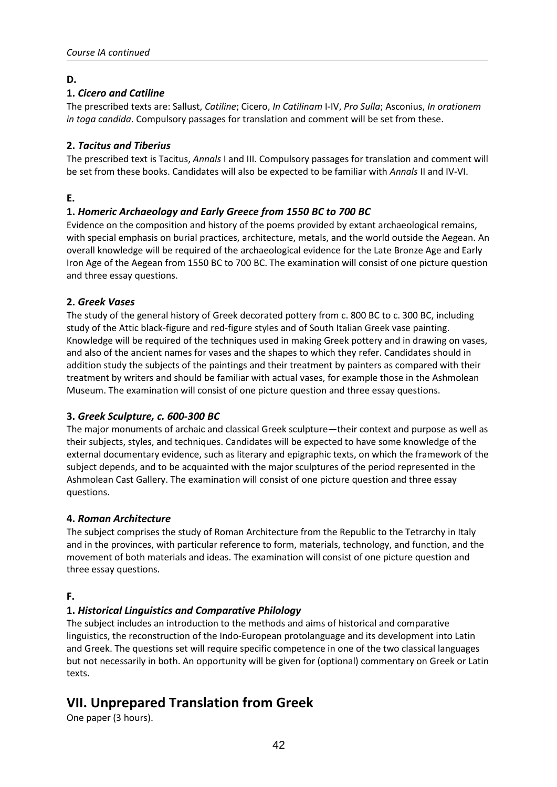#### **D.**

#### **1.** *Cicero and Catiline*

The prescribed texts are: Sallust, *Catiline*; Cicero, *In Catilinam* I-IV, *Pro Sulla*; Asconius, *In orationem in toga candida*. Compulsory passages for translation and comment will be set from these.

#### **2.** *Tacitus and Tiberius*

The prescribed text is Tacitus, *Annals* I and III. Compulsory passages for translation and comment will be set from these books. Candidates will also be expected to be familiar with *Annals* II and IV-VI.

**E.** 

#### **1.** *Homeric Archaeology and Early Greece from 1550 BC to 700 BC*

Evidence on the composition and history of the poems provided by extant archaeological remains, with special emphasis on burial practices, architecture, metals, and the world outside the Aegean. An overall knowledge will be required of the archaeological evidence for the Late Bronze Age and Early Iron Age of the Aegean from 1550 BC to 700 BC. The examination will consist of one picture question and three essay questions.

#### **2.** *Greek Vases*

The study of the general history of Greek decorated pottery from c. 800 BC to c. 300 BC, including study of the Attic black-figure and red-figure styles and of South Italian Greek vase painting. Knowledge will be required of the techniques used in making Greek pottery and in drawing on vases, and also of the ancient names for vases and the shapes to which they refer. Candidates should in addition study the subjects of the paintings and their treatment by painters as compared with their treatment by writers and should be familiar with actual vases, for example those in the Ashmolean Museum. The examination will consist of one picture question and three essay questions.

#### **3.** *Greek Sculpture, c. 600-300 BC*

The major monuments of archaic and classical Greek sculpture—their context and purpose as well as their subjects, styles, and techniques. Candidates will be expected to have some knowledge of the external documentary evidence, such as literary and epigraphic texts, on which the framework of the subject depends, and to be acquainted with the major sculptures of the period represented in the Ashmolean Cast Gallery. The examination will consist of one picture question and three essay questions.

#### **4.** *Roman Architecture*

The subject comprises the study of Roman Architecture from the Republic to the Tetrarchy in Italy and in the provinces, with particular reference to form, materials, technology, and function, and the movement of both materials and ideas. The examination will consist of one picture question and three essay questions.

#### **F.**

### **1.** *Historical Linguistics and Comparative Philology*

The subject includes an introduction to the methods and aims of historical and comparative linguistics, the reconstruction of the Indo-European protolanguage and its development into Latin and Greek. The questions set will require specific competence in one of the two classical languages but not necessarily in both. An opportunity will be given for (optional) commentary on Greek or Latin texts.

# **VII. Unprepared Translation from Greek**

One paper (3 hours).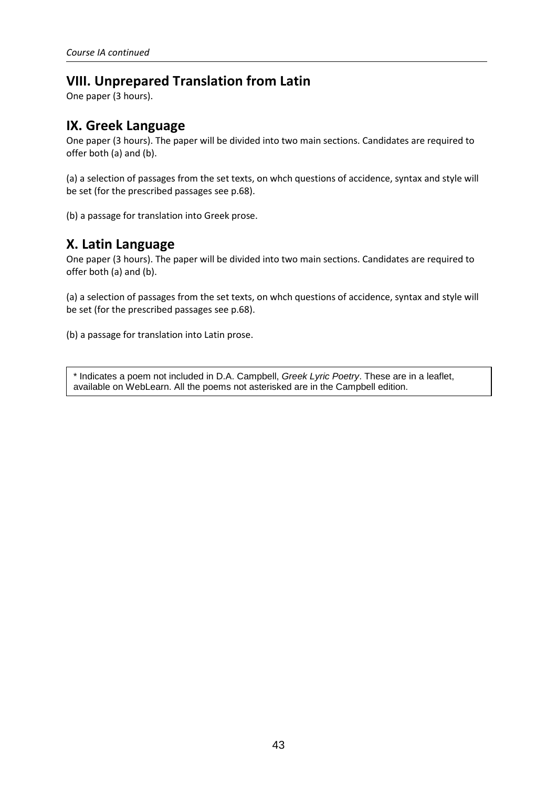# **VIII. Unprepared Translation from Latin**

One paper (3 hours).

### **IX. Greek Language**

One paper (3 hours). The paper will be divided into two main sections. Candidates are required to offer both (a) and (b).

(a) a selection of passages from the set texts, on whch questions of accidence, syntax and style will be set (for the prescribed passages see p.68).

(b) a passage for translation into Greek prose.

### **X. Latin Language**

One paper (3 hours). The paper will be divided into two main sections. Candidates are required to offer both (a) and (b).

(a) a selection of passages from the set texts, on whch questions of accidence, syntax and style will be set (for the prescribed passages see p.68).

(b) a passage for translation into Latin prose.

\* Indicates a poem not included in D.A. Campbell, *Greek Lyric Poetry*. These are in a leaflet, available on WebLearn. All the poems not asterisked are in the Campbell edition.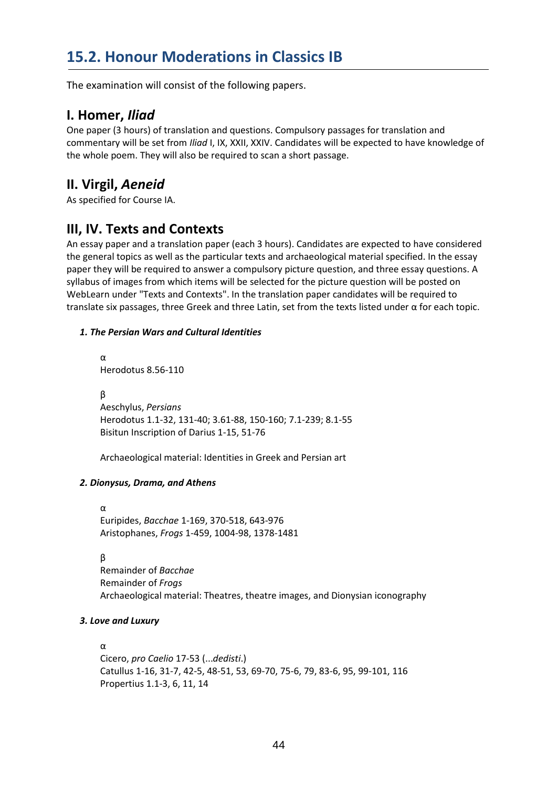# **15.2. Honour Moderations in Classics IB**

The examination will consist of the following papers.

### **I. Homer,** *Iliad*

One paper (3 hours) of translation and questions. Compulsory passages for translation and commentary will be set from *Iliad* I, IX, XXII, XXIV. Candidates will be expected to have knowledge of the whole poem. They will also be required to scan a short passage.

# **II. Virgil,** *Aeneid*

As specified for Course IA.

### **III, IV. Texts and Contexts**

An essay paper and a translation paper (each 3 hours). Candidates are expected to have considered the general topics as well as the particular texts and archaeological material specified. In the essay paper they will be required to answer a compulsory picture question, and three essay questions. A syllabus of images from which items will be selected for the picture question will be posted on WebLearn under "Texts and Contexts". In the translation paper candidates will be required to translate six passages, three Greek and three Latin, set from the texts listed under α for each topic.

#### *1. The Persian Wars and Cultural Identities*

α Herodotus 8.56-110 β Aeschylus, *Persians* Herodotus 1.1-32, 131-40; 3.61-88, 150-160; 7.1-239; 8.1-55 Bisitun Inscription of Darius 1-15, 51-76

Archaeological material: Identities in Greek and Persian art

#### *2. Dionysus, Drama, and Athens*

α Euripides, *Bacchae* 1-169, 370-518, 643-976 Aristophanes, *Frogs* 1-459, 1004-98, 1378-1481

β

Remainder of *Bacchae*  Remainder of *Frogs* Archaeological material: Theatres, theatre images, and Dionysian iconography

#### *3. Love and Luxury*

#### α

Cicero, *pro Caelio* 17-53 (...*dedisti*.) Catullus 1-16, 31-7, 42-5, 48-51, 53, 69-70, 75-6, 79, 83-6, 95, 99-101, 116 Propertius 1.1-3, 6, 11, 14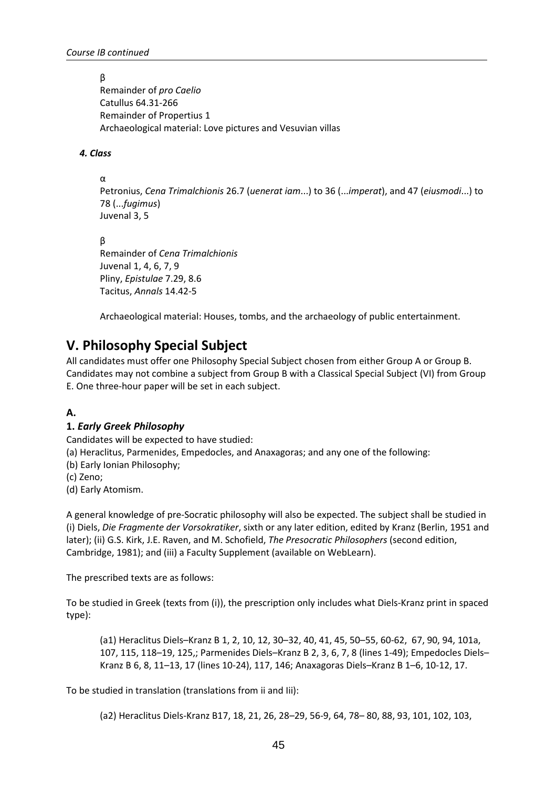β

Remainder of *pro Caelio* Catullus 64.31-266 Remainder of Propertius 1 Archaeological material: Love pictures and Vesuvian villas

#### *4. Class*

α

Petronius, *Cena Trimalchionis* 26.7 (*uenerat iam*...) to 36 (...*imperat*), and 47 (*eiusmodi*...) to 78 (...*fugimus*) Juvenal 3, 5

β

Remainder of *Cena Trimalchionis* Juvenal 1, 4, 6, 7, 9 Pliny, *Epistulae* 7.29, 8.6 Tacitus, *Annals* 14.42-5

Archaeological material: Houses, tombs, and the archaeology of public entertainment.

# **V. Philosophy Special Subject**

All candidates must offer one Philosophy Special Subject chosen from either Group A or Group B. Candidates may not combine a subject from Group B with a Classical Special Subject (VI) from Group E. One three-hour paper will be set in each subject.

#### **A.**

#### **1.** *Early Greek Philosophy*

Candidates will be expected to have studied:

(a) Heraclitus, Parmenides, Empedocles, and Anaxagoras; and any one of the following:

(b) Early Ionian Philosophy;

(c) Zeno;

(d) Early Atomism.

A general knowledge of pre-Socratic philosophy will also be expected. The subject shall be studied in (i) Diels, *Die Fragmente der Vorsokratiker*, sixth or any later edition, edited by Kranz (Berlin, 1951 and later); (ii) G.S. Kirk, J.E. Raven, and M. Schofield, *The Presocratic Philosophers* (second edition, Cambridge, 1981); and (iii) a Faculty Supplement (available on WebLearn).

The prescribed texts are as follows:

To be studied in Greek (texts from (i)), the prescription only includes what Diels-Kranz print in spaced type):

(a1) Heraclitus Diels–Kranz B 1, 2, 10, 12, 30–32, 40, 41, 45, 50–55, 60-62, 67, 90, 94, 101a, 107, 115, 118–19, 125,; Parmenides Diels–Kranz B 2, 3, 6, 7, 8 (lines 1-49); Empedocles Diels– Kranz B 6, 8, 11–13, 17 (lines 10-24), 117, 146; Anaxagoras Diels–Kranz B 1–6, 10-12, 17.

To be studied in translation (translations from ii and Iii):

(a2) Heraclitus Diels-Kranz B17, 18, 21, 26, 28–29, 56-9, 64, 78– 80, 88, 93, 101, 102, 103,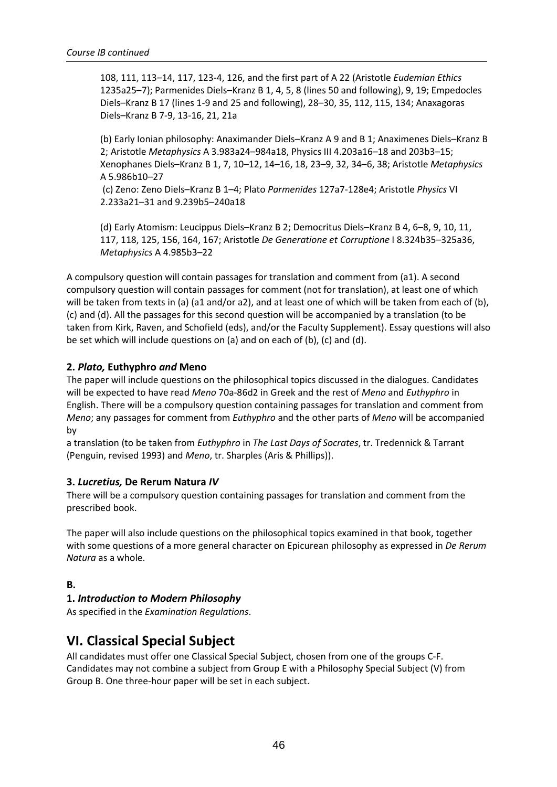108, 111, 113–14, 117, 123-4, 126, and the first part of A 22 (Aristotle *Eudemian Ethics*  1235a25–7); Parmenides Diels–Kranz B 1, 4, 5, 8 (lines 50 and following), 9, 19; Empedocles Diels–Kranz B 17 (lines 1-9 and 25 and following), 28–30, 35, 112, 115, 134; Anaxagoras Diels–Kranz B 7-9, 13-16, 21, 21a

(b) Early Ionian philosophy: Anaximander Diels–Kranz A 9 and B 1; Anaximenes Diels–Kranz B 2; Aristotle *Metaphysics* A 3.983a24–984a18, Physics III 4.203a16–18 and 203b3–15; Xenophanes Diels–Kranz B 1, 7, 10–12, 14–16, 18, 23–9, 32, 34–6, 38; Aristotle *Metaphysics* A 5.986b10–27

 (c) Zeno: Zeno Diels–Kranz B 1–4; Plato *Parmenides* 127a7-128e4; Aristotle *Physics* VI 2.233a21–31 and 9.239b5–240a18

(d) Early Atomism: Leucippus Diels–Kranz B 2; Democritus Diels–Kranz B 4, 6–8, 9, 10, 11, 117, 118, 125, 156, 164, 167; Aristotle *De Generatione et Corruptione* I 8.324b35–325a36, *Metaphysics* A 4.985b3–22

A compulsory question will contain passages for translation and comment from (a1). A second compulsory question will contain passages for comment (not for translation), at least one of which will be taken from texts in (a) (a1 and/or a2), and at least one of which will be taken from each of (b), (c) and (d). All the passages for this second question will be accompanied by a translation (to be taken from Kirk, Raven, and Schofield (eds), and/or the Faculty Supplement). Essay questions will also be set which will include questions on (a) and on each of (b), (c) and (d).

#### **2.** *Plato,* **Euthyphro** *and* **Meno**

The paper will include questions on the philosophical topics discussed in the dialogues. Candidates will be expected to have read *Meno* 70a-86d2 in Greek and the rest of *Meno* and *Euthyphro* in English. There will be a compulsory question containing passages for translation and comment from *Meno*; any passages for comment from *Euthyphro* and the other parts of *Meno* will be accompanied by

a translation (to be taken from *Euthyphro* in *The Last Days of Socrates*, tr. Tredennick & Tarrant (Penguin, revised 1993) and *Meno*, tr. Sharples (Aris & Phillips)).

#### **3.** *Lucretius,* **De Rerum Natura** *IV*

There will be a compulsory question containing passages for translation and comment from the prescribed book.

The paper will also include questions on the philosophical topics examined in that book, together with some questions of a more general character on Epicurean philosophy as expressed in *De Rerum Natura* as a whole.

#### **B.**

#### **1.** *Introduction to Modern Philosophy*

As specified in the *Examination Regulations*.

### **VI. Classical Special Subject**

All candidates must offer one Classical Special Subject, chosen from one of the groups C-F. Candidates may not combine a subject from Group E with a Philosophy Special Subject (V) from Group B. One three-hour paper will be set in each subject.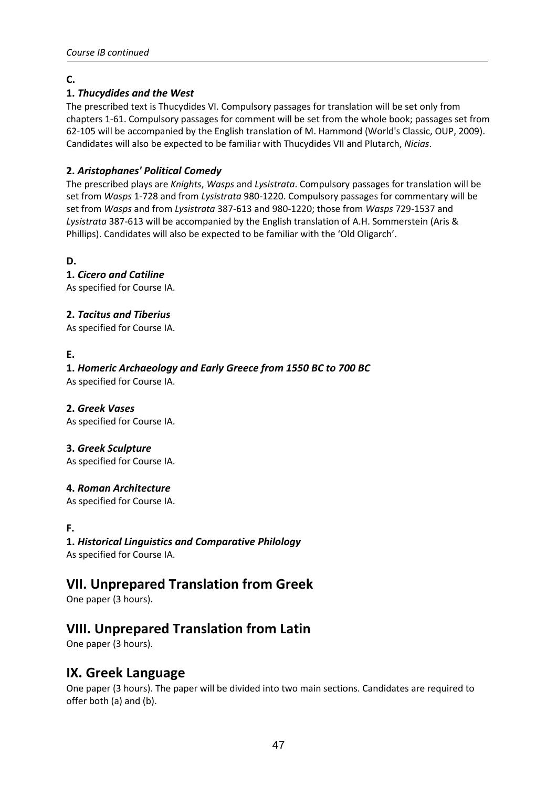#### **C.**

#### **1.** *Thucydides and the West*

The prescribed text is Thucydides VI. Compulsory passages for translation will be set only from chapters 1-61. Compulsory passages for comment will be set from the whole book; passages set from 62-105 will be accompanied by the English translation of M. Hammond (World's Classic, OUP, 2009). Candidates will also be expected to be familiar with Thucydides VII and Plutarch, *Nicias*.

#### **2.** *Aristophanes' Political Comedy*

The prescribed plays are *Knights*, *Wasps* and *Lysistrata*. Compulsory passages for translation will be set from *Wasps* 1-728 and from *Lysistrata* 980-1220. Compulsory passages for commentary will be set from *Wasps* and from *Lysistrata* 387-613 and 980-1220; those from *Wasps* 729-1537 and *Lysistrata* 387-613 will be accompanied by the English translation of A.H. Sommerstein (Aris & Phillips). Candidates will also be expected to be familiar with the 'Old Oligarch'.

**D.** 

**1.** *Cicero and Catiline* As specified for Course IA.

**2.** *Tacitus and Tiberius*

As specified for Course IA.

#### **E.**

**1.** *Homeric Archaeology and Early Greece from 1550 BC to 700 BC* As specified for Course IA.

#### **2.** *Greek Vases*

As specified for Course IA.

#### **3.** *Greek Sculpture*

As specified for Course IA.

#### **4.** *Roman Architecture*

As specified for Course IA.

#### **F.**

**1.** *Historical Linguistics and Comparative Philology* As specified for Course IA.

# **VII. Unprepared Translation from Greek**

One paper (3 hours).

### **VIII. Unprepared Translation from Latin**

One paper (3 hours).

#### **IX. Greek Language**

One paper (3 hours). The paper will be divided into two main sections. Candidates are required to offer both (a) and (b).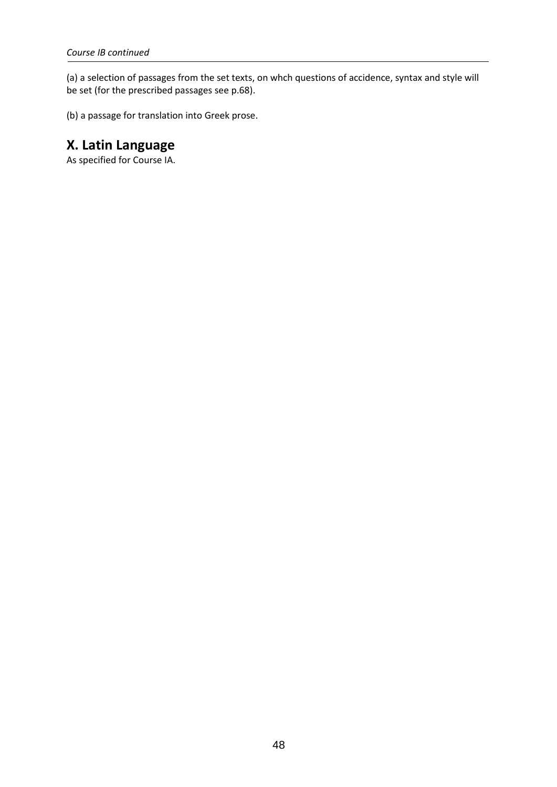(a) a selection of passages from the set texts, on whch questions of accidence, syntax and style will be set (for the prescribed passages see p.68).

(b) a passage for translation into Greek prose.

# **X. Latin Language**

As specified for Course IA.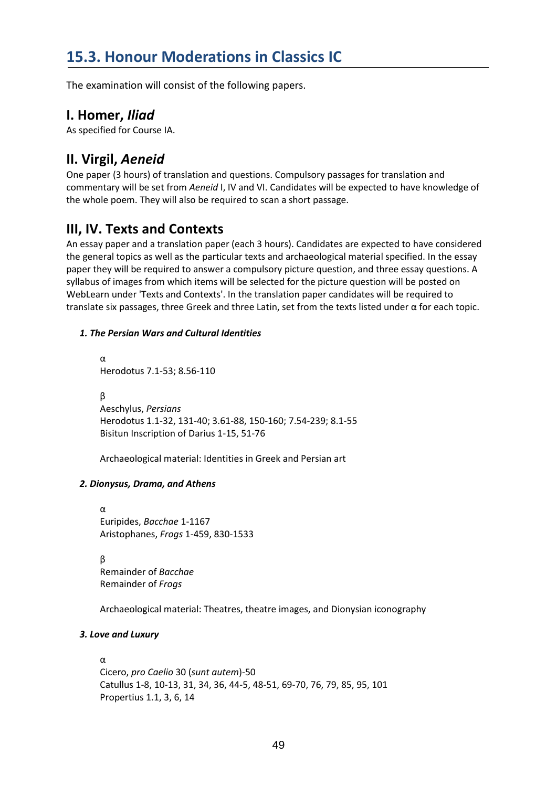The examination will consist of the following papers.

### **I. Homer,** *Iliad*

As specified for Course IA.

# **II. Virgil,** *Aeneid*

One paper (3 hours) of translation and questions. Compulsory passages for translation and commentary will be set from *Aeneid* I, IV and VI. Candidates will be expected to have knowledge of the whole poem. They will also be required to scan a short passage.

# **III, IV. Texts and Contexts**

An essay paper and a translation paper (each 3 hours). Candidates are expected to have considered the general topics as well as the particular texts and archaeological material specified. In the essay paper they will be required to answer a compulsory picture question, and three essay questions. A syllabus of images from which items will be selected for the picture question will be posted on WebLearn under 'Texts and Contexts'. In the translation paper candidates will be required to translate six passages, three Greek and three Latin, set from the texts listed under α for each topic.

#### *1. The Persian Wars and Cultural Identities*

α Herodotus 7.1-53; 8.56-110

β Aeschylus, *Persians* Herodotus 1.1-32, 131-40; 3.61-88, 150-160; 7.54-239; 8.1-55 Bisitun Inscription of Darius 1-15, 51-76

Archaeological material: Identities in Greek and Persian art

#### *2. Dionysus, Drama, and Athens*

α Euripides, *Bacchae* 1-1167 Aristophanes, *Frogs* 1-459, 830-1533

β Remainder of *Bacchae* Remainder of *Frogs*

Archaeological material: Theatres, theatre images, and Dionysian iconography

#### *3. Love and Luxury*

#### α

Cicero, *pro Caelio* 30 (*sunt autem*)-50 Catullus 1-8, 10-13, 31, 34, 36, 44-5, 48-51, 69-70, 76, 79, 85, 95, 101 Propertius 1.1, 3, 6, 14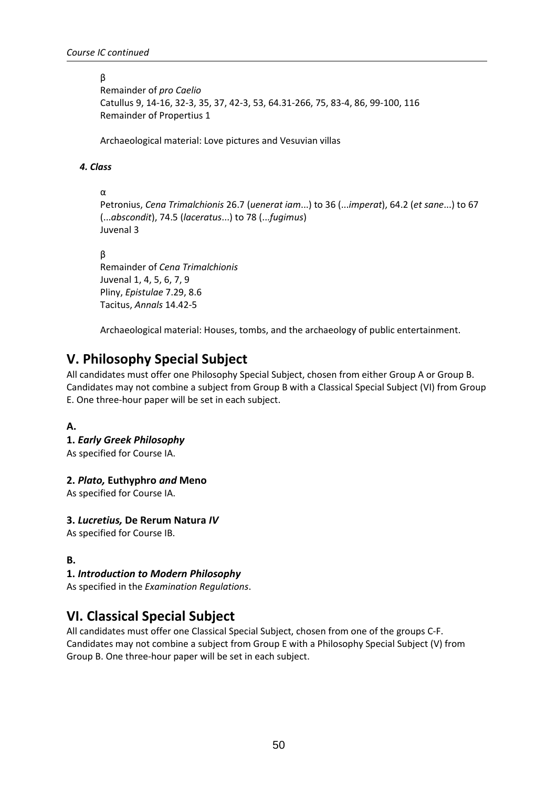#### β

Remainder of *pro Caelio* Catullus 9, 14-16, 32-3, 35, 37, 42-3, 53, 64.31-266, 75, 83-4, 86, 99-100, 116 Remainder of Propertius 1

Archaeological material: Love pictures and Vesuvian villas

#### *4. Class*

α

Petronius, *Cena Trimalchionis* 26.7 (*uenerat iam*...) to 36 (...*imperat*), 64.2 (*et sane*...) to 67 (...*abscondit*), 74.5 (*laceratus*...) to 78 (...*fugimus*) Juvenal 3

β

Remainder of *Cena Trimalchionis* Juvenal 1, 4, 5, 6, 7, 9 Pliny, *Epistulae* 7.29, 8.6 Tacitus, *Annals* 14.42-5

Archaeological material: Houses, tombs, and the archaeology of public entertainment.

# **V. Philosophy Special Subject**

All candidates must offer one Philosophy Special Subject, chosen from either Group A or Group B. Candidates may not combine a subject from Group B with a Classical Special Subject (VI) from Group E. One three-hour paper will be set in each subject.

#### **A.**

**1.** *Early Greek Philosophy* As specified for Course IA.

#### **2.** *Plato,* **Euthyphro** *and* **Meno**

As specified for Course IA.

#### **3.** *Lucretius,* **De Rerum Natura** *IV*

As specified for Course IB.

#### **B.**

#### **1.** *Introduction to Modern Philosophy*

As specified in the *Examination Regulations*.

# **VI. Classical Special Subject**

All candidates must offer one Classical Special Subject, chosen from one of the groups C-F. Candidates may not combine a subject from Group E with a Philosophy Special Subject (V) from Group B. One three-hour paper will be set in each subject.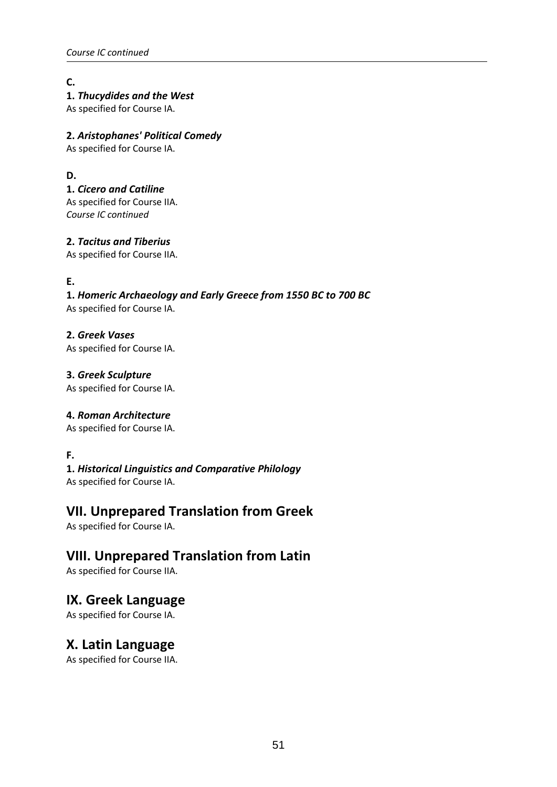**C.** 

#### **1.** *Thucydides and the West*

As specified for Course IA.

#### **2.** *Aristophanes' Political Comedy*

As specified for Course IA.

#### **D.**

**1.** *Cicero and Catiline* As specified for Course IIA. *Course IC continued* 

#### **2.** *Tacitus and Tiberius*

As specified for Course IIA.

#### **E.**

### **1.** *Homeric Archaeology and Early Greece from 1550 BC to 700 BC*

As specified for Course IA.

#### **2.** *Greek Vases*

As specified for Course IA.

### **3.** *Greek Sculpture*

As specified for Course IA.

#### **4.** *Roman Architecture*

As specified for Course IA.

#### **F.**

#### **1.** *Historical Linguistics and Comparative Philology* As specified for Course IA.

# **VII. Unprepared Translation from Greek**

As specified for Course IA.

# **VIII. Unprepared Translation from Latin**

As specified for Course IIA.

# **IX. Greek Language**

As specified for Course IA.

# **X. Latin Language**

As specified for Course IIA.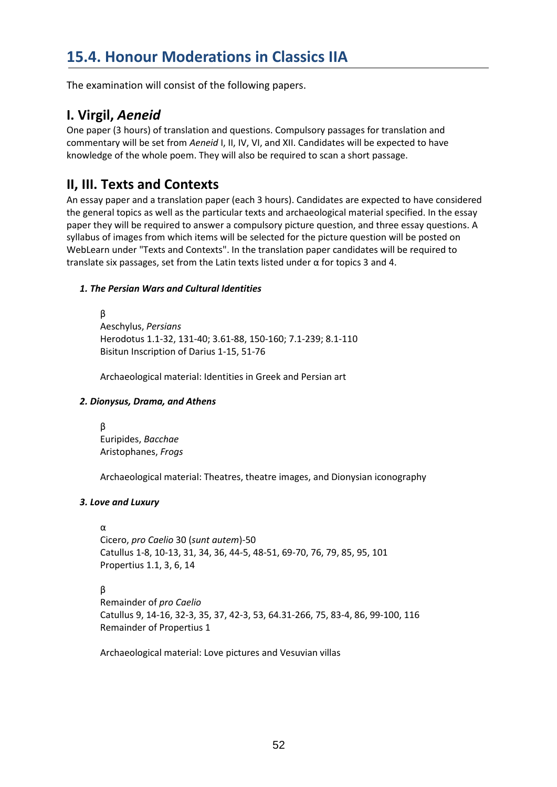The examination will consist of the following papers.

# **I. Virgil,** *Aeneid*

One paper (3 hours) of translation and questions. Compulsory passages for translation and commentary will be set from *Aeneid* I, II, IV, VI, and XII. Candidates will be expected to have knowledge of the whole poem. They will also be required to scan a short passage.

# **II, III. Texts and Contexts**

An essay paper and a translation paper (each 3 hours). Candidates are expected to have considered the general topics as well as the particular texts and archaeological material specified. In the essay paper they will be required to answer a compulsory picture question, and three essay questions. A syllabus of images from which items will be selected for the picture question will be posted on WebLearn under "Texts and Contexts". In the translation paper candidates will be required to translate six passages, set from the Latin texts listed under α for topics 3 and 4.

#### *1. The Persian Wars and Cultural Identities*

β Aeschylus, *Persians*  Herodotus 1.1-32, 131-40; 3.61-88, 150-160; 7.1-239; 8.1-110 Bisitun Inscription of Darius 1-15, 51-76

Archaeological material: Identities in Greek and Persian art

#### *2. Dionysus, Drama, and Athens*

β Euripides, *Bacchae*  Aristophanes, *Frogs*

Archaeological material: Theatres, theatre images, and Dionysian iconography

#### *3. Love and Luxury*

α

Cicero, *pro Caelio* 30 (*sunt autem*)-50 Catullus 1-8, 10-13, 31, 34, 36, 44-5, 48-51, 69-70, 76, 79, 85, 95, 101 Propertius 1.1, 3, 6, 14

β

Remainder of *pro Caelio* Catullus 9, 14-16, 32-3, 35, 37, 42-3, 53, 64.31-266, 75, 83-4, 86, 99-100, 116 Remainder of Propertius 1

Archaeological material: Love pictures and Vesuvian villas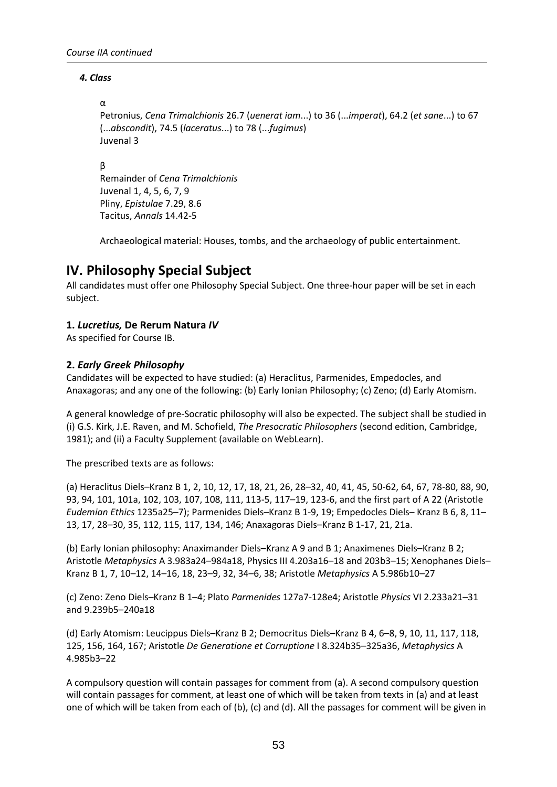#### *4. Class*

#### α

Petronius, *Cena Trimalchionis* 26.7 (*uenerat iam*...) to 36 (...*imperat*), 64.2 (*et sane*...) to 67 (...*abscondit*), 74.5 (*laceratus*...) to 78 (...*fugimus*) Juvenal 3

#### β

Remainder of *Cena Trimalchionis* Juvenal 1, 4, 5, 6, 7, 9 Pliny, *Epistulae* 7.29, 8.6 Tacitus, *Annals* 14.42-5

Archaeological material: Houses, tombs, and the archaeology of public entertainment.

# **IV. Philosophy Special Subject**

All candidates must offer one Philosophy Special Subject. One three-hour paper will be set in each subject.

#### **1.** *Lucretius,* **De Rerum Natura** *IV*

As specified for Course IB.

#### **2.** *Early Greek Philosophy*

Candidates will be expected to have studied: (a) Heraclitus, Parmenides, Empedocles, and Anaxagoras; and any one of the following: (b) Early Ionian Philosophy; (c) Zeno; (d) Early Atomism.

A general knowledge of pre-Socratic philosophy will also be expected. The subject shall be studied in (i) G.S. Kirk, J.E. Raven, and M. Schofield, *The Presocratic Philosophers* (second edition, Cambridge, 1981); and (ii) a Faculty Supplement (available on WebLearn).

The prescribed texts are as follows:

(a) Heraclitus Diels–Kranz B 1, 2, 10, 12, 17, 18, 21, 26, 28–32, 40, 41, 45, 50-62, 64, 67, 78-80, 88, 90, 93, 94, 101, 101a, 102, 103, 107, 108, 111, 113-5, 117–19, 123-6, and the first part of A 22 (Aristotle *Eudemian Ethics* 1235a25–7); Parmenides Diels–Kranz B 1-9, 19; Empedocles Diels– Kranz B 6, 8, 11– 13, 17, 28–30, 35, 112, 115, 117, 134, 146; Anaxagoras Diels–Kranz B 1-17, 21, 21a.

(b) Early Ionian philosophy: Anaximander Diels–Kranz A 9 and B 1; Anaximenes Diels–Kranz B 2; Aristotle *Metaphysics* A 3.983a24–984a18, Physics III 4.203a16–18 and 203b3–15; Xenophanes Diels– Kranz B 1, 7, 10–12, 14–16, 18, 23–9, 32, 34–6, 38; Aristotle *Metaphysics* A 5.986b10–27

(c) Zeno: Zeno Diels–Kranz B 1–4; Plato *Parmenides* 127a7-128e4; Aristotle *Physics* VI 2.233a21–31 and 9.239b5–240a18

(d) Early Atomism: Leucippus Diels–Kranz B 2; Democritus Diels–Kranz B 4, 6–8, 9, 10, 11, 117, 118, 125, 156, 164, 167; Aristotle *De Generatione et Corruptione* I 8.324b35–325a36, *Metaphysics* A 4.985b3–22

A compulsory question will contain passages for comment from (a). A second compulsory question will contain passages for comment, at least one of which will be taken from texts in (a) and at least one of which will be taken from each of (b), (c) and (d). All the passages for comment will be given in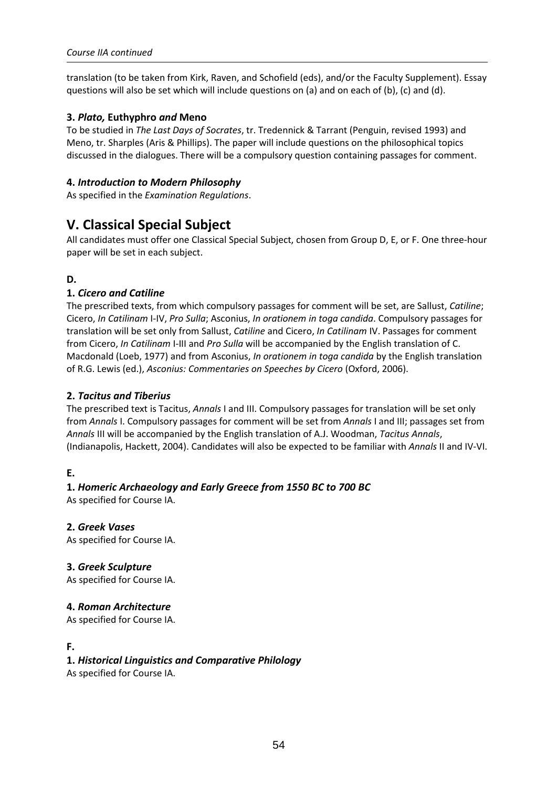translation (to be taken from Kirk, Raven, and Schofield (eds), and/or the Faculty Supplement). Essay questions will also be set which will include questions on (a) and on each of (b), (c) and (d).

#### **3.** *Plato,* **Euthyphro** *and* **Meno**

To be studied in *The Last Days of Socrates*, tr. Tredennick & Tarrant (Penguin, revised 1993) and Meno, tr. Sharples (Aris & Phillips). The paper will include questions on the philosophical topics discussed in the dialogues. There will be a compulsory question containing passages for comment.

#### **4.** *Introduction to Modern Philosophy*

As specified in the *Examination Regulations*.

# **V. Classical Special Subject**

All candidates must offer one Classical Special Subject, chosen from Group D, E, or F. One three-hour paper will be set in each subject.

#### **D.**

#### **1.** *Cicero and Catiline*

The prescribed texts, from which compulsory passages for comment will be set, are Sallust, *Catiline*; Cicero, *In Catilinam* I-IV, *Pro Sulla*; Asconius, *In orationem in toga candida*. Compulsory passages for translation will be set only from Sallust, *Catiline* and Cicero, *In Catilinam* IV. Passages for comment from Cicero, *In Catilinam* I-III and *Pro Sulla* will be accompanied by the English translation of C. Macdonald (Loeb, 1977) and from Asconius, *In orationem in toga candida* by the English translation of R.G. Lewis (ed.), *Asconius: Commentaries on Speeches by Cicero* (Oxford, 2006).

#### **2.** *Tacitus and Tiberius*

The prescribed text is Tacitus, *Annals* I and III. Compulsory passages for translation will be set only from *Annals* I. Compulsory passages for comment will be set from *Annals* I and III; passages set from *Annals* III will be accompanied by the English translation of A.J. Woodman, *Tacitus Annals*, (Indianapolis, Hackett, 2004). Candidates will also be expected to be familiar with *Annals* II and IV-VI.

#### **E.**

#### **1.** *Homeric Archaeology and Early Greece from 1550 BC to 700 BC*

As specified for Course IA.

#### **2.** *Greek Vases*

As specified for Course IA.

#### **3.** *Greek Sculpture*

As specified for Course IA.

#### **4.** *Roman Architecture*

As specified for Course IA.

#### **F.**

#### **1.** *Historical Linguistics and Comparative Philology*

As specified for Course IA.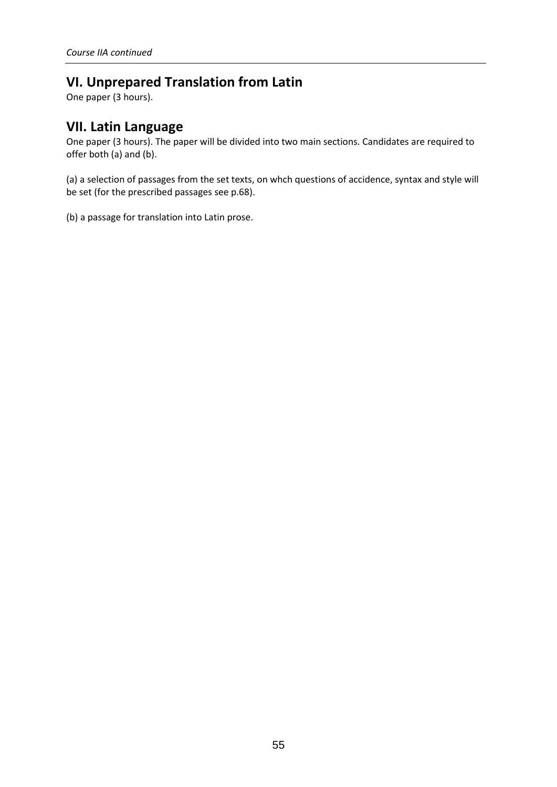# **VI. Unprepared Translation from Latin**

One paper (3 hours).

# **VII. Latin Language**

One paper (3 hours). The paper will be divided into two main sections. Candidates are required to offer both (a) and (b).

(a) a selection of passages from the set texts, on whch questions of accidence, syntax and style will be set (for the prescribed passages see p.68).

(b) a passage for translation into Latin prose.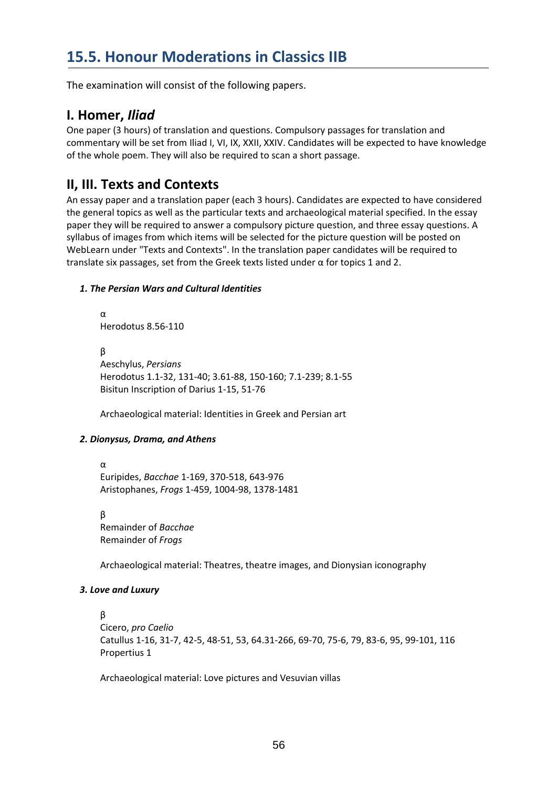# **15.5. Honour Moderations in Classics IIB**

The examination will consist of the following papers.

### **I. Homer,** *Iliad*

One paper (3 hours) of translation and questions. Compulsory passages for translation and commentary will be set from Iliad I, VI, IX, XXII, XXIV. Candidates will be expected to have knowledge of the whole poem. They will also be required to scan a short passage.

# **II, III. Texts and Contexts**

An essay paper and a translation paper (each 3 hours). Candidates are expected to have considered the general topics as well as the particular texts and archaeological material specified. In the essay paper they will be required to answer a compulsory picture question, and three essay questions. A syllabus of images from which items will be selected for the picture question will be posted on WebLearn under "Texts and Contexts". In the translation paper candidates will be required to translate six passages, set from the Greek texts listed under α for topics 1 and 2.

#### *1. The Persian Wars and Cultural Identities*

α Herodotus 8.56-110

β Aeschylus, *Persians*  Herodotus 1.1-32, 131-40; 3.61-88, 150-160; 7.1-239; 8.1-55 Bisitun Inscription of Darius 1-15, 51-76

Archaeological material: Identities in Greek and Persian art

#### *2. Dionysus, Drama, and Athens*

α

Euripides, *Bacchae* 1-169, 370-518, 643-976 Aristophanes, *Frogs* 1-459, 1004-98, 1378-1481

β Remainder of *Bacchae* Remainder of *Frogs*

Archaeological material: Theatres, theatre images, and Dionysian iconography

#### *3. Love and Luxury*

#### β

Cicero, *pro Caelio* Catullus 1-16, 31-7, 42-5, 48-51, 53, 64.31-266, 69-70, 75-6, 79, 83-6, 95, 99-101, 116 Propertius 1

Archaeological material: Love pictures and Vesuvian villas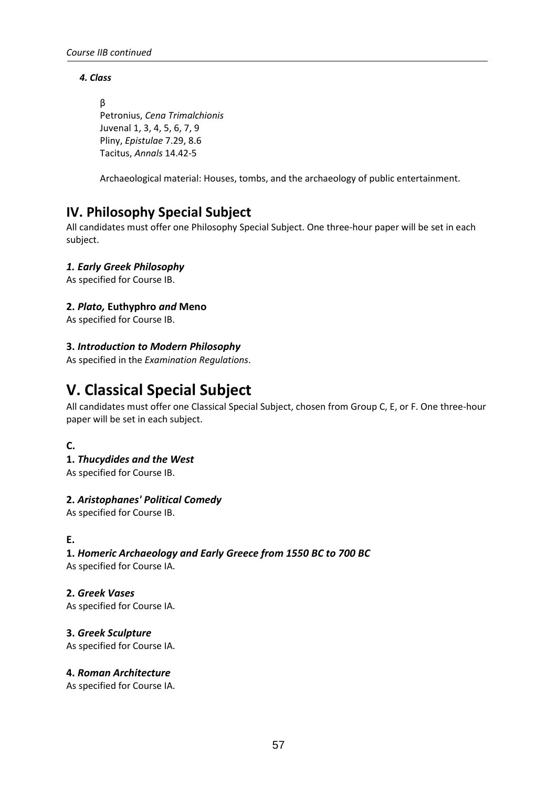#### *4. Class*

β

Petronius, *Cena Trimalchionis* Juvenal 1, 3, 4, 5, 6, 7, 9 Pliny, *Epistulae* 7.29, 8.6 Tacitus, *Annals* 14.42-5

Archaeological material: Houses, tombs, and the archaeology of public entertainment.

# **IV. Philosophy Special Subject**

All candidates must offer one Philosophy Special Subject. One three-hour paper will be set in each subject.

#### *1. Early Greek Philosophy*

As specified for Course IB.

#### **2.** *Plato,* **Euthyphro** *and* **Meno**

As specified for Course IB.

#### **3.** *Introduction to Modern Philosophy*

As specified in the *Examination Regulations*.

# **V. Classical Special Subject**

All candidates must offer one Classical Special Subject, chosen from Group C, E, or F. One three-hour paper will be set in each subject.

#### **C.**

#### **1.** *Thucydides and the West*

As specified for Course IB.

#### **2.** *Aristophanes' Political Comedy*

As specified for Course IB.

#### **E.**

#### **1.** *Homeric Archaeology and Early Greece from 1550 BC to 700 BC*

As specified for Course IA.

#### **2.** *Greek Vases*

As specified for Course IA.

#### **3.** *Greek Sculpture*

As specified for Course IA.

#### **4.** *Roman Architecture*

As specified for Course IA.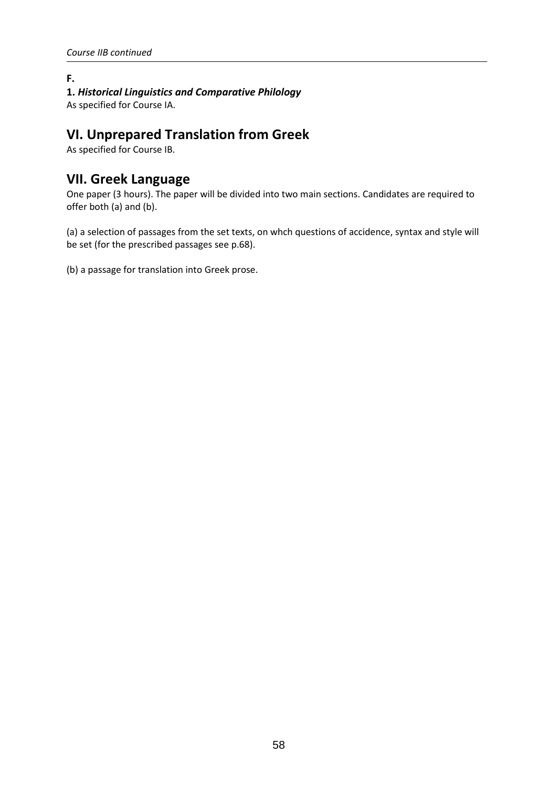#### **F. 1.** *Historical Linguistics and Comparative Philology*

As specified for Course IA.

# **VI. Unprepared Translation from Greek**

As specified for Course IB.

### **VII. Greek Language**

One paper (3 hours). The paper will be divided into two main sections. Candidates are required to offer both (a) and (b).

(a) a selection of passages from the set texts, on whch questions of accidence, syntax and style will be set (for the prescribed passages see p.68).

(b) a passage for translation into Greek prose.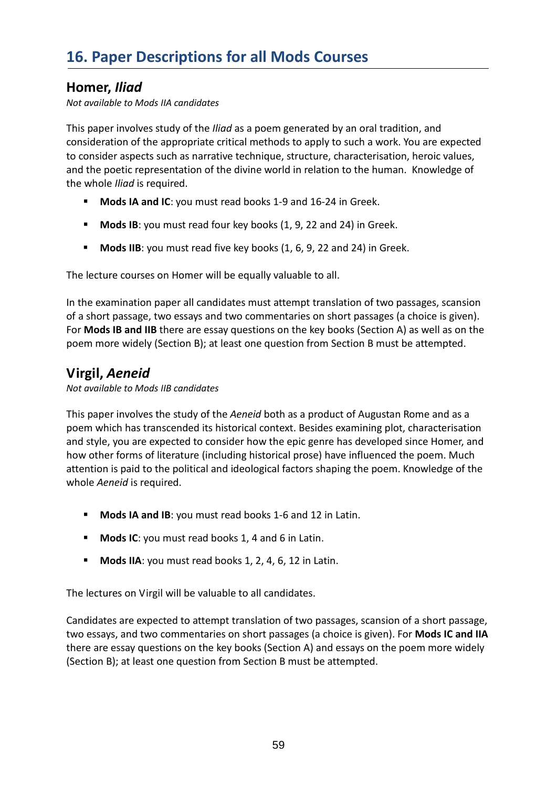# **Homer,** *Iliad*

*Not available to Mods IIA candidates* 

This paper involves study of the *Iliad* as a poem generated by an oral tradition, and consideration of the appropriate critical methods to apply to such a work. You are expected to consider aspects such as narrative technique, structure, characterisation, heroic values, and the poetic representation of the divine world in relation to the human. Knowledge of the whole *Iliad* is required.

- **Mods IA and IC:** you must read books 1-9 and 16-24 in Greek.
- **Mods IB:** you must read four key books (1, 9, 22 and 24) in Greek.
- **Mods IIB**: you must read five key books (1, 6, 9, 22 and 24) in Greek.

The lecture courses on Homer will be equally valuable to all.

In the examination paper all candidates must attempt translation of two passages, scansion of a short passage, two essays and two commentaries on short passages (a choice is given). For **Mods IB and IIB** there are essay questions on the key books (Section A) as well as on the poem more widely (Section B); at least one question from Section B must be attempted.

# **Virgil,** *Aeneid*

*Not available to Mods IIB candidates* 

This paper involves the study of the *Aeneid* both as a product of Augustan Rome and as a poem which has transcended its historical context. Besides examining plot, characterisation and style, you are expected to consider how the epic genre has developed since Homer, and how other forms of literature (including historical prose) have influenced the poem. Much attention is paid to the political and ideological factors shaping the poem. Knowledge of the whole *Aeneid* is required.

- **Mods IA and IB**: you must read books 1-6 and 12 in Latin.
- **Mods IC:** you must read books 1, 4 and 6 in Latin.
- **Mods IIA**: you must read books 1, 2, 4, 6, 12 in Latin.

The lectures on Virgil will be valuable to all candidates.

Candidates are expected to attempt translation of two passages, scansion of a short passage, two essays, and two commentaries on short passages (a choice is given). For **Mods IC and IIA** there are essay questions on the key books (Section A) and essays on the poem more widely (Section B); at least one question from Section B must be attempted.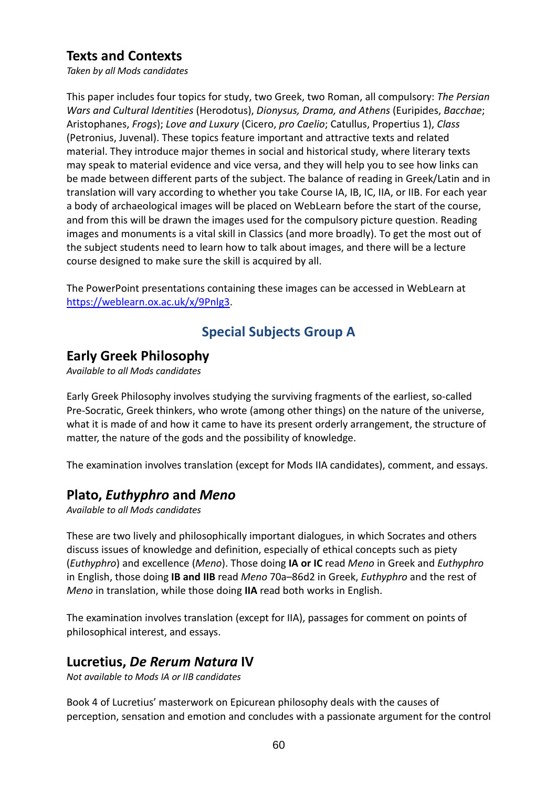# **Texts and Contexts**

*Taken by all Mods candidates*

This paper includes four topics for study, two Greek, two Roman, all compulsory: *The Persian Wars and Cultural Identities* (Herodotus), *Dionysus, Drama, and Athens* (Euripides, *Bacchae*; Aristophanes, *Frogs*); *Love and Luxury* (Cicero, *pro Caelio*; Catullus, Propertius 1), *Class* (Petronius, Juvenal). These topics feature important and attractive texts and related material. They introduce major themes in social and historical study, where literary texts may speak to material evidence and vice versa, and they will help you to see how links can be made between different parts of the subject. The balance of reading in Greek/Latin and in translation will vary according to whether you take Course IA, IB, IC, IIA, or IIB. For each year a body of archaeological images will be placed on WebLearn before the start of the course, and from this will be drawn the images used for the compulsory picture question. Reading images and monuments is a vital skill in Classics (and more broadly). To get the most out of the subject students need to learn how to talk about images, and there will be a lecture course designed to make sure the skill is acquired by all.

The PowerPoint presentations containing these images can be accessed in WebLearn at https://weblearn.ox.ac.uk/x/9Pnlg3.

# **Special Subjects Group A**

# **Early Greek Philosophy**

*Available to all Mods candidates* 

Early Greek Philosophy involves studying the surviving fragments of the earliest, so-called Pre-Socratic, Greek thinkers, who wrote (among other things) on the nature of the universe, what it is made of and how it came to have its present orderly arrangement, the structure of matter, the nature of the gods and the possibility of knowledge.

The examination involves translation (except for Mods IIA candidates), comment, and essays.

# **Plato,** *Euthyphro* **and** *Meno*

*Available to all Mods candidates* 

These are two lively and philosophically important dialogues, in which Socrates and others discuss issues of knowledge and definition, especially of ethical concepts such as piety (*Euthyphro*) and excellence (*Meno*). Those doing **IA or IC** read *Meno* in Greek and *Euthyphro* in English, those doing **IB and IIB** read *Meno* 70a–86d2 in Greek, *Euthyphro* and the rest of *Meno* in translation, while those doing **IIA** read both works in English.

The examination involves translation (except for IIA), passages for comment on points of philosophical interest, and essays.

# **Lucretius,** *De Rerum Natura* **IV**

*Not available to Mods IA or IIB candidates* 

Book 4 of Lucretius' masterwork on Epicurean philosophy deals with the causes of perception, sensation and emotion and concludes with a passionate argument for the control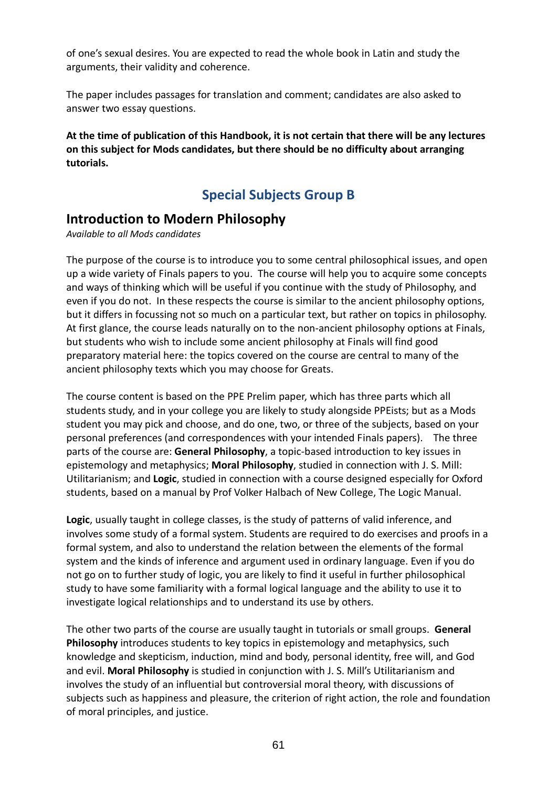of one's sexual desires. You are expected to read the whole book in Latin and study the arguments, their validity and coherence.

The paper includes passages for translation and comment; candidates are also asked to answer two essay questions.

**At the time of publication of this Handbook, it is not certain that there will be any lectures on this subject for Mods candidates, but there should be no difficulty about arranging tutorials.** 

### **Special Subjects Group B**

#### **Introduction to Modern Philosophy**

*Available to all Mods candidates* 

The purpose of the course is to introduce you to some central philosophical issues, and open up a wide variety of Finals papers to you. The course will help you to acquire some concepts and ways of thinking which will be useful if you continue with the study of Philosophy, and even if you do not. In these respects the course is similar to the ancient philosophy options, but it differs in focussing not so much on a particular text, but rather on topics in philosophy. At first glance, the course leads naturally on to the non-ancient philosophy options at Finals, but students who wish to include some ancient philosophy at Finals will find good preparatory material here: the topics covered on the course are central to many of the ancient philosophy texts which you may choose for Greats.

The course content is based on the PPE Prelim paper, which has three parts which all students study, and in your college you are likely to study alongside PPEists; but as a Mods student you may pick and choose, and do one, two, or three of the subjects, based on your personal preferences (and correspondences with your intended Finals papers). The three parts of the course are: **General Philosophy**, a topic-based introduction to key issues in epistemology and metaphysics; **Moral Philosophy**, studied in connection with J. S. Mill: Utilitarianism; and **Logic**, studied in connection with a course designed especially for Oxford students, based on a manual by Prof Volker Halbach of New College, The Logic Manual.

**Logic**, usually taught in college classes, is the study of patterns of valid inference, and involves some study of a formal system. Students are required to do exercises and proofs in a formal system, and also to understand the relation between the elements of the formal system and the kinds of inference and argument used in ordinary language. Even if you do not go on to further study of logic, you are likely to find it useful in further philosophical study to have some familiarity with a formal logical language and the ability to use it to investigate logical relationships and to understand its use by others.

The other two parts of the course are usually taught in tutorials or small groups. **General Philosophy** introduces students to key topics in epistemology and metaphysics, such knowledge and skepticism, induction, mind and body, personal identity, free will, and God and evil. **Moral Philosophy** is studied in conjunction with J. S. Mill's Utilitarianism and involves the study of an influential but controversial moral theory, with discussions of subjects such as happiness and pleasure, the criterion of right action, the role and foundation of moral principles, and justice.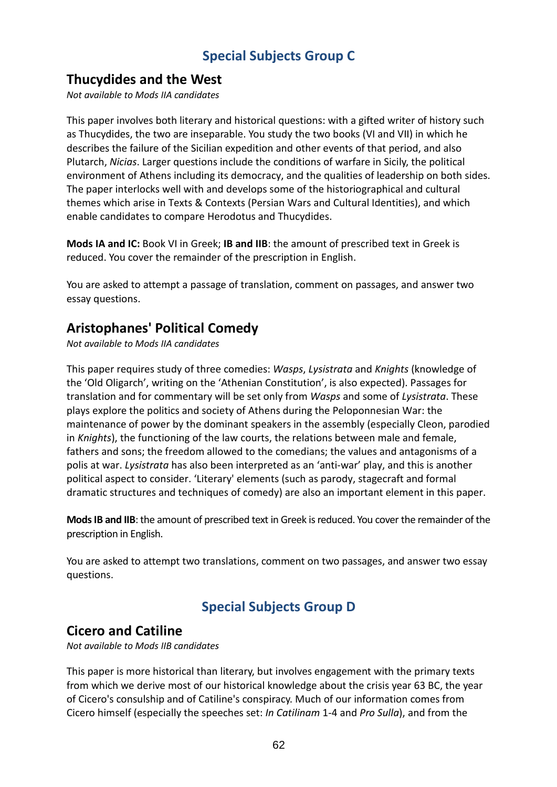# **Special Subjects Group C**

### **Thucydides and the West**

*Not available to Mods IIA candidates* 

This paper involves both literary and historical questions: with a gifted writer of history such as Thucydides, the two are inseparable. You study the two books (VI and VII) in which he describes the failure of the Sicilian expedition and other events of that period, and also Plutarch, *Nicias*. Larger questions include the conditions of warfare in Sicily, the political environment of Athens including its democracy, and the qualities of leadership on both sides. The paper interlocks well with and develops some of the historiographical and cultural themes which arise in Texts & Contexts (Persian Wars and Cultural Identities), and which enable candidates to compare Herodotus and Thucydides.

**Mods IA and IC:** Book VI in Greek; **IB and IIB**: the amount of prescribed text in Greek is reduced. You cover the remainder of the prescription in English.

You are asked to attempt a passage of translation, comment on passages, and answer two essay questions.

# **Aristophanes' Political Comedy**

*Not available to Mods IIA candidates* 

This paper requires study of three comedies: *Wasps*, *Lysistrata* and *Knights* (knowledge of the 'Old Oligarch', writing on the 'Athenian Constitution', is also expected). Passages for translation and for commentary will be set only from *Wasps* and some of *Lysistrata*. These plays explore the politics and society of Athens during the Peloponnesian War: the maintenance of power by the dominant speakers in the assembly (especially Cleon, parodied in *Knights*), the functioning of the law courts, the relations between male and female, fathers and sons; the freedom allowed to the comedians; the values and antagonisms of a polis at war. *Lysistrata* has also been interpreted as an 'anti-war' play, and this is another political aspect to consider. 'Literary' elements (such as parody, stagecraft and formal dramatic structures and techniques of comedy) are also an important element in this paper.

**Mods IB and IIB**: the amount of prescribed text in Greek is reduced. You cover the remainder of the prescription in English.

You are asked to attempt two translations, comment on two passages, and answer two essay questions.

# **Special Subjects Group D**

### **Cicero and Catiline**

*Not available to Mods IIB candidates* 

This paper is more historical than literary, but involves engagement with the primary texts from which we derive most of our historical knowledge about the crisis year 63 BC, the year of Cicero's consulship and of Catiline's conspiracy. Much of our information comes from Cicero himself (especially the speeches set: *In Catilinam* 1-4 and *Pro Sulla*), and from the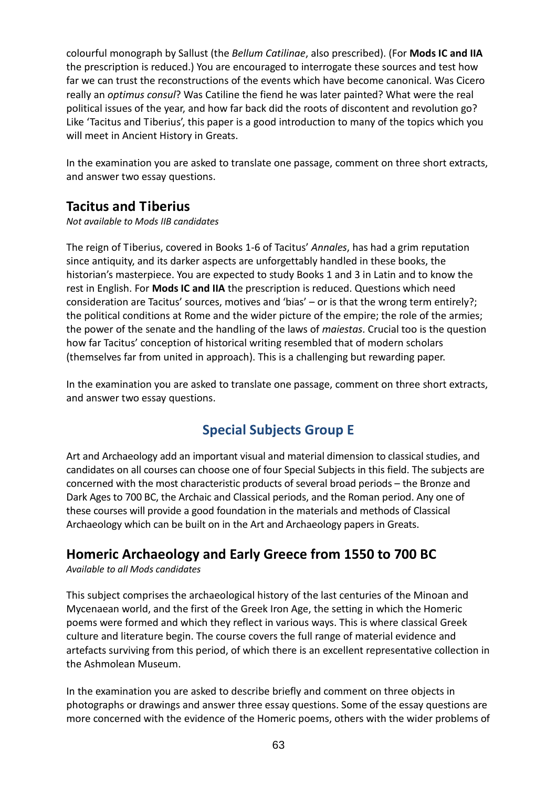colourful monograph by Sallust (the *Bellum Catilinae*, also prescribed). (For **Mods IC and IIA** the prescription is reduced.) You are encouraged to interrogate these sources and test how far we can trust the reconstructions of the events which have become canonical. Was Cicero really an *optimus consul*? Was Catiline the fiend he was later painted? What were the real political issues of the year, and how far back did the roots of discontent and revolution go? Like 'Tacitus and Tiberius', this paper is a good introduction to many of the topics which you will meet in Ancient History in Greats.

In the examination you are asked to translate one passage, comment on three short extracts, and answer two essay questions.

# **Tacitus and Tiberius**

*Not available to Mods IIB candidates* 

The reign of Tiberius, covered in Books 1-6 of Tacitus' *Annales*, has had a grim reputation since antiquity, and its darker aspects are unforgettably handled in these books, the historian's masterpiece. You are expected to study Books 1 and 3 in Latin and to know the rest in English. For **Mods IC and IIA** the prescription is reduced. Questions which need consideration are Tacitus' sources, motives and 'bias' – or is that the wrong term entirely?; the political conditions at Rome and the wider picture of the empire; the role of the armies; the power of the senate and the handling of the laws of *maiestas*. Crucial too is the question how far Tacitus' conception of historical writing resembled that of modern scholars (themselves far from united in approach). This is a challenging but rewarding paper.

In the examination you are asked to translate one passage, comment on three short extracts, and answer two essay questions.

# **Special Subjects Group E**

Art and Archaeology add an important visual and material dimension to classical studies, and candidates on all courses can choose one of four Special Subjects in this field. The subjects are concerned with the most characteristic products of several broad periods – the Bronze and Dark Ages to 700 BC, the Archaic and Classical periods, and the Roman period. Any one of these courses will provide a good foundation in the materials and methods of Classical Archaeology which can be built on in the Art and Archaeology papers in Greats.

# **Homeric Archaeology and Early Greece from 1550 to 700 BC**

*Available to all Mods candidates* 

This subject comprises the archaeological history of the last centuries of the Minoan and Mycenaean world, and the first of the Greek Iron Age, the setting in which the Homeric poems were formed and which they reflect in various ways. This is where classical Greek culture and literature begin. The course covers the full range of material evidence and artefacts surviving from this period, of which there is an excellent representative collection in the Ashmolean Museum.

In the examination you are asked to describe briefly and comment on three objects in photographs or drawings and answer three essay questions. Some of the essay questions are more concerned with the evidence of the Homeric poems, others with the wider problems of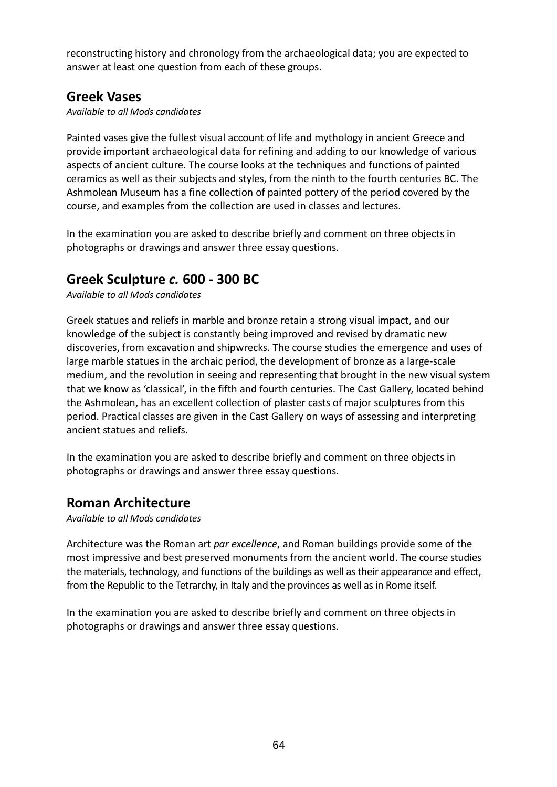reconstructing history and chronology from the archaeological data; you are expected to answer at least one question from each of these groups.

# **Greek Vases**

*Available to all Mods candidates* 

Painted vases give the fullest visual account of life and mythology in ancient Greece and provide important archaeological data for refining and adding to our knowledge of various aspects of ancient culture. The course looks at the techniques and functions of painted ceramics as well as their subjects and styles, from the ninth to the fourth centuries BC. The Ashmolean Museum has a fine collection of painted pottery of the period covered by the course, and examples from the collection are used in classes and lectures.

In the examination you are asked to describe briefly and comment on three objects in photographs or drawings and answer three essay questions.

# **Greek Sculpture** *c.* **600 - 300 BC**

*Available to all Mods candidates* 

Greek statues and reliefs in marble and bronze retain a strong visual impact, and our knowledge of the subject is constantly being improved and revised by dramatic new discoveries, from excavation and shipwrecks. The course studies the emergence and uses of large marble statues in the archaic period, the development of bronze as a large-scale medium, and the revolution in seeing and representing that brought in the new visual system that we know as 'classical', in the fifth and fourth centuries. The Cast Gallery, located behind the Ashmolean, has an excellent collection of plaster casts of major sculptures from this period. Practical classes are given in the Cast Gallery on ways of assessing and interpreting ancient statues and reliefs.

In the examination you are asked to describe briefly and comment on three objects in photographs or drawings and answer three essay questions.

# **Roman Architecture**

*Available to all Mods candidates* 

Architecture was the Roman art *par excellence*, and Roman buildings provide some of the most impressive and best preserved monuments from the ancient world. The course studies the materials, technology, and functions of the buildings as well as their appearance and effect, from the Republic to the Tetrarchy, in Italy and the provinces as well as in Rome itself.

In the examination you are asked to describe briefly and comment on three objects in photographs or drawings and answer three essay questions.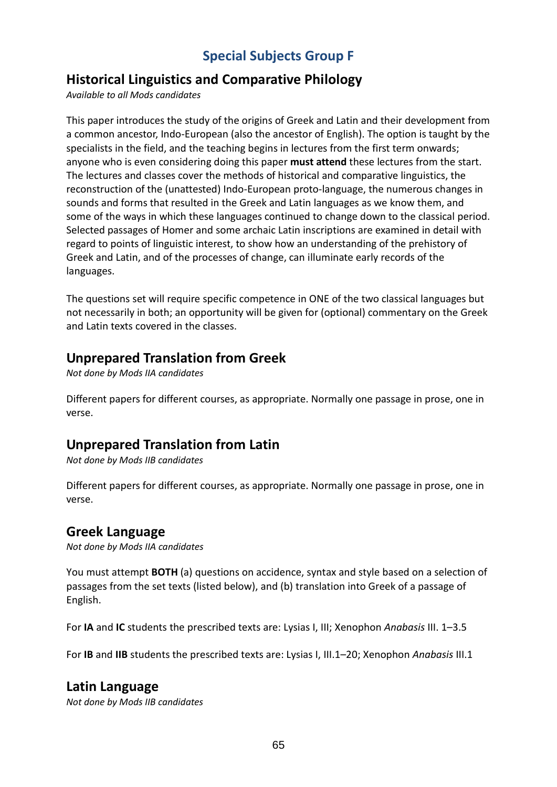# **Special Subjects Group F**

# **Historical Linguistics and Comparative Philology**

*Available to all Mods candidates* 

This paper introduces the study of the origins of Greek and Latin and their development from a common ancestor, Indo-European (also the ancestor of English). The option is taught by the specialists in the field, and the teaching begins in lectures from the first term onwards; anyone who is even considering doing this paper **must attend** these lectures from the start. The lectures and classes cover the methods of historical and comparative linguistics, the reconstruction of the (unattested) Indo-European proto-language, the numerous changes in sounds and forms that resulted in the Greek and Latin languages as we know them, and some of the ways in which these languages continued to change down to the classical period. Selected passages of Homer and some archaic Latin inscriptions are examined in detail with regard to points of linguistic interest, to show how an understanding of the prehistory of Greek and Latin, and of the processes of change, can illuminate early records of the languages.

The questions set will require specific competence in ONE of the two classical languages but not necessarily in both; an opportunity will be given for (optional) commentary on the Greek and Latin texts covered in the classes.

### **Unprepared Translation from Greek**

*Not done by Mods IIA candidates* 

Different papers for different courses, as appropriate. Normally one passage in prose, one in verse.

# **Unprepared Translation from Latin**

*Not done by Mods IIB candidates* 

Different papers for different courses, as appropriate. Normally one passage in prose, one in verse.

### **Greek Language**

*Not done by Mods IIA candidates* 

You must attempt **BOTH** (a) questions on accidence, syntax and style based on a selection of passages from the set texts (listed below), and (b) translation into Greek of a passage of English.

For **IA** and **IC** students the prescribed texts are: Lysias I, III; Xenophon *Anabasis* III. 1–3.5

For **IB** and **IIB** students the prescribed texts are: Lysias I, III.1–20; Xenophon *Anabasis* III.1

#### **Latin Language**

*Not done by Mods IIB candidates*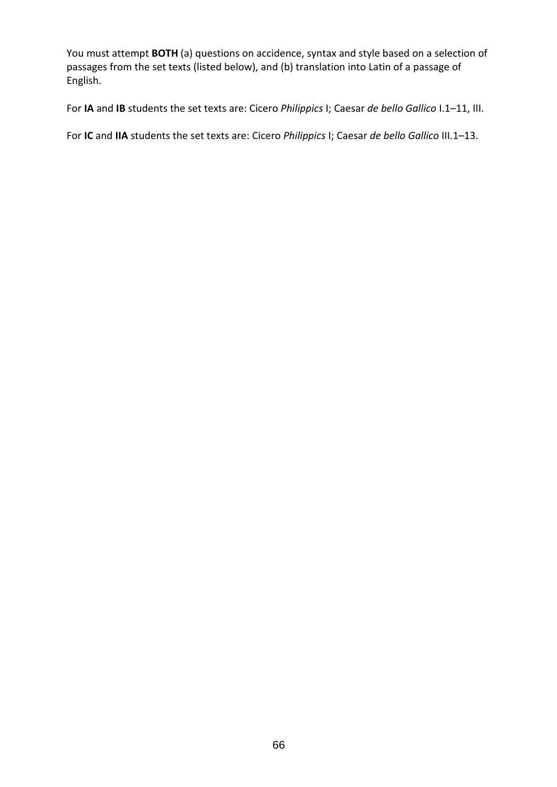You must attempt **BOTH** (a) questions on accidence, syntax and style based on a selection of passages from the set texts (listed below), and (b) translation into Latin of a passage of English.

For **IA** and **IB** students the set texts are: Cicero *Philippics* I; Caesar *de bello Gallico* I.1–11, III.

For **IC** and **IIA** students the set texts are: Cicero *Philippics* I; Caesar *de bello Gallico* III.1–13.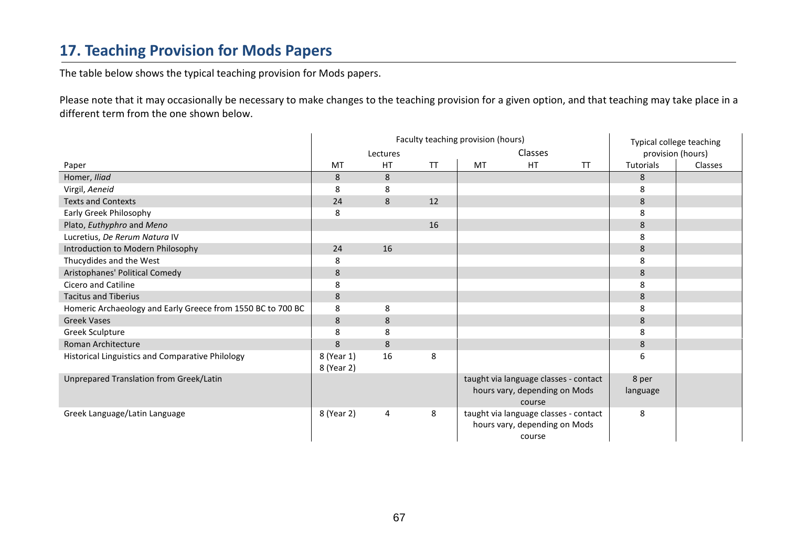# **17. Teaching Provision for Mods Papers**

The table below shows the typical teaching provision for Mods papers.

Please note that it may occasionally be necessary to make changes to the teaching provision for a given option, and that teaching may take place in a different term from the one shown below.

|                                                             | Faculty teaching provision (hours) |           |           |         |                                                                                  |           | Typical college teaching |         |
|-------------------------------------------------------------|------------------------------------|-----------|-----------|---------|----------------------------------------------------------------------------------|-----------|--------------------------|---------|
|                                                             | Lectures                           |           |           | Classes | provision (hours)                                                                |           |                          |         |
| Paper                                                       | MT                                 | <b>HT</b> | <b>TT</b> | MT      | HT                                                                               | <b>TT</b> | Tutorials                | Classes |
| Homer, Iliad                                                | 8                                  | 8         |           |         |                                                                                  |           | 8                        |         |
| Virgil, Aeneid                                              | 8                                  | 8         |           |         |                                                                                  |           | 8                        |         |
| <b>Texts and Contexts</b>                                   | 24                                 | 8         | 12        |         |                                                                                  |           | 8                        |         |
| Early Greek Philosophy                                      | 8                                  |           |           |         |                                                                                  |           | 8                        |         |
| Plato, Euthyphro and Meno                                   |                                    |           | 16        |         |                                                                                  |           | $\bf 8$                  |         |
| Lucretius, De Rerum Natura IV                               |                                    |           |           |         |                                                                                  |           | 8                        |         |
| Introduction to Modern Philosophy                           | 24                                 | 16        |           |         |                                                                                  |           | $\bf 8$                  |         |
| Thucydides and the West                                     | 8                                  |           |           |         |                                                                                  |           | 8                        |         |
| Aristophanes' Political Comedy                              | 8                                  |           |           |         |                                                                                  |           | 8                        |         |
| Cicero and Catiline                                         | 8                                  |           |           |         |                                                                                  |           | 8                        |         |
| <b>Tacitus and Tiberius</b>                                 | 8                                  |           |           |         |                                                                                  |           | 8                        |         |
| Homeric Archaeology and Early Greece from 1550 BC to 700 BC | 8                                  | 8         |           |         |                                                                                  |           | 8                        |         |
| <b>Greek Vases</b>                                          | 8                                  | 8         |           |         |                                                                                  |           | 8                        |         |
| Greek Sculpture                                             | 8                                  | 8         |           |         |                                                                                  |           | 8                        |         |
| Roman Architecture                                          | 8                                  | 8         |           |         |                                                                                  |           | 8                        |         |
| Historical Linguistics and Comparative Philology            | 8 (Year 1)<br>8 (Year 2)           | 16        | 8         |         |                                                                                  |           | 6                        |         |
| Unprepared Translation from Greek/Latin                     |                                    |           |           |         | taught via language classes - contact<br>hours vary, depending on Mods<br>course |           | 8 per<br>language        |         |
| Greek Language/Latin Language                               | 8 (Year 2)                         | 4         | 8         |         | taught via language classes - contact<br>hours vary, depending on Mods<br>course |           | 8                        |         |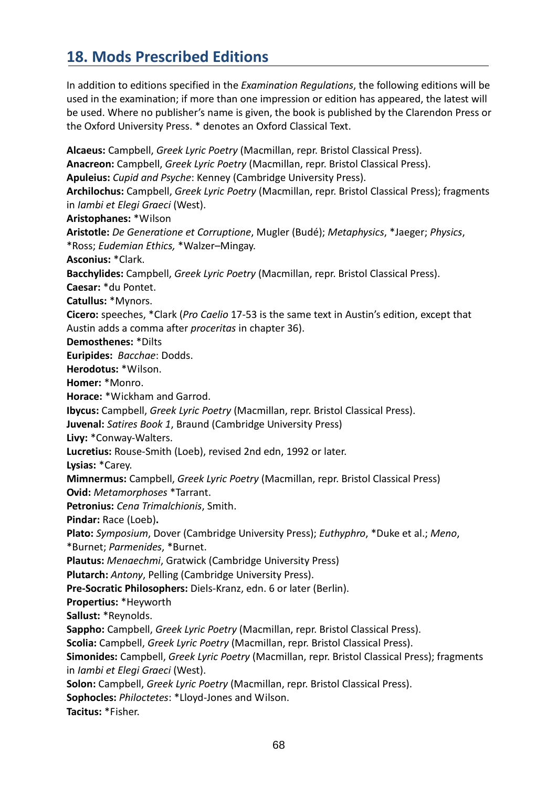# **18. Mods Prescribed Editions**

In addition to editions specified in the *Examination Regulations*, the following editions will be used in the examination; if more than one impression or edition has appeared, the latest will be used. Where no publisher's name is given, the book is published by the Clarendon Press or the Oxford University Press. \* denotes an Oxford Classical Text.

**Alcaeus:** Campbell, *Greek Lyric Poetry* (Macmillan, repr. Bristol Classical Press). **Anacreon:** Campbell, *Greek Lyric Poetry* (Macmillan, repr. Bristol Classical Press). **Apuleius:** *Cupid and Psyche*: Kenney (Cambridge University Press). **Archilochus:** Campbell, *Greek Lyric Poetry* (Macmillan, repr. Bristol Classical Press); fragments in *Iambi et Elegi Graeci* (West). **Aristophanes:** \*Wilson **Aristotle:** *De Generatione et Corruptione*, Mugler (Budé); *Metaphysics*, \*Jaeger; *Physics*, \*Ross; *Eudemian Ethics,* \*Walzer–Mingay. **Asconius:** \*Clark. **Bacchylides:** Campbell, *Greek Lyric Poetry* (Macmillan, repr. Bristol Classical Press). **Caesar:** \*du Pontet. **Catullus:** \*Mynors. **Cicero:** speeches, \*Clark (*Pro Caelio* 17-53 is the same text in Austin's edition, except that Austin adds a comma after *proceritas* in chapter 36). **Demosthenes:** \*Dilts **Euripides:** *Bacchae*: Dodds. **Herodotus:** \*Wilson. **Homer:** \*Monro. **Horace:** \*Wickham and Garrod. **Ibycus:** Campbell, *Greek Lyric Poetry* (Macmillan, repr. Bristol Classical Press). **Juvenal:** *Satires Book 1*, Braund (Cambridge University Press) **Livy:** \*Conway-Walters. **Lucretius:** Rouse-Smith (Loeb), revised 2nd edn, 1992 or later. **Lysias:** \*Carey. **Mimnermus:** Campbell, *Greek Lyric Poetry* (Macmillan, repr. Bristol Classical Press) **Ovid:** *Metamorphoses* \*Tarrant. **Petronius:** *Cena Trimalchionis*, Smith. **Pindar:** Race (Loeb)**. Plato:** *Symposium*, Dover (Cambridge University Press); *Euthyphro*, \*Duke et al.; *Meno*, \*Burnet; *Parmenides*, \*Burnet. **Plautus:** *Menaechmi*, Gratwick (Cambridge University Press) **Plutarch:** *Antony*, Pelling (Cambridge University Press). **Pre-Socratic Philosophers:** Diels-Kranz, edn. 6 or later (Berlin). **Propertius:** \*Heyworth **Sallust:** \*Reynolds. **Sappho:** Campbell, *Greek Lyric Poetry* (Macmillan, repr. Bristol Classical Press). **Scolia:** Campbell, *Greek Lyric Poetry* (Macmillan, repr. Bristol Classical Press). **Simonides:** Campbell, *Greek Lyric Poetry* (Macmillan, repr. Bristol Classical Press); fragments in *Iambi et Elegi Graeci* (West). **Solon:** Campbell, *Greek Lyric Poetry* (Macmillan, repr. Bristol Classical Press). **Sophocles:** *Philoctetes*: \*Lloyd-Jones and Wilson. **Tacitus:** \*Fisher.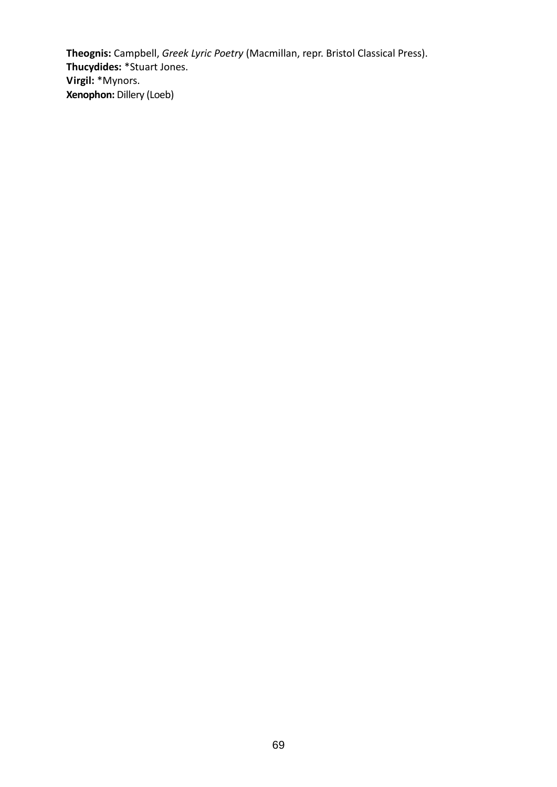**Theognis:** Campbell, *Greek Lyric Poetry* (Macmillan, repr. Bristol Classical Press). **Thucydides:** \*Stuart Jones. **Virgil:** \*Mynors. **Xenophon:** Dillery (Loeb)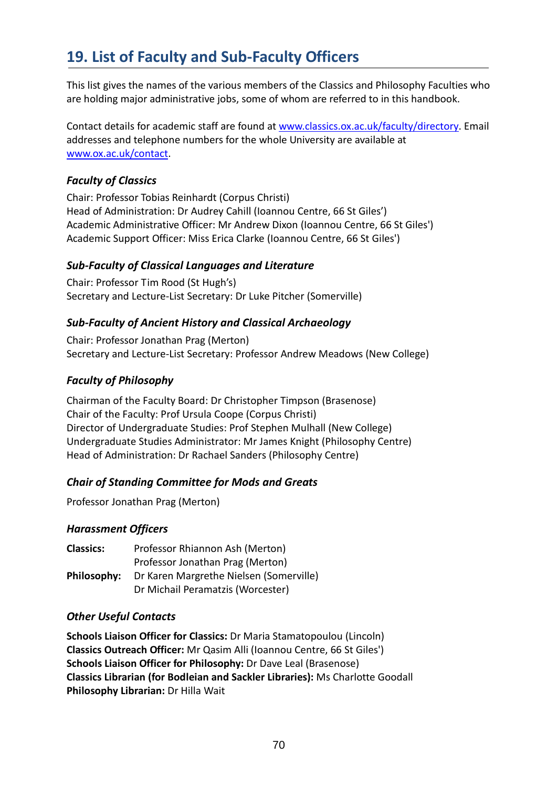# **19. List of Faculty and Sub-Faculty Officers**

This list gives the names of the various members of the Classics and Philosophy Faculties who are holding major administrative jobs, some of whom are referred to in this handbook.

Contact details for academic staff are found at www.classics.ox.ac.uk/faculty/directory. Email addresses and telephone numbers for the whole University are available at www.ox.ac.uk/contact.

### *Faculty of Classics*

Chair: Professor Tobias Reinhardt (Corpus Christi) Head of Administration: Dr Audrey Cahill (Ioannou Centre, 66 St Giles') Academic Administrative Officer: Mr Andrew Dixon (Ioannou Centre, 66 St Giles') Academic Support Officer: Miss Erica Clarke (Ioannou Centre, 66 St Giles')

### *Sub-Faculty of Classical Languages and Literature*

Chair: Professor Tim Rood (St Hugh's) Secretary and Lecture-List Secretary: Dr Luke Pitcher (Somerville)

### *Sub-Faculty of Ancient History and Classical Archaeology*

Chair: Professor Jonathan Prag (Merton) Secretary and Lecture-List Secretary: Professor Andrew Meadows (New College)

### *Faculty of Philosophy*

Chairman of the Faculty Board: Dr Christopher Timpson (Brasenose) Chair of the Faculty: Prof Ursula Coope (Corpus Christi) Director of Undergraduate Studies: Prof Stephen Mulhall (New College) Undergraduate Studies Administrator: Mr James Knight (Philosophy Centre) Head of Administration: Dr Rachael Sanders (Philosophy Centre)

### *Chair of Standing Committee for Mods and Greats*

Professor Jonathan Prag (Merton)

#### *Harassment Officers*

| <b>Classics:</b> | Professor Rhiannon Ash (Merton)         |
|------------------|-----------------------------------------|
|                  | Professor Jonathan Prag (Merton)        |
| Philosophy:      | Dr Karen Margrethe Nielsen (Somerville) |
|                  | Dr Michail Peramatzis (Worcester)       |

#### *Other Useful Contacts*

**Schools Liaison Officer for Classics:** Dr Maria Stamatopoulou (Lincoln) **Classics Outreach Officer:** Mr Qasim Alli (Ioannou Centre, 66 St Giles') **Schools Liaison Officer for Philosophy:** Dr Dave Leal (Brasenose) **Classics Librarian (for Bodleian and Sackler Libraries):** Ms Charlotte Goodall **Philosophy Librarian:** Dr Hilla Wait